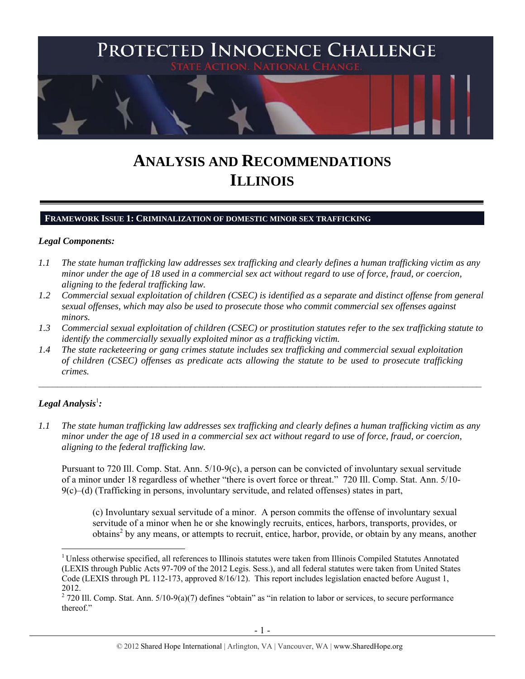

# **ANALYSIS AND RECOMMENDATIONS ILLINOIS**

#### **FRAMEWORK ISSUE 1: CRIMINALIZATION OF DOMESTIC MINOR SEX TRAFFICKING**

### *Legal Components:*

- *1.1 The state human trafficking law addresses sex trafficking and clearly defines a human trafficking victim as any minor under the age of 18 used in a commercial sex act without regard to use of force, fraud, or coercion, aligning to the federal trafficking law.*
- *1.2 Commercial sexual exploitation of children (CSEC) is identified as a separate and distinct offense from general sexual offenses, which may also be used to prosecute those who commit commercial sex offenses against minors.*
- *1.3 Commercial sexual exploitation of children (CSEC) or prostitution statutes refer to the sex trafficking statute to identify the commercially sexually exploited minor as a trafficking victim.*

 $\mathcal{L}_\mathcal{L} = \{ \mathcal{L}_\mathcal{L} = \{ \mathcal{L}_\mathcal{L} = \{ \mathcal{L}_\mathcal{L} = \{ \mathcal{L}_\mathcal{L} = \{ \mathcal{L}_\mathcal{L} = \{ \mathcal{L}_\mathcal{L} = \{ \mathcal{L}_\mathcal{L} = \{ \mathcal{L}_\mathcal{L} = \{ \mathcal{L}_\mathcal{L} = \{ \mathcal{L}_\mathcal{L} = \{ \mathcal{L}_\mathcal{L} = \{ \mathcal{L}_\mathcal{L} = \{ \mathcal{L}_\mathcal{L} = \{ \mathcal{L}_\mathcal{$ 

*1.4 The state racketeering or gang crimes statute includes sex trafficking and commercial sexual exploitation of children (CSEC) offenses as predicate acts allowing the statute to be used to prosecute trafficking crimes.* 

# $\bm{\mathit{Legal\, Analysis}^{\text{l}}:}$

 $\overline{a}$ 

*1.1 The state human trafficking law addresses sex trafficking and clearly defines a human trafficking victim as any minor under the age of 18 used in a commercial sex act without regard to use of force, fraud, or coercion, aligning to the federal trafficking law.* 

Pursuant to 720 Ill. Comp. Stat. Ann. 5/10-9(c), a person can be convicted of involuntary sexual servitude of a minor under 18 regardless of whether "there is overt force or threat." 720 Ill. Comp. Stat. Ann. 5/10- 9(c)–(d) (Trafficking in persons, involuntary servitude, and related offenses) states in part,

(c) Involuntary sexual servitude of a minor. A person commits the offense of involuntary sexual servitude of a minor when he or she knowingly recruits, entices, harbors, transports, provides, or obtains<sup>2</sup> by any means, or attempts to recruit, entice, harbor, provide, or obtain by any means, another

<sup>&</sup>lt;sup>1</sup> Unless otherwise specified, all references to Illinois statutes were taken from Illinois Compiled Statutes Annotated (LEXIS through Public Acts 97-709 of the 2012 Legis. Sess.), and all federal statutes were taken from United States Code (LEXIS through PL 112-173, approved 8/16/12). This report includes legislation enacted before August 1, 2012.

 $2$  720 Ill. Comp. Stat. Ann. 5/10-9(a)(7) defines "obtain" as "in relation to labor or services, to secure performance thereof."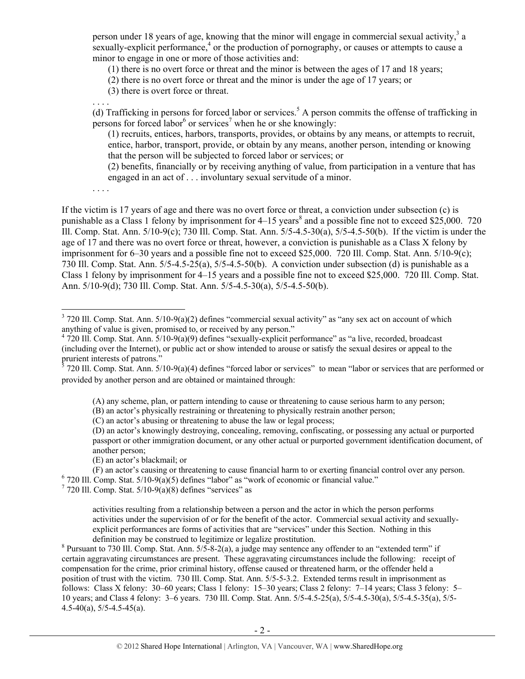person under 18 years of age, knowing that the minor will engage in commercial sexual activity,  $3a$ sexually-explicit performance, $4$  or the production of pornography, or causes or attempts to cause a minor to engage in one or more of those activities and:

(1) there is no overt force or threat and the minor is between the ages of 17 and 18 years;

(2) there is no overt force or threat and the minor is under the age of 17 years; or

(3) there is overt force or threat.

. . . . (d) Trafficking in persons for forced labor or services.<sup>5</sup> A person commits the offense of trafficking in persons for forced labor<sup>6</sup> or services<sup>7</sup> when he or she knowingly:

(1) recruits, entices, harbors, transports, provides, or obtains by any means, or attempts to recruit, entice, harbor, transport, provide, or obtain by any means, another person, intending or knowing that the person will be subjected to forced labor or services; or

(2) benefits, financially or by receiving anything of value, from participation in a venture that has engaged in an act of . . . involuntary sexual servitude of a minor.

. . . .

 $\overline{a}$ 

If the victim is 17 years of age and there was no overt force or threat, a conviction under subsection (c) is punishable as a Class 1 felony by imprisonment for 4–15 years<sup>8</sup> and a possible fine not to exceed \$25,000. 720 Ill. Comp. Stat. Ann. 5/10-9(c); 730 Ill. Comp. Stat. Ann. 5/5-4.5-30(a), 5/5-4.5-50(b). If the victim is under the age of 17 and there was no overt force or threat, however, a conviction is punishable as a Class X felony by imprisonment for 6–30 years and a possible fine not to exceed \$25,000. 720 Ill. Comp. Stat. Ann. 5/10-9(c); 730 Ill. Comp. Stat. Ann. 5/5-4.5-25(a), 5/5-4.5-50(b). A conviction under subsection (d) is punishable as a Class 1 felony by imprisonment for 4–15 years and a possible fine not to exceed \$25,000. 720 Ill. Comp. Stat. Ann. 5/10-9(d); 730 Ill. Comp. Stat. Ann. 5/5-4.5-30(a), 5/5-4.5-50(b).

(A) any scheme, plan, or pattern intending to cause or threatening to cause serious harm to any person;

(B) an actor's physically restraining or threatening to physically restrain another person;

(C) an actor's abusing or threatening to abuse the law or legal process;

(D) an actor's knowingly destroying, concealing, removing, confiscating, or possessing any actual or purported passport or other immigration document, or any other actual or purported government identification document, of another person;

(E) an actor's blackmail; or

(F) an actor's causing or threatening to cause financial harm to or exerting financial control over any person. 6  $6$  720 Ill. Comp. Stat.  $5/10-9(a)(5)$  defines "labor" as "work of economic or financial value."

 $7$  720 Ill. Comp. Stat.  $5/10-9(a)(8)$  defines "services" as

activities resulting from a relationship between a person and the actor in which the person performs activities under the supervision of or for the benefit of the actor. Commercial sexual activity and sexuallyexplicit performances are forms of activities that are "services" under this Section. Nothing in this definition may be construed to legitimize or legalize prostitution.

 $8$  Pursuant to 730 Ill. Comp. Stat. Ann.  $5/5$ -8-2(a), a judge may sentence any offender to an "extended term" if certain aggravating circumstances are present. These aggravating circumstances include the following: receipt of compensation for the crime, prior criminal history, offense caused or threatened harm, or the offender held a position of trust with the victim. 730 Ill. Comp. Stat. Ann. 5/5-5-3.2. Extended terms result in imprisonment as follows: Class X felony: 30–60 years; Class 1 felony: 15–30 years; Class 2 felony: 7–14 years; Class 3 felony: 5– 10 years; and Class 4 felony: 3–6 years. 730 Ill. Comp. Stat. Ann. 5/5-4.5-25(a), 5/5-4.5-30(a), 5/5-4.5-35(a), 5/5- 4.5-40(a), 5/5-4.5-45(a).

 $3$  720 Ill. Comp. Stat. Ann.  $5/10-9(a)(2)$  defines "commercial sexual activity" as "any sex act on account of which anything of value is given, promised to, or received by any person." 4

 <sup>720</sup> Ill. Comp. Stat. Ann. 5/10-9(a)(9) defines "sexually-explicit performance" as "a live, recorded, broadcast (including over the Internet), or public act or show intended to arouse or satisfy the sexual desires or appeal to the

prurient interests of patrons."<br><sup>5</sup> 720 Ill. Comp. Stat. Ann. 5/10-9(a)(4) defines "forced labor or services" to mean "labor or services that are performed or provided by another person and are obtained or maintained through: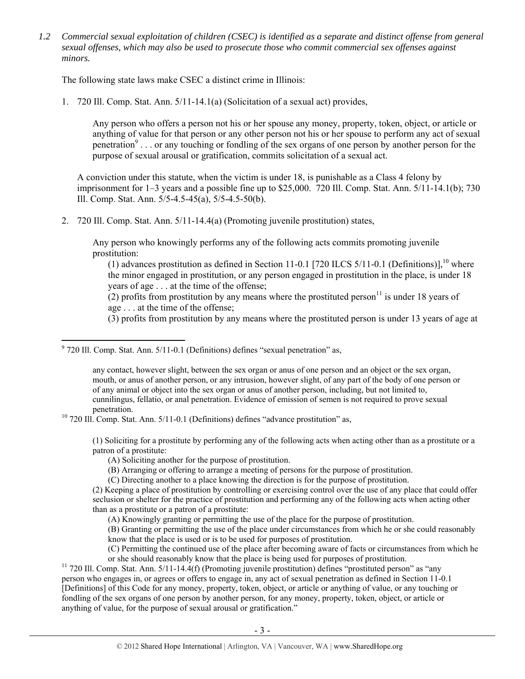*1.2 Commercial sexual exploitation of children (CSEC) is identified as a separate and distinct offense from general sexual offenses, which may also be used to prosecute those who commit commercial sex offenses against minors.* 

The following state laws make CSEC a distinct crime in Illinois:

1. 720 Ill. Comp. Stat. Ann. 5/11-14.1(a) (Solicitation of a sexual act) provides,

Any person who offers a person not his or her spouse any money, property, token, object, or article or anything of value for that person or any other person not his or her spouse to perform any act of sexual penetration<sup>9</sup>... or any touching or fondling of the sex organs of one person by another person for the purpose of sexual arousal or gratification, commits solicitation of a sexual act.

A conviction under this statute, when the victim is under 18, is punishable as a Class 4 felony by imprisonment for 1–3 years and a possible fine up to \$25,000. 720 Ill. Comp. Stat. Ann. 5/11-14.1(b); 730 Ill. Comp. Stat. Ann. 5/5-4.5-45(a), 5/5-4.5-50(b).

2. 720 Ill. Comp. Stat. Ann. 5/11-14.4(a) (Promoting juvenile prostitution) states,

Any person who knowingly performs any of the following acts commits promoting juvenile prostitution:

(1) advances prostitution as defined in Section 11-0.1 [720 ILCS 5/11-0.1 (Definitions)],<sup>10</sup> where the minor engaged in prostitution, or any person engaged in prostitution in the place, is under 18 years of age . . . at the time of the offense;

(2) profits from prostitution by any means where the prostituted person<sup>11</sup> is under 18 years of age . . . at the time of the offense;

(3) profits from prostitution by any means where the prostituted person is under 13 years of age at

any contact, however slight, between the sex organ or anus of one person and an object or the sex organ, mouth, or anus of another person, or any intrusion, however slight, of any part of the body of one person or of any animal or object into the sex organ or anus of another person, including, but not limited to, cunnilingus, fellatio, or anal penetration. Evidence of emission of semen is not required to prove sexual

penetration.<br><sup>10</sup> 720 Ill. Comp. Stat. Ann. 5/11-0.1 (Definitions) defines "advance prostitution" as,

(1) Soliciting for a prostitute by performing any of the following acts when acting other than as a prostitute or a patron of a prostitute:

- (A) Soliciting another for the purpose of prostitution.
- (B) Arranging or offering to arrange a meeting of persons for the purpose of prostitution.

(C) Directing another to a place knowing the direction is for the purpose of prostitution.

(2) Keeping a place of prostitution by controlling or exercising control over the use of any place that could offer seclusion or shelter for the practice of prostitution and performing any of the following acts when acting other than as a prostitute or a patron of a prostitute:

(A) Knowingly granting or permitting the use of the place for the purpose of prostitution.

(B) Granting or permitting the use of the place under circumstances from which he or she could reasonably know that the place is used or is to be used for purposes of prostitution.

(C) Permitting the continued use of the place after becoming aware of facts or circumstances from which he

or she should reasonably know that the place is being used for purposes of prostitution.<br><sup>11</sup> 720 Ill. Comp. Stat. Ann. 5/11-14.4(f) (Promoting juvenile prostitution) defines "prostituted person" as "any person who engages in, or agrees or offers to engage in, any act of sexual penetration as defined in Section 11-0.1 [Definitions] of this Code for any money, property, token, object, or article or anything of value, or any touching or fondling of the sex organs of one person by another person, for any money, property, token, object, or article or anything of value, for the purpose of sexual arousal or gratification."

 9 720 Ill. Comp. Stat. Ann. 5/11-0.1 (Definitions) defines "sexual penetration" as,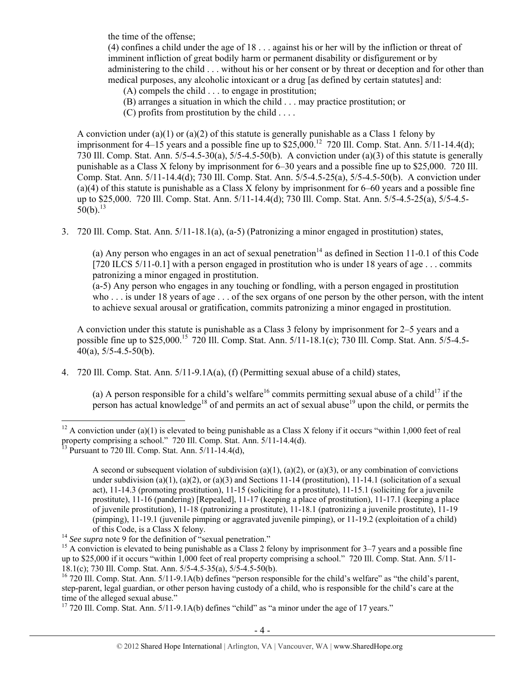the time of the offense;

(4) confines a child under the age of 18 . . . against his or her will by the infliction or threat of imminent infliction of great bodily harm or permanent disability or disfigurement or by administering to the child . . . without his or her consent or by threat or deception and for other than medical purposes, any alcoholic intoxicant or a drug [as defined by certain statutes] and:

- (A) compels the child . . . to engage in prostitution;
- (B) arranges a situation in which the child . . . may practice prostitution; or
- (C) profits from prostitution by the child . . . .

A conviction under (a)(1) or (a)(2) of this statute is generally punishable as a Class 1 felony by imprisonment for  $4-15$  years and a possible fine up to  $$25,000$ .<sup>12</sup> 720 Ill. Comp. Stat. Ann.  $5/11-14.4(d)$ ; 730 Ill. Comp. Stat. Ann. 5/5-4.5-30(a), 5/5-4.5-50(b). A conviction under (a)(3) of this statute is generally punishable as a Class X felony by imprisonment for 6–30 years and a possible fine up to \$25,000. 720 Ill. Comp. Stat. Ann. 5/11-14.4(d); 730 Ill. Comp. Stat. Ann. 5/5-4.5-25(a), 5/5-4.5-50(b). A conviction under (a)(4) of this statute is punishable as a Class X felony by imprisonment for 6–60 years and a possible fine up to \$25,000. 720 Ill. Comp. Stat. Ann. 5/11-14.4(d); 730 Ill. Comp. Stat. Ann. 5/5-4.5-25(a), 5/5-4.5-  $50(b)^{13}$ 

3. 720 Ill. Comp. Stat. Ann. 5/11-18.1(a), (a-5) (Patronizing a minor engaged in prostitution) states,

(a) Any person who engages in an act of sexual penetration<sup>14</sup> as defined in Section 11-0.1 of this Code [720 ILCS 5/11-0.1] with a person engaged in prostitution who is under 18 years of age . . . commits patronizing a minor engaged in prostitution.

(a-5) Any person who engages in any touching or fondling, with a person engaged in prostitution who . . . is under 18 years of age . . . of the sex organs of one person by the other person, with the intent to achieve sexual arousal or gratification, commits patronizing a minor engaged in prostitution.

A conviction under this statute is punishable as a Class 3 felony by imprisonment for 2–5 years and a possible fine up to \$25,000.<sup>15</sup> 720 Ill. Comp. Stat. Ann. 5/11-18.1(c); 730 Ill. Comp. Stat. Ann. 5/5-4.5- $40(a)$ ,  $5/5 - 4.5 - 50(b)$ .

4. 720 Ill. Comp. Stat. Ann. 5/11-9.1A(a), (f) (Permitting sexual abuse of a child) states,

(a) A person responsible for a child's welfare<sup>16</sup> commits permitting sexual abuse of a child<sup>17</sup> if the person has actual knowledge<sup>18</sup> of and permits an act of sexual abuse<sup>19</sup> upon the child, or permits the

<sup>&</sup>lt;sup>12</sup> A conviction under (a)(1) is elevated to being punishable as a Class X felony if it occurs "within 1,000 feet of real property comprising a school." 720 Ill. Comp. Stat. Ann. 5/11-14.4(d).

<sup>&</sup>lt;sup>13</sup> Pursuant to 720 Ill. Comp. Stat. Ann.  $5/11$ -14.4(d),

A second or subsequent violation of subdivision (a)(1), (a)(2), or (a)(3), or any combination of convictions under subdivision (a)(1), (a)(2), or (a)(3) and Sections 11-14 (prostitution), 11-14.1 (solicitation of a sexual act), 11-14.3 (promoting prostitution), 11-15 (soliciting for a prostitute), 11-15.1 (soliciting for a juvenile prostitute), 11-16 (pandering) [Repealed], 11-17 (keeping a place of prostitution), 11-17.1 (keeping a place of juvenile prostitution), 11-18 (patronizing a prostitute), 11-18.1 (patronizing a juvenile prostitute), 11-19 (pimping), 11-19.1 (juvenile pimping or aggravated juvenile pimping), or 11-19.2 (exploitation of a child)

of this Code, is a Class X felony.<br><sup>14</sup> *See supra* note 9 for the definition of "sexual penetration."<br><sup>15</sup> A conviction is elevated to being punishable as a Class 2 felony by imprisonment for 3–7 years and a possible fine up to \$25,000 if it occurs "within 1,000 feet of real property comprising a school." 720 Ill. Comp. Stat. Ann. 5/11- 18.1(c); 730 Ill. Comp. Stat. Ann. 5/5-4.5-35(a), 5/5-4.5-50(b).

 $^{16}$  720 Ill. Comp. Stat. Ann. 5/11-9.1A(b) defines "person responsible for the child's welfare" as "the child's parent, step-parent, legal guardian, or other person having custody of a child, who is responsible for the child's care at the time of the alleged sexual abuse."

 $17$  720 Ill. Comp. Stat. Ann.  $5/11-9.1A(b)$  defines "child" as "a minor under the age of 17 years."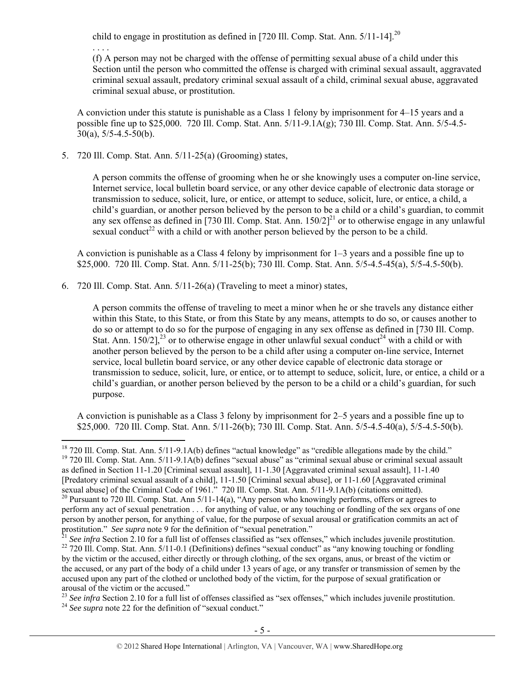child to engage in prostitution as defined in [720 Ill. Comp. Stat. Ann.  $5/11$ -14].<sup>20</sup>

(f) A person may not be charged with the offense of permitting sexual abuse of a child under this Section until the person who committed the offense is charged with criminal sexual assault, aggravated criminal sexual assault, predatory criminal sexual assault of a child, criminal sexual abuse, aggravated criminal sexual abuse, or prostitution.

A conviction under this statute is punishable as a Class 1 felony by imprisonment for 4–15 years and a possible fine up to \$25,000. 720 Ill. Comp. Stat. Ann. 5/11-9.1A(g); 730 Ill. Comp. Stat. Ann. 5/5-4.5- 30(a), 5/5-4.5-50(b).

5. 720 Ill. Comp. Stat. Ann. 5/11-25(a) (Grooming) states,

. . . .

A person commits the offense of grooming when he or she knowingly uses a computer on-line service, Internet service, local bulletin board service, or any other device capable of electronic data storage or transmission to seduce, solicit, lure, or entice, or attempt to seduce, solicit, lure, or entice, a child, a child's guardian, or another person believed by the person to be a child or a child's guardian, to commit any sex offense as defined in [730 Ill. Comp. Stat. Ann.  $150/2$ ]<sup>21</sup> or to otherwise engage in any unlawful sexual conduct<sup>22</sup> with a child or with another person believed by the person to be a child.

A conviction is punishable as a Class 4 felony by imprisonment for 1–3 years and a possible fine up to \$25,000. 720 Ill. Comp. Stat. Ann. 5/11-25(b); 730 Ill. Comp. Stat. Ann. 5/5-4.5-45(a), 5/5-4.5-50(b).

6. 720 Ill. Comp. Stat. Ann. 5/11-26(a) (Traveling to meet a minor) states,

A person commits the offense of traveling to meet a minor when he or she travels any distance either within this State, to this State, or from this State by any means, attempts to do so, or causes another to do so or attempt to do so for the purpose of engaging in any sex offense as defined in [730 Ill. Comp. Stat. Ann.  $150/2$ ],<sup>23</sup> or to otherwise engage in other unlawful sexual conduct<sup>24</sup> with a child or with another person believed by the person to be a child after using a computer on-line service, Internet service, local bulletin board service, or any other device capable of electronic data storage or transmission to seduce, solicit, lure, or entice, or to attempt to seduce, solicit, lure, or entice, a child or a child's guardian, or another person believed by the person to be a child or a child's guardian, for such purpose.

A conviction is punishable as a Class 3 felony by imprisonment for 2–5 years and a possible fine up to \$25,000. 720 Ill. Comp. Stat. Ann. 5/11-26(b); 730 Ill. Comp. Stat. Ann. 5/5-4.5-40(a), 5/5-4.5-50(b).

<sup>&</sup>lt;sup>18</sup> 720 Ill. Comp. Stat. Ann. 5/11-9.1A(b) defines "actual knowledge" as "credible allegations made by the child." <sup>19</sup> 720 Ill. Comp. Stat. Ann. 5/11-9.1A(b) defines "sexual abuse" as "criminal sexual abuse or criminal sexual assault as defined in Section 11-1.20 [Criminal sexual assault], 11-1.30 [Aggravated criminal sexual assault], 11-1.40 [Predatory criminal sexual assault of a child], 11-1.50 [Criminal sexual abuse], or 11-1.60 [Aggravated criminal sexual abuse] of the Criminal Code of 1961." 720 Ill. Comp. Stat. Ann. 5/11-9.1A(b) (citations omitted).

<sup>&</sup>lt;sup>20</sup> Pursuant to 720 Ill. Comp. Stat. Ann 5/11-14(a), "Any person who knowingly performs, offers or agrees to perform any act of sexual penetration . . . for anything of value, or any touching or fondling of the sex organs of one person by another person, for anything of value, for the purpose of sexual arousal or gratification commits an act of

prostitution." *See supra* note 9 for the definition of "sexual penetration."<br><sup>21</sup> See infra Section 2.10 for a full list of offenses classified as "sex offenses," which includes juvenile prostitution.<br><sup>22</sup> 720 Ill. Comp. by the victim or the accused, either directly or through clothing, of the sex organs, anus, or breast of the victim or the accused, or any part of the body of a child under 13 years of age, or any transfer or transmission of semen by the accused upon any part of the clothed or unclothed body of the victim, for the purpose of sexual gratification or arousal of the victim or the accused."

<sup>&</sup>lt;sup>23</sup> *See infra* Section 2.10 for a full list of offenses classified as "sex offenses," which includes juvenile prostitution.<br><sup>24</sup> *See supra* note 22 for the definition of "sexual conduct."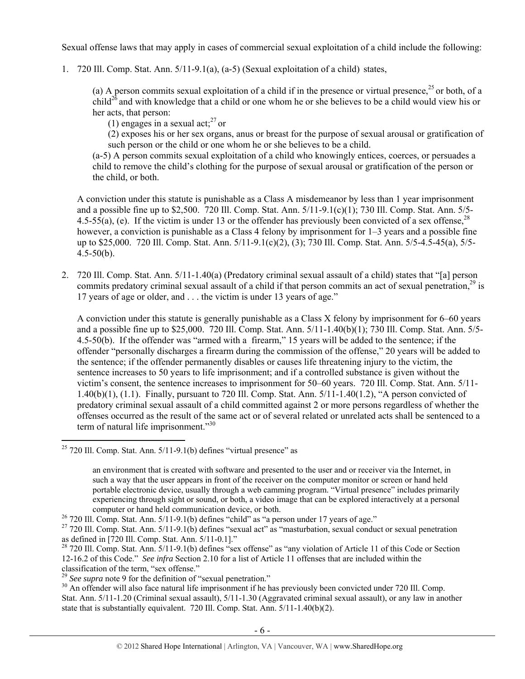Sexual offense laws that may apply in cases of commercial sexual exploitation of a child include the following:

1. 720 Ill. Comp. Stat. Ann. 5/11-9.1(a), (a-5) (Sexual exploitation of a child) states,

(a) A person commits sexual exploitation of a child if in the presence or virtual presence,  $^{25}$  or both, of a child<sup>26</sup> and with knowledge that a child or one whom he or she believes to be a child would view his or her acts, that person:

(1) engages in a sexual act: $27$  or

(2) exposes his or her sex organs, anus or breast for the purpose of sexual arousal or gratification of such person or the child or one whom he or she believes to be a child.

(a-5) A person commits sexual exploitation of a child who knowingly entices, coerces, or persuades a child to remove the child's clothing for the purpose of sexual arousal or gratification of the person or the child, or both.

A conviction under this statute is punishable as a Class A misdemeanor by less than 1 year imprisonment and a possible fine up to \$2,500. 720 Ill. Comp. Stat. Ann. 5/11-9.1(c)(1); 730 Ill. Comp. Stat. Ann. 5/5- 4.5-55(a), (e). If the victim is under 13 or the offender has previously been convicted of a sex offense,  $2^8$ however, a conviction is punishable as a Class 4 felony by imprisonment for 1–3 years and a possible fine up to \$25,000. 720 Ill. Comp. Stat. Ann. 5/11-9.1(c)(2), (3); 730 Ill. Comp. Stat. Ann. 5/5-4.5-45(a), 5/5- 4.5-50(b).

2. 720 Ill. Comp. Stat. Ann. 5/11-1.40(a) (Predatory criminal sexual assault of a child) states that "[a] person commits predatory criminal sexual assault of a child if that person commits an act of sexual penetration.<sup>29</sup> is 17 years of age or older, and . . . the victim is under 13 years of age."

A conviction under this statute is generally punishable as a Class X felony by imprisonment for 6–60 years and a possible fine up to \$25,000. 720 Ill. Comp. Stat. Ann. 5/11-1.40(b)(1); 730 Ill. Comp. Stat. Ann. 5/5- 4.5-50(b). If the offender was "armed with a firearm," 15 years will be added to the sentence; if the offender "personally discharges a firearm during the commission of the offense," 20 years will be added to the sentence; if the offender permanently disables or causes life threatening injury to the victim, the sentence increases to 50 years to life imprisonment; and if a controlled substance is given without the victim's consent, the sentence increases to imprisonment for 50–60 years. 720 Ill. Comp. Stat. Ann. 5/11- 1.40(b)(1), (1.1). Finally, pursuant to 720 Ill. Comp. Stat. Ann. 5/11-1.40(1.2), "A person convicted of predatory criminal sexual assault of a child committed against 2 or more persons regardless of whether the offenses occurred as the result of the same act or of several related or unrelated acts shall be sentenced to a term of natural life imprisonment."<sup>30</sup>

 $25$  720 Ill. Comp. Stat. Ann.  $5/11$ -9.1(b) defines "virtual presence" as

an environment that is created with software and presented to the user and or receiver via the Internet, in such a way that the user appears in front of the receiver on the computer monitor or screen or hand held portable electronic device, usually through a web camming program. "Virtual presence" includes primarily experiencing through sight or sound, or both, a video image that can be explored interactively at a personal

computer or hand held communication device, or both.<br><sup>26</sup> 720 III. Comp. Stat. Ann. 5/11-9.1(b) defines "child" as "a person under 17 years of age."<br><sup>27</sup> 720 III. Comp. Stat. Ann. 5/11-9.1(b) defines "sexual act" as "mastu as defined in [720 Ill. Comp. Stat. Ann. 5/11-0.1]."

 $28$  720 Ill. Comp. Stat. Ann.  $5/11-9.1(b)$  defines "sex offense" as "any violation of Article 11 of this Code or Section 12-16.2 of this Code." *See infra* Section 2.10 for a list of Article 11 offenses that are included within the classification of the term, "sex offense."<br><sup>29</sup> See supra note 9 for the definition of "sexual penetration."

<sup>&</sup>lt;sup>30</sup> An offender will also face natural life imprisonment if he has previously been convicted under 720 Ill. Comp. Stat. Ann. 5/11-1.20 (Criminal sexual assault), 5/11-1.30 (Aggravated criminal sexual assault), or any law in another state that is substantially equivalent. 720 Ill. Comp. Stat. Ann. 5/11-1.40(b)(2).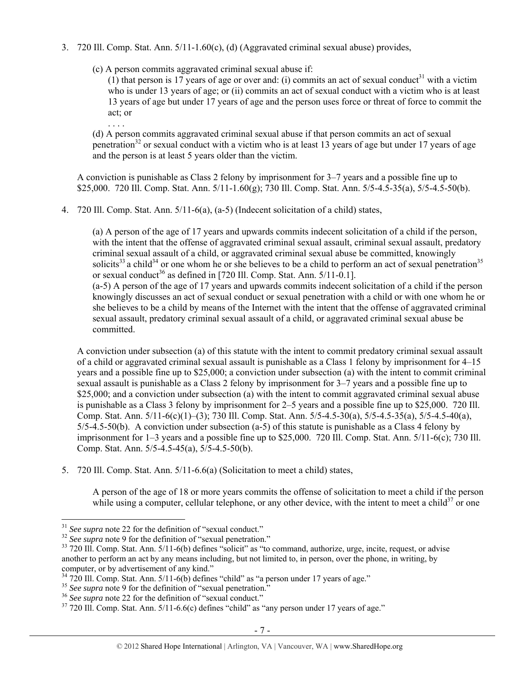- 3. 720 Ill. Comp. Stat. Ann. 5/11-1.60(c), (d) (Aggravated criminal sexual abuse) provides,
	- (c) A person commits aggravated criminal sexual abuse if:

. . . .

 $(1)$  that person is 17 years of age or over and: (i) commits an act of sexual conduct<sup>31</sup> with a victim who is under 13 years of age; or (ii) commits an act of sexual conduct with a victim who is at least 13 years of age but under 17 years of age and the person uses force or threat of force to commit the act; or

(d) A person commits aggravated criminal sexual abuse if that person commits an act of sexual penetration<sup>32</sup> or sexual conduct with a victim who is at least  $13$  years of age but under 17 years of age and the person is at least 5 years older than the victim.

A conviction is punishable as Class 2 felony by imprisonment for 3–7 years and a possible fine up to \$25,000. 720 Ill. Comp. Stat. Ann. 5/11-1.60(g); 730 Ill. Comp. Stat. Ann. 5/5-4.5-35(a), 5/5-4.5-50(b).

4. 720 Ill. Comp. Stat. Ann. 5/11-6(a), (a-5) (Indecent solicitation of a child) states,

(a) A person of the age of 17 years and upwards commits indecent solicitation of a child if the person, with the intent that the offense of aggravated criminal sexual assault, criminal sexual assault, predatory criminal sexual assault of a child, or aggravated criminal sexual abuse be committed, knowingly solicits<sup>33</sup> a child<sup>34</sup> or one whom he or she believes to be a child to perform an act of sexual penetration<sup>35</sup> or sexual conduct<sup>36</sup> as defined in [720 Ill. Comp. Stat. Ann.  $5/11$ - $0.1$ ]. (a-5) A person of the age of 17 years and upwards commits indecent solicitation of a child if the person knowingly discusses an act of sexual conduct or sexual penetration with a child or with one whom he or she believes to be a child by means of the Internet with the intent that the offense of aggravated criminal sexual assault, predatory criminal sexual assault of a child, or aggravated criminal sexual abuse be committed.

A conviction under subsection (a) of this statute with the intent to commit predatory criminal sexual assault of a child or aggravated criminal sexual assault is punishable as a Class 1 felony by imprisonment for 4–15 years and a possible fine up to \$25,000; a conviction under subsection (a) with the intent to commit criminal sexual assault is punishable as a Class 2 felony by imprisonment for 3–7 years and a possible fine up to \$25,000; and a conviction under subsection (a) with the intent to commit aggravated criminal sexual abuse is punishable as a Class 3 felony by imprisonment for 2–5 years and a possible fine up to \$25,000. 720 Ill. Comp. Stat. Ann. 5/11-6(c)(1)–(3); 730 Ill. Comp. Stat. Ann. 5/5-4.5-30(a), 5/5-4.5-35(a), 5/5-4.5-40(a), 5/5-4.5-50(b). A conviction under subsection (a-5) of this statute is punishable as a Class 4 felony by imprisonment for 1–3 years and a possible fine up to \$25,000. 720 Ill. Comp. Stat. Ann. 5/11-6(c); 730 Ill. Comp. Stat. Ann. 5/5-4.5-45(a), 5/5-4.5-50(b).

5. 720 Ill. Comp. Stat. Ann. 5/11-6.6(a) (Solicitation to meet a child) states,

A person of the age of 18 or more years commits the offense of solicitation to meet a child if the person while using a computer, cellular telephone, or any other device, with the intent to meet a child<sup>37</sup> or one

 $31$  See supra note 22 for the definition of "sexual conduct."

 $\frac{32}{33}$  See supra note 9 for the definition of "sexual penetration."<br> $\frac{33}{20}$  T20 III. Comp. Stat. Ann. 5/11-6(b) defines "solicit" as "to command, authorize, urge, incite, request, or advise another to perform an act by any means including, but not limited to, in person, over the phone, in writing, by computer, or by advertisement of any kind."<br><sup>34</sup> 720 III. Comp. Stat. Ann. 5/11-6(b) defines "child" as "a person under 17 years of age."

<sup>&</sup>lt;sup>35</sup> See supra note 9 for the definition of "sexual penetration."<br><sup>36</sup> See supra note 22 for the definition of "sexual conduct."<br><sup>37</sup> 720 III. Comp. Stat. Ann. 5/11-6.6(c) defines "child" as "any person under 17 years of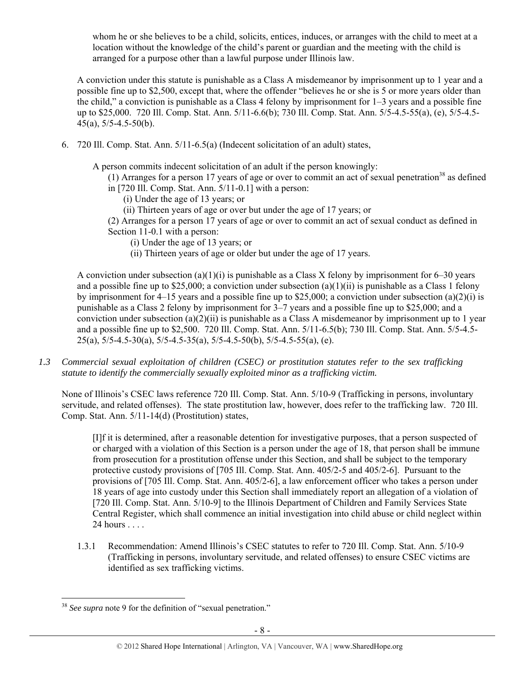whom he or she believes to be a child, solicits, entices, induces, or arranges with the child to meet at a location without the knowledge of the child's parent or guardian and the meeting with the child is arranged for a purpose other than a lawful purpose under Illinois law.

A conviction under this statute is punishable as a Class A misdemeanor by imprisonment up to 1 year and a possible fine up to \$2,500, except that, where the offender "believes he or she is 5 or more years older than the child," a conviction is punishable as a Class 4 felony by imprisonment for 1–3 years and a possible fine up to \$25,000. 720 Ill. Comp. Stat. Ann. 5/11-6.6(b); 730 Ill. Comp. Stat. Ann. 5/5-4.5-55(a), (e), 5/5-4.5- 45(a), 5/5-4.5-50(b).

6. 720 Ill. Comp. Stat. Ann. 5/11-6.5(a) (Indecent solicitation of an adult) states,

A person commits indecent solicitation of an adult if the person knowingly:

(1) Arranges for a person 17 years of age or over to commit an act of sexual penetration<sup>38</sup> as defined in [720 Ill. Comp. Stat. Ann. 5/11-0.1] with a person:

- (i) Under the age of 13 years; or
- (ii) Thirteen years of age or over but under the age of 17 years; or

(2) Arranges for a person 17 years of age or over to commit an act of sexual conduct as defined in Section 11-0.1 with a person:

- (i) Under the age of 13 years; or
- (ii) Thirteen years of age or older but under the age of 17 years.

A conviction under subsection (a)(1)(i) is punishable as a Class X felony by imprisonment for 6–30 years and a possible fine up to \$25,000; a conviction under subsection  $(a)(1)(ii)$  is punishable as a Class 1 felony by imprisonment for 4–15 years and a possible fine up to \$25,000; a conviction under subsection (a)(2)(i) is punishable as a Class 2 felony by imprisonment for 3–7 years and a possible fine up to \$25,000; and a conviction under subsection (a)(2)(ii) is punishable as a Class A misdemeanor by imprisonment up to 1 year and a possible fine up to \$2,500. 720 Ill. Comp. Stat. Ann. 5/11-6.5(b); 730 Ill. Comp. Stat. Ann. 5/5-4.5- 25(a),  $5/5-4.5-30(a)$ ,  $5/5-4.5-35(a)$ ,  $5/5-4.5-50(b)$ ,  $5/5-4.5-55(a)$ , (e).

*1.3 Commercial sexual exploitation of children (CSEC) or prostitution statutes refer to the sex trafficking statute to identify the commercially sexually exploited minor as a trafficking victim.* 

None of Illinois's CSEC laws reference 720 Ill. Comp. Stat. Ann. 5/10-9 (Trafficking in persons, involuntary servitude, and related offenses). The state prostitution law, however, does refer to the trafficking law. 720 Ill. Comp. Stat. Ann. 5/11-14(d) (Prostitution) states,

[I]f it is determined, after a reasonable detention for investigative purposes, that a person suspected of or charged with a violation of this Section is a person under the age of 18, that person shall be immune from prosecution for a prostitution offense under this Section, and shall be subject to the temporary protective custody provisions of [705 Ill. Comp. Stat. Ann. 405/2-5 and 405/2-6]. Pursuant to the provisions of [705 Ill. Comp. Stat. Ann. 405/2-6], a law enforcement officer who takes a person under 18 years of age into custody under this Section shall immediately report an allegation of a violation of [720 Ill. Comp. Stat. Ann. 5/10-9] to the Illinois Department of Children and Family Services State Central Register, which shall commence an initial investigation into child abuse or child neglect within 24 hours . . . .

1.3.1 Recommendation: Amend Illinois's CSEC statutes to refer to 720 Ill. Comp. Stat. Ann. 5/10-9 (Trafficking in persons, involuntary servitude, and related offenses) to ensure CSEC victims are identified as sex trafficking victims.

 $\overline{a}$ <sup>38</sup> *See supra* note 9 for the definition of "sexual penetration."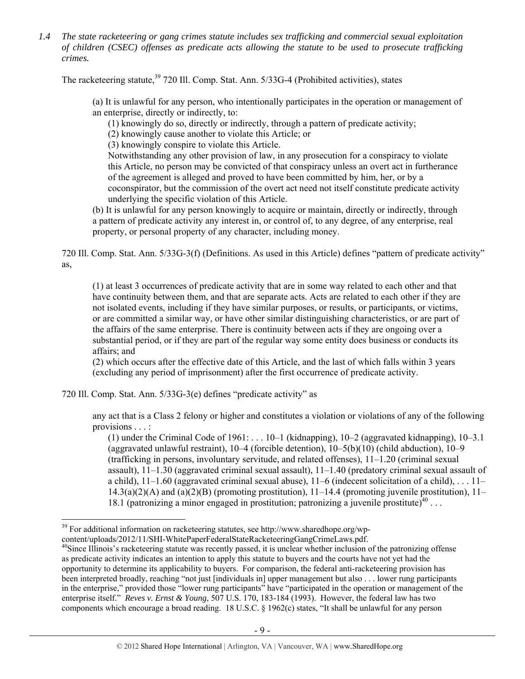*1.4 The state racketeering or gang crimes statute includes sex trafficking and commercial sexual exploitation of children (CSEC) offenses as predicate acts allowing the statute to be used to prosecute trafficking crimes.* 

The racketeering statute,<sup>39</sup> 720 Ill. Comp. Stat. Ann. 5/33G-4 (Prohibited activities), states

(a) It is unlawful for any person, who intentionally participates in the operation or management of an enterprise, directly or indirectly, to:

(1) knowingly do so, directly or indirectly, through a pattern of predicate activity;

(2) knowingly cause another to violate this Article; or

(3) knowingly conspire to violate this Article.

Notwithstanding any other provision of law, in any prosecution for a conspiracy to violate this Article, no person may be convicted of that conspiracy unless an overt act in furtherance of the agreement is alleged and proved to have been committed by him, her, or by a coconspirator, but the commission of the overt act need not itself constitute predicate activity underlying the specific violation of this Article.

(b) It is unlawful for any person knowingly to acquire or maintain, directly or indirectly, through a pattern of predicate activity any interest in, or control of, to any degree, of any enterprise, real property, or personal property of any character, including money.

720 Ill. Comp. Stat. Ann. 5/33G-3(f) (Definitions. As used in this Article) defines "pattern of predicate activity" as,

(1) at least 3 occurrences of predicate activity that are in some way related to each other and that have continuity between them, and that are separate acts. Acts are related to each other if they are not isolated events, including if they have similar purposes, or results, or participants, or victims, or are committed a similar way, or have other similar distinguishing characteristics, or are part of the affairs of the same enterprise. There is continuity between acts if they are ongoing over a substantial period, or if they are part of the regular way some entity does business or conducts its affairs; and

(2) which occurs after the effective date of this Article, and the last of which falls within 3 years (excluding any period of imprisonment) after the first occurrence of predicate activity.

720 Ill. Comp. Stat. Ann. 5/33G-3(e) defines "predicate activity" as

any act that is a Class 2 felony or higher and constitutes a violation or violations of any of the following provisions . . . :

(1) under the Criminal Code of 1961: . . . 10–1 (kidnapping), 10–2 (aggravated kidnapping), 10–3.1 (aggravated unlawful restraint), 10–4 (forcible detention), 10–5(b)(10) (child abduction), 10–9 (trafficking in persons, involuntary servitude, and related offenses), 11–1.20 (criminal sexual assault), 11–1.30 (aggravated criminal sexual assault), 11–1.40 (predatory criminal sexual assault of a child), 11–1.60 (aggravated criminal sexual abuse), 11–6 (indecent solicitation of a child), . . . 11–  $14.3(a)(2)(A)$  and  $(a)(2)(B)$  (promoting prostitution),  $11-14.4$  (promoting juvenile prostitution),  $11-$ 18.1 (patronizing a minor engaged in prostitution; patronizing a juvenile prostitute)<sup>40</sup> ...

 $\overline{a}$  $39$  For additional information on racketeering statutes, see http://www.sharedhope.org/wp-

content/uploads/2012/11/SHI-WhitePaperFederalStateRacketeeringGangCrimeLaws.pdf. 40Since Illinois's racketeering statute was recently passed, it is unclear whether inclusion of the patronizing offense as predicate activity indicates an intention to apply this statute to buyers and the courts have not yet had the opportunity to determine its applicability to buyers. For comparison, the federal anti-racketeering provision has been interpreted broadly, reaching "not just [individuals in] upper management but also . . . lower rung participants in the enterprise," provided those "lower rung participants" have "participated in the operation or management of the enterprise itself." *Reves v. Ernst & Young*, 507 U.S. 170, 183-184 (1993). However, the federal law has two components which encourage a broad reading. 18 U.S.C. § 1962(c) states, "It shall be unlawful for any person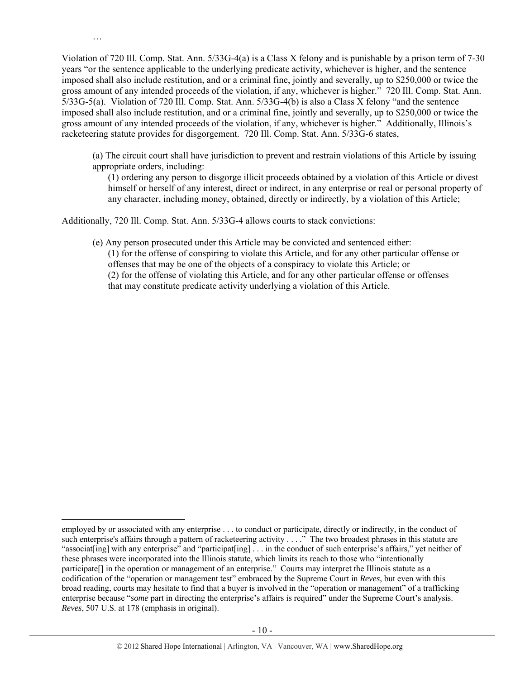Violation of 720 Ill. Comp. Stat. Ann. 5/33G-4(a) is a Class X felony and is punishable by a prison term of 7-30 years "or the sentence applicable to the underlying predicate activity, whichever is higher, and the sentence imposed shall also include restitution, and or a criminal fine, jointly and severally, up to \$250,000 or twice the gross amount of any intended proceeds of the violation, if any, whichever is higher." 720 Ill. Comp. Stat. Ann. 5/33G-5(a). Violation of 720 Ill. Comp. Stat. Ann. 5/33G-4(b) is also a Class X felony "and the sentence imposed shall also include restitution, and or a criminal fine, jointly and severally, up to \$250,000 or twice the gross amount of any intended proceeds of the violation, if any, whichever is higher." Additionally, Illinois's racketeering statute provides for disgorgement. 720 Ill. Comp. Stat. Ann. 5/33G-6 states,

(a) The circuit court shall have jurisdiction to prevent and restrain violations of this Article by issuing appropriate orders, including:

(1) ordering any person to disgorge illicit proceeds obtained by a violation of this Article or divest himself or herself of any interest, direct or indirect, in any enterprise or real or personal property of any character, including money, obtained, directly or indirectly, by a violation of this Article;

Additionally, 720 Ill. Comp. Stat. Ann. 5/33G-4 allows courts to stack convictions:

…

 $\overline{a}$ 

(e) Any person prosecuted under this Article may be convicted and sentenced either: (1) for the offense of conspiring to violate this Article, and for any other particular offense or offenses that may be one of the objects of a conspiracy to violate this Article; or (2) for the offense of violating this Article, and for any other particular offense or offenses that may constitute predicate activity underlying a violation of this Article.

employed by or associated with any enterprise . . . to conduct or participate, directly or indirectly, in the conduct of such enterprise's affairs through a pattern of racketeering activity . . . ." The two broadest phrases in this statute are "associat[ing] with any enterprise" and "participat[ing] ... in the conduct of such enterprise's affairs," yet neither of these phrases were incorporated into the Illinois statute, which limits its reach to those who "intentionally participate[] in the operation or management of an enterprise." Courts may interpret the Illinois statute as a codification of the "operation or management test" embraced by the Supreme Court in *Reves*, but even with this broad reading, courts may hesitate to find that a buyer is involved in the "operation or management" of a trafficking enterprise because "*some* part in directing the enterprise's affairs is required" under the Supreme Court's analysis. *Reves*, 507 U.S. at 178 (emphasis in original).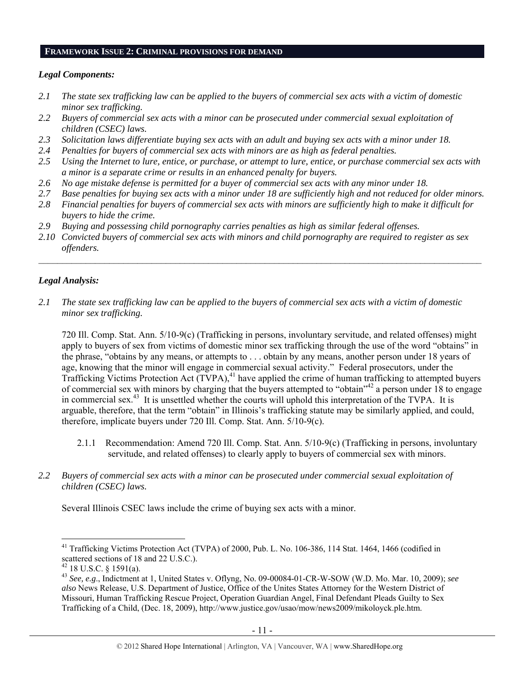#### **FRAMEWORK ISSUE 2: CRIMINAL PROVISIONS FOR DEMAND**

### *Legal Components:*

- *2.1 The state sex trafficking law can be applied to the buyers of commercial sex acts with a victim of domestic minor sex trafficking.*
- *2.2 Buyers of commercial sex acts with a minor can be prosecuted under commercial sexual exploitation of children (CSEC) laws.*
- *2.3 Solicitation laws differentiate buying sex acts with an adult and buying sex acts with a minor under 18.*
- *2.4 Penalties for buyers of commercial sex acts with minors are as high as federal penalties.*
- *2.5 Using the Internet to lure, entice, or purchase, or attempt to lure, entice, or purchase commercial sex acts with a minor is a separate crime or results in an enhanced penalty for buyers.*
- *2.6 No age mistake defense is permitted for a buyer of commercial sex acts with any minor under 18.*
- *2.7 Base penalties for buying sex acts with a minor under 18 are sufficiently high and not reduced for older minors.*
- *2.8 Financial penalties for buyers of commercial sex acts with minors are sufficiently high to make it difficult for buyers to hide the crime.*
- *2.9 Buying and possessing child pornography carries penalties as high as similar federal offenses.*
- *2.10 Convicted buyers of commercial sex acts with minors and child pornography are required to register as sex offenders.*

 $\mathcal{L}_\mathcal{L} = \{ \mathcal{L}_\mathcal{L} = \{ \mathcal{L}_\mathcal{L} = \{ \mathcal{L}_\mathcal{L} = \{ \mathcal{L}_\mathcal{L} = \{ \mathcal{L}_\mathcal{L} = \{ \mathcal{L}_\mathcal{L} = \{ \mathcal{L}_\mathcal{L} = \{ \mathcal{L}_\mathcal{L} = \{ \mathcal{L}_\mathcal{L} = \{ \mathcal{L}_\mathcal{L} = \{ \mathcal{L}_\mathcal{L} = \{ \mathcal{L}_\mathcal{L} = \{ \mathcal{L}_\mathcal{L} = \{ \mathcal{L}_\mathcal{$ 

### *Legal Analysis:*

*2.1 The state sex trafficking law can be applied to the buyers of commercial sex acts with a victim of domestic minor sex trafficking.* 

720 Ill. Comp. Stat. Ann. 5/10-9(c) (Trafficking in persons, involuntary servitude, and related offenses) might apply to buyers of sex from victims of domestic minor sex trafficking through the use of the word "obtains" in the phrase, "obtains by any means, or attempts to . . . obtain by any means, another person under 18 years of age, knowing that the minor will engage in commercial sexual activity." Federal prosecutors, under the Trafficking Victims Protection Act  $\widetilde{(TVPA)}$ ,<sup>41</sup> have applied the crime of human trafficking to attempted buyers of commercial sex with minors by charging that the buyers attempted to "obtain"42 a person under 18 to engage in commercial sex.<sup>43</sup> It is unsettled whether the courts will uphold this interpretation of the TVPA. It is arguable, therefore, that the term "obtain" in Illinois's trafficking statute may be similarly applied, and could, therefore, implicate buyers under 720 Ill. Comp. Stat. Ann. 5/10-9(c).

- 2.1.1 Recommendation: Amend 720 Ill. Comp. Stat. Ann. 5/10-9(c) (Trafficking in persons, involuntary servitude, and related offenses) to clearly apply to buyers of commercial sex with minors.
- *2.2 Buyers of commercial sex acts with a minor can be prosecuted under commercial sexual exploitation of children (CSEC) laws.*

Several Illinois CSEC laws include the crime of buying sex acts with a minor.

<sup>&</sup>lt;sup>41</sup> Trafficking Victims Protection Act (TVPA) of 2000, Pub. L. No. 106-386, 114 Stat. 1464, 1466 (codified in scattered sections of 18 and 22 U.S.C.).

 $42$  18 U.S.C. § 1591(a).

<sup>43</sup> *See, e.g*., Indictment at 1, United States v. Oflyng, No. 09-00084-01-CR-W-SOW (W.D. Mo. Mar. 10, 2009); *see also* News Release, U.S. Department of Justice, Office of the Unites States Attorney for the Western District of Missouri, Human Trafficking Rescue Project, Operation Guardian Angel, Final Defendant Pleads Guilty to Sex Trafficking of a Child, (Dec. 18, 2009), http://www.justice.gov/usao/mow/news2009/mikoloyck.ple.htm.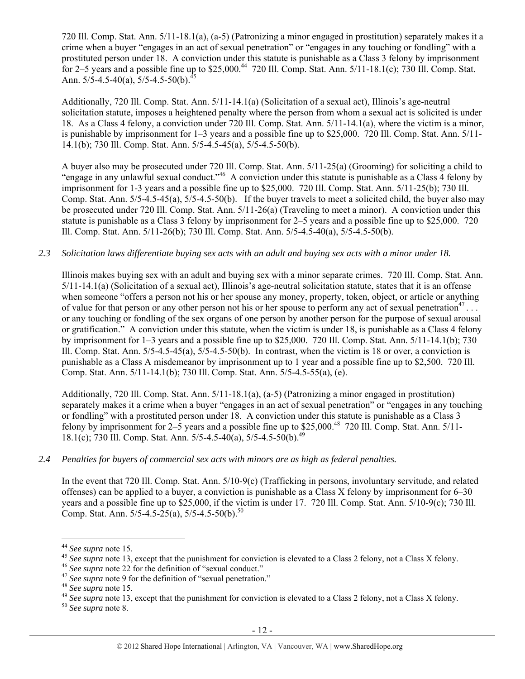720 Ill. Comp. Stat. Ann. 5/11-18.1(a), (a-5) (Patronizing a minor engaged in prostitution) separately makes it a crime when a buyer "engages in an act of sexual penetration" or "engages in any touching or fondling" with a prostituted person under 18. A conviction under this statute is punishable as a Class 3 felony by imprisonment for 2–5 years and a possible fine up to \$25,000.44 720 Ill. Comp. Stat. Ann. 5/11-18.1(c); 730 Ill. Comp. Stat. Ann.  $5/5-4.5-40(a)$ ,  $5/5-4.5-50(b)$ .

Additionally, 720 Ill. Comp. Stat. Ann. 5/11-14.1(a) (Solicitation of a sexual act), Illinois's age-neutral solicitation statute, imposes a heightened penalty where the person from whom a sexual act is solicited is under 18. As a Class 4 felony, a conviction under 720 Ill. Comp. Stat. Ann. 5/11-14.1(a), where the victim is a minor, is punishable by imprisonment for 1–3 years and a possible fine up to \$25,000. 720 Ill. Comp. Stat. Ann. 5/11- 14.1(b); 730 Ill. Comp. Stat. Ann. 5/5-4.5-45(a), 5/5-4.5-50(b).

A buyer also may be prosecuted under 720 Ill. Comp. Stat. Ann. 5/11-25(a) (Grooming) for soliciting a child to "engage in any unlawful sexual conduct."46 A conviction under this statute is punishable as a Class 4 felony by imprisonment for 1-3 years and a possible fine up to \$25,000. 720 Ill. Comp. Stat. Ann. 5/11-25(b); 730 Ill. Comp. Stat. Ann.  $5/5-4.5-45(a)$ ,  $5/5-4.5-50(b)$ . If the buyer travels to meet a solicited child, the buyer also may be prosecuted under 720 Ill. Comp. Stat. Ann. 5/11-26(a) (Traveling to meet a minor). A conviction under this statute is punishable as a Class 3 felony by imprisonment for 2–5 years and a possible fine up to \$25,000. 720 Ill. Comp. Stat. Ann. 5/11-26(b); 730 Ill. Comp. Stat. Ann. 5/5-4.5-40(a), 5/5-4.5-50(b).

### *2.3 Solicitation laws differentiate buying sex acts with an adult and buying sex acts with a minor under 18.*

Illinois makes buying sex with an adult and buying sex with a minor separate crimes. 720 Ill. Comp. Stat. Ann. 5/11-14.1(a) (Solicitation of a sexual act), Illinois's age-neutral solicitation statute, states that it is an offense when someone "offers a person not his or her spouse any money, property, token, object, or article or anything of value for that person or any other person not his or her spouse to perform any act of sexual penetration<sup>47</sup>... or any touching or fondling of the sex organs of one person by another person for the purpose of sexual arousal or gratification." A conviction under this statute, when the victim is under 18, is punishable as a Class 4 felony by imprisonment for 1–3 years and a possible fine up to \$25,000. 720 Ill. Comp. Stat. Ann. 5/11-14.1(b); 730 Ill. Comp. Stat. Ann. 5/5-4.5-45(a), 5/5-4.5-50(b). In contrast, when the victim is 18 or over, a conviction is punishable as a Class A misdemeanor by imprisonment up to 1 year and a possible fine up to \$2,500. 720 Ill. Comp. Stat. Ann. 5/11-14.1(b); 730 Ill. Comp. Stat. Ann. 5/5-4.5-55(a), (e).

Additionally, 720 Ill. Comp. Stat. Ann. 5/11-18.1(a), (a-5) (Patronizing a minor engaged in prostitution) separately makes it a crime when a buyer "engages in an act of sexual penetration" or "engages in any touching or fondling" with a prostituted person under 18. A conviction under this statute is punishable as a Class 3 felony by imprisonment for  $2-\overline{5}$  years and a possible fine up to \$25,000.<sup>48</sup> 720 Ill. Comp. Stat. Ann. 5/11-18.1(c); 730 Ill. Comp. Stat. Ann. 5/5-4.5-40(a), 5/5-4.5-50(b).49

### *2.4 Penalties for buyers of commercial sex acts with minors are as high as federal penalties.*

In the event that 720 Ill. Comp. Stat. Ann. 5/10-9(c) (Trafficking in persons, involuntary servitude, and related offenses) can be applied to a buyer, a conviction is punishable as a Class X felony by imprisonment for 6–30 years and a possible fine up to \$25,000, if the victim is under 17. 720 Ill. Comp. Stat. Ann. 5/10-9(c); 730 Ill. Comp. Stat. Ann.  $5/5-4.5-25(a)$ ,  $5/5-4.5-50(b)$ .<sup>50</sup>

<sup>&</sup>lt;sup>44</sup> See supra note 15.

<sup>&</sup>lt;sup>45</sup> See supra note 13, except that the punishment for conviction is elevated to a Class 2 felony, not a Class X felony.<br><sup>46</sup> See supra note 22 for the definition of "sexual conduct."<br><sup>47</sup> See supra note 9 for the definit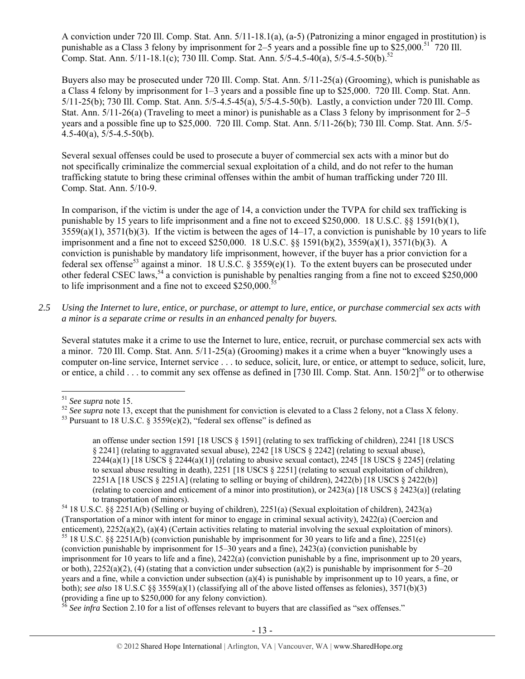A conviction under 720 Ill. Comp. Stat. Ann. 5/11-18.1(a), (a-5) (Patronizing a minor engaged in prostitution) is punishable as a Class 3 felony by imprisonment for  $2-5$  years and a possible fine up to  $$25,000$ .<sup>51</sup> 720 Ill. Comp. Stat. Ann.  $5/11-18.1(c)$ ; 730 Ill. Comp. Stat. Ann.  $5/5-4.5-40(a)$ ,  $5/5-4.5-50(b)$ .<sup>52</sup>

Buyers also may be prosecuted under 720 Ill. Comp. Stat. Ann. 5/11-25(a) (Grooming), which is punishable as a Class 4 felony by imprisonment for 1–3 years and a possible fine up to \$25,000. 720 Ill. Comp. Stat. Ann. 5/11-25(b); 730 Ill. Comp. Stat. Ann. 5/5-4.5-45(a), 5/5-4.5-50(b). Lastly, a conviction under 720 Ill. Comp. Stat. Ann. 5/11-26(a) (Traveling to meet a minor) is punishable as a Class 3 felony by imprisonment for 2–5 years and a possible fine up to \$25,000. 720 Ill. Comp. Stat. Ann. 5/11-26(b); 730 Ill. Comp. Stat. Ann. 5/5-  $4.5-40(a)$ ,  $5/5-4.5-50(b)$ .

Several sexual offenses could be used to prosecute a buyer of commercial sex acts with a minor but do not specifically criminalize the commercial sexual exploitation of a child, and do not refer to the human trafficking statute to bring these criminal offenses within the ambit of human trafficking under 720 Ill. Comp. Stat. Ann. 5/10-9.

In comparison, if the victim is under the age of 14, a conviction under the TVPA for child sex trafficking is punishable by 15 years to life imprisonment and a fine not to exceed \$250,000. 18 U.S.C. §§ 1591(b)(1),  $3559(a)(1)$ ,  $3571(b)(3)$ . If the victim is between the ages of  $14-17$ , a conviction is punishable by 10 years to life imprisonment and a fine not to exceed \$250,000. 18 U.S.C. §§ 1591(b)(2), 3559(a)(1), 3571(b)(3). A conviction is punishable by mandatory life imprisonment, however, if the buyer has a prior conviction for a federal sex offense<sup>53</sup> against a minor. 18 U.S.C. § 3559(e)(1). To the extent buyers can be prosecuted under other federal CSEC laws,<sup>54</sup> a conviction is punishable by penalties ranging from a fine not to exceed \$250,000 to life imprisonment and a fine not to exceed  $$250,000$ .<sup>5</sup>

*2.5 Using the Internet to lure, entice, or purchase, or attempt to lure, entice, or purchase commercial sex acts with a minor is a separate crime or results in an enhanced penalty for buyers.* 

Several statutes make it a crime to use the Internet to lure, entice, recruit, or purchase commercial sex acts with a minor. 720 Ill. Comp. Stat. Ann. 5/11-25(a) (Grooming) makes it a crime when a buyer "knowingly uses a computer on-line service, Internet service . . . to seduce, solicit, lure, or entice, or attempt to seduce, solicit, lure, or entice, a child  $\ldots$  to commit any sex offense as defined in [730 Ill. Comp. Stat. Ann.  $150/2$ ]<sup>56</sup> or to otherwise

<sup>&</sup>lt;sup>51</sup> See supra note 15.<br><sup>52</sup> See supra note 13, except that the punishment for conviction is elevated to a Class 2 felony, not a Class X felony.<br><sup>53</sup> Pursuant to 18 U.S.C. § 3559(e)(2), "federal sex offense" is defined as

an offense under section 1591 [18 USCS § 1591] (relating to sex trafficking of children), 2241 [18 USCS § 2241] (relating to aggravated sexual abuse), 2242 [18 USCS § 2242] (relating to sexual abuse),  $2244(a)(1)$  [18 USCS  $\S 2244(a)(1)$ ] (relating to abusive sexual contact), 2245 [18 USCS  $\S 2245$ ] (relating to sexual abuse resulting in death), 2251 [18 USCS § 2251] (relating to sexual exploitation of children), 2251A [18 USCS § 2251A] (relating to selling or buying of children), 2422(b) [18 USCS § 2422(b)] (relating to coercion and enticement of a minor into prostitution), or 2423(a) [18 USCS § 2423(a)] (relating to transportation of minors). 54 18 U.S.C. §§ 2251A(b) (Selling or buying of children), 2251(a) (Sexual exploitation of children), 2423(a)

<sup>(</sup>Transportation of a minor with intent for minor to engage in criminal sexual activity), 2422(a) (Coercion and enticement), 2252(a)(2), (a)(4) (Certain activities relating to material involving the sexual exploitation of minors). <sup>55</sup> 18 U.S.C. §§ 2251A(b) (conviction punishable by imprisonment for 30 years to life and a fine), 22 (conviction punishable by imprisonment for 15–30 years and a fine), 2423(a) (conviction punishable by imprisonment for 10 years to life and a fine), 2422(a) (conviction punishable by a fine, imprisonment up to 20 years, or both),  $2252(a)(2)$ , (4) (stating that a conviction under subsection (a)(2) is punishable by imprisonment for 5–20 years and a fine, while a conviction under subsection (a)(4) is punishable by imprisonment up to 10 years, a fine, or both); *see also* 18 U.S.C §§ 3559(a)(1) (classifying all of the above listed offenses as felonies), 3571(b)(3) (providing a fine up to \$250,000 for any felony conviction).

See infra Section 2.10 for a list of offenses relevant to buyers that are classified as "sex offenses."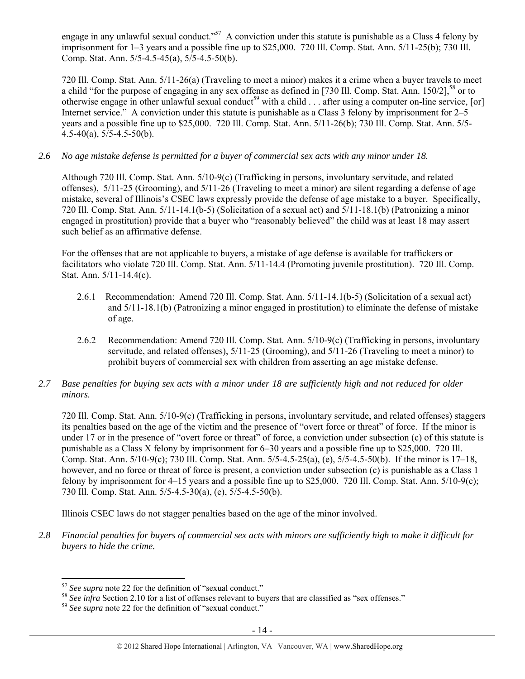engage in any unlawful sexual conduct."<sup>57</sup> A conviction under this statute is punishable as a Class 4 felony by imprisonment for 1–3 years and a possible fine up to \$25,000. 720 Ill. Comp. Stat. Ann. 5/11-25(b); 730 Ill. Comp. Stat. Ann. 5/5-4.5-45(a), 5/5-4.5-50(b).

720 Ill. Comp. Stat. Ann. 5/11-26(a) (Traveling to meet a minor) makes it a crime when a buyer travels to meet a child "for the purpose of engaging in any sex offense as defined in [730 Ill. Comp. Stat. Ann.  $150/2$ ],  $58$  or to otherwise engage in other unlawful sexual conduct<sup>59</sup> with a child  $\ldots$  after using a computer on-line service, [or] Internet service." A conviction under this statute is punishable as a Class 3 felony by imprisonment for 2–5 years and a possible fine up to \$25,000. 720 Ill. Comp. Stat. Ann. 5/11-26(b); 730 Ill. Comp. Stat. Ann. 5/5- 4.5-40(a), 5/5-4.5-50(b).

# *2.6 No age mistake defense is permitted for a buyer of commercial sex acts with any minor under 18.*

Although 720 Ill. Comp. Stat. Ann. 5/10-9(c) (Trafficking in persons, involuntary servitude, and related offenses), 5/11-25 (Grooming), and 5/11-26 (Traveling to meet a minor) are silent regarding a defense of age mistake, several of Illinois's CSEC laws expressly provide the defense of age mistake to a buyer. Specifically, 720 Ill. Comp. Stat. Ann. 5/11-14.1(b-5) (Solicitation of a sexual act) and 5/11-18.1(b) (Patronizing a minor engaged in prostitution) provide that a buyer who "reasonably believed" the child was at least 18 may assert such belief as an affirmative defense.

For the offenses that are not applicable to buyers, a mistake of age defense is available for traffickers or facilitators who violate 720 Ill. Comp. Stat. Ann. 5/11-14.4 (Promoting juvenile prostitution). 720 Ill. Comp. Stat. Ann. 5/11-14.4(c).

- 2.6.1 Recommendation: Amend 720 Ill. Comp. Stat. Ann. 5/11-14.1(b-5) (Solicitation of a sexual act) and 5/11-18.1(b) (Patronizing a minor engaged in prostitution) to eliminate the defense of mistake of age.
- 2.6.2 Recommendation: Amend 720 Ill. Comp. Stat. Ann. 5/10-9(c) (Trafficking in persons, involuntary servitude, and related offenses), 5/11-25 (Grooming), and 5/11-26 (Traveling to meet a minor) to prohibit buyers of commercial sex with children from asserting an age mistake defense.

## *2.7 Base penalties for buying sex acts with a minor under 18 are sufficiently high and not reduced for older minors.*

720 Ill. Comp. Stat. Ann. 5/10-9(c) (Trafficking in persons, involuntary servitude, and related offenses) staggers its penalties based on the age of the victim and the presence of "overt force or threat" of force. If the minor is under 17 or in the presence of "overt force or threat" of force, a conviction under subsection (c) of this statute is punishable as a Class X felony by imprisonment for 6–30 years and a possible fine up to \$25,000. 720 Ill. Comp. Stat. Ann. 5/10-9(c); 730 Ill. Comp. Stat. Ann. 5/5-4.5-25(a), (e), 5/5-4.5-50(b). If the minor is 17–18, however, and no force or threat of force is present, a conviction under subsection (c) is punishable as a Class 1 felony by imprisonment for 4–15 years and a possible fine up to \$25,000. 720 Ill. Comp. Stat. Ann. 5/10-9(c); 730 Ill. Comp. Stat. Ann. 5/5-4.5-30(a), (e), 5/5-4.5-50(b).

Illinois CSEC laws do not stagger penalties based on the age of the minor involved.

*2.8 Financial penalties for buyers of commercial sex acts with minors are sufficiently high to make it difficult for buyers to hide the crime.* 

 $57$  See supra note 22 for the definition of "sexual conduct."

<sup>&</sup>lt;sup>58</sup> See infra Section 2.10 for a list of offenses relevant to buyers that are classified as "sex offenses."<br><sup>59</sup> See supra note 22 for the definition of "sexual conduct."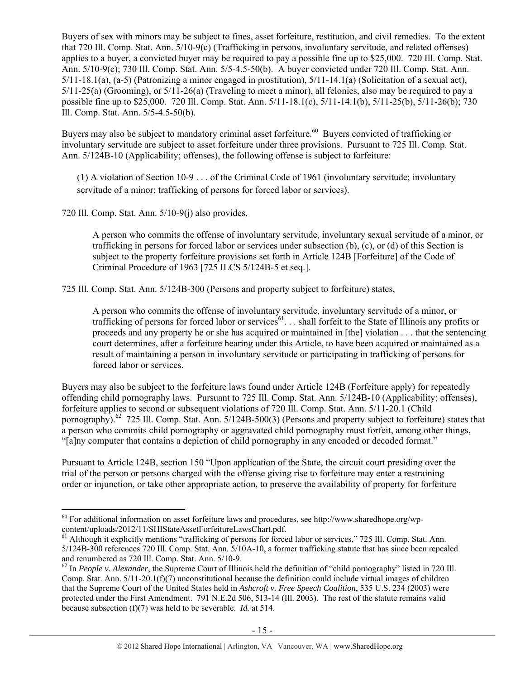Buyers of sex with minors may be subject to fines, asset forfeiture, restitution, and civil remedies. To the extent that 720 Ill. Comp. Stat. Ann. 5/10-9(c) (Trafficking in persons, involuntary servitude, and related offenses) applies to a buyer, a convicted buyer may be required to pay a possible fine up to \$25,000. 720 Ill. Comp. Stat. Ann. 5/10-9(c); 730 Ill. Comp. Stat. Ann. 5/5-4.5-50(b). A buyer convicted under 720 Ill. Comp. Stat. Ann.  $5/11-18.1(a)$ ,  $(a-5)$  (Patronizing a minor engaged in prostitution),  $5/11-14.1(a)$  (Solicitation of a sexual act), 5/11-25(a) (Grooming), or 5/11-26(a) (Traveling to meet a minor), all felonies, also may be required to pay a possible fine up to \$25,000. 720 Ill. Comp. Stat. Ann. 5/11-18.1(c), 5/11-14.1(b), 5/11-25(b), 5/11-26(b); 730 Ill. Comp. Stat. Ann. 5/5-4.5-50(b).

Buyers may also be subject to mandatory criminal asset forfeiture.<sup>60</sup> Buyers convicted of trafficking or involuntary servitude are subject to asset forfeiture under three provisions. Pursuant to 725 Ill. Comp. Stat. Ann. 5/124B-10 (Applicability; offenses), the following offense is subject to forfeiture:

(1) A violation of Section 10-9 . . . of the Criminal Code of 1961 (involuntary servitude; involuntary servitude of a minor; trafficking of persons for forced labor or services).

720 Ill. Comp. Stat. Ann. 5/10-9(j) also provides,

 $\overline{a}$ 

A person who commits the offense of involuntary servitude, involuntary sexual servitude of a minor, or trafficking in persons for forced labor or services under subsection (b), (c), or (d) of this Section is subject to the property forfeiture provisions set forth in Article 124B [Forfeiture] of the Code of Criminal Procedure of 1963 [725 ILCS 5/124B-5 et seq.].

725 Ill. Comp. Stat. Ann. 5/124B-300 (Persons and property subject to forfeiture) states,

A person who commits the offense of involuntary servitude, involuntary servitude of a minor, or trafficking of persons for forced labor or services<sup>61</sup>... shall forfeit to the State of Illinois any profits or proceeds and any property he or she has acquired or maintained in [the] violation . . . that the sentencing court determines, after a forfeiture hearing under this Article, to have been acquired or maintained as a result of maintaining a person in involuntary servitude or participating in trafficking of persons for forced labor or services.

Buyers may also be subject to the forfeiture laws found under Article 124B (Forfeiture apply) for repeatedly offending child pornography laws. Pursuant to 725 Ill. Comp. Stat. Ann. 5/124B-10 (Applicability; offenses), forfeiture applies to second or subsequent violations of 720 Ill. Comp. Stat. Ann. 5/11-20.1 (Child pornography).<sup>62</sup> 725 Ill. Comp. Stat. Ann. 5/124B-500(3) (Persons and property subject to forfeiture) states that a person who commits child pornography or aggravated child pornography must forfeit, among other things, "[a]ny computer that contains a depiction of child pornography in any encoded or decoded format."

Pursuant to Article 124B, section 150 "Upon application of the State, the circuit court presiding over the trial of the person or persons charged with the offense giving rise to forfeiture may enter a restraining order or injunction, or take other appropriate action, to preserve the availability of property for forfeiture

 $60$  For additional information on asset forfeiture laws and procedures, see http://www.sharedhope.org/wp-content/uploads/2012/11/SHIStateAssetForfeitureLawsChart.pdf.

 $^{61}$  Although it explicitly mentions "trafficking of persons for forced labor or services," 725 Ill. Comp. Stat. Ann. 5/124B-300 references 720 Ill. Comp. Stat. Ann. 5/10A-10, a former trafficking statute that has since been repealed and renumbered as 720 Ill. Comp. Stat. Ann. 5/10-9.

<sup>&</sup>lt;sup>62</sup> In *People v. Alexander*, the Supreme Court of Illinois held the definition of "child pornography" listed in 720 Ill. Comp. Stat. Ann. 5/11-20.1(f)(7) unconstitutional because the definition could include virtual images of children that the Supreme Court of the United States held in *Ashcroft v. Free Speech Coalition*, 535 U.S. 234 (2003) were protected under the First Amendment. 791 N.E.2d 506, 513-14 (Ill. 2003). The rest of the statute remains valid because subsection (f)(7) was held to be severable. *Id.* at 514.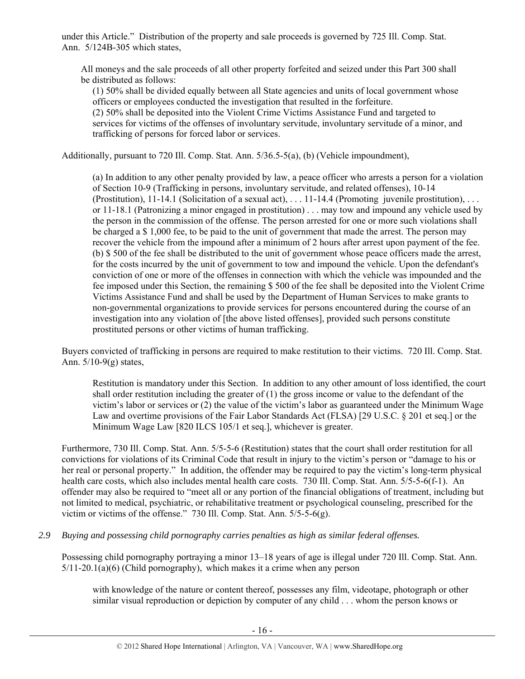under this Article." Distribution of the property and sale proceeds is governed by 725 Ill. Comp. Stat. Ann. 5/124B-305 which states,

All moneys and the sale proceeds of all other property forfeited and seized under this Part 300 shall be distributed as follows:

(1) 50% shall be divided equally between all State agencies and units of local government whose officers or employees conducted the investigation that resulted in the forfeiture.

(2) 50% shall be deposited into the Violent Crime Victims Assistance Fund and targeted to services for victims of the offenses of involuntary servitude, involuntary servitude of a minor, and trafficking of persons for forced labor or services.

Additionally, pursuant to 720 Ill. Comp. Stat. Ann. 5/36.5-5(a), (b) (Vehicle impoundment),

(a) In addition to any other penalty provided by law, a peace officer who arrests a person for a violation of Section 10-9 (Trafficking in persons, involuntary servitude, and related offenses), 10-14 (Prostitution), 11-14.1 (Solicitation of a sexual act), . . . 11-14.4 (Promoting juvenile prostitution), . . . or 11-18.1 (Patronizing a minor engaged in prostitution) . . . may tow and impound any vehicle used by the person in the commission of the offense. The person arrested for one or more such violations shall be charged a \$ 1,000 fee, to be paid to the unit of government that made the arrest. The person may recover the vehicle from the impound after a minimum of 2 hours after arrest upon payment of the fee. (b) \$ 500 of the fee shall be distributed to the unit of government whose peace officers made the arrest, for the costs incurred by the unit of government to tow and impound the vehicle. Upon the defendant's conviction of one or more of the offenses in connection with which the vehicle was impounded and the fee imposed under this Section, the remaining \$ 500 of the fee shall be deposited into the Violent Crime Victims Assistance Fund and shall be used by the Department of Human Services to make grants to non-governmental organizations to provide services for persons encountered during the course of an investigation into any violation of [the above listed offenses], provided such persons constitute prostituted persons or other victims of human trafficking.

Buyers convicted of trafficking in persons are required to make restitution to their victims. 720 Ill. Comp. Stat. Ann. 5/10-9(g) states,

Restitution is mandatory under this Section. In addition to any other amount of loss identified, the court shall order restitution including the greater of  $(1)$  the gross income or value to the defendant of the victim's labor or services or (2) the value of the victim's labor as guaranteed under the Minimum Wage Law and overtime provisions of the Fair Labor Standards Act (FLSA) [29 U.S.C. § 201 et seq.] or the Minimum Wage Law [820 ILCS 105/1 et seq.], whichever is greater.

Furthermore, 730 Ill. Comp. Stat. Ann. 5/5-5-6 (Restitution) states that the court shall order restitution for all convictions for violations of its Criminal Code that result in injury to the victim's person or "damage to his or her real or personal property." In addition, the offender may be required to pay the victim's long-term physical health care costs, which also includes mental health care costs. 730 Ill. Comp. Stat. Ann. 5/5-5-6(f-1). An offender may also be required to "meet all or any portion of the financial obligations of treatment, including but not limited to medical, psychiatric, or rehabilitative treatment or psychological counseling, prescribed for the victim or victims of the offense." 730 Ill. Comp. Stat. Ann. 5/5-5-6(g).

*2.9 Buying and possessing child pornography carries penalties as high as similar federal offenses.* 

Possessing child pornography portraying a minor 13–18 years of age is illegal under 720 Ill. Comp. Stat. Ann.  $5/11-20.1(a)(6)$  (Child pornography), which makes it a crime when any person

with knowledge of the nature or content thereof, possesses any film, videotape, photograph or other similar visual reproduction or depiction by computer of any child . . . whom the person knows or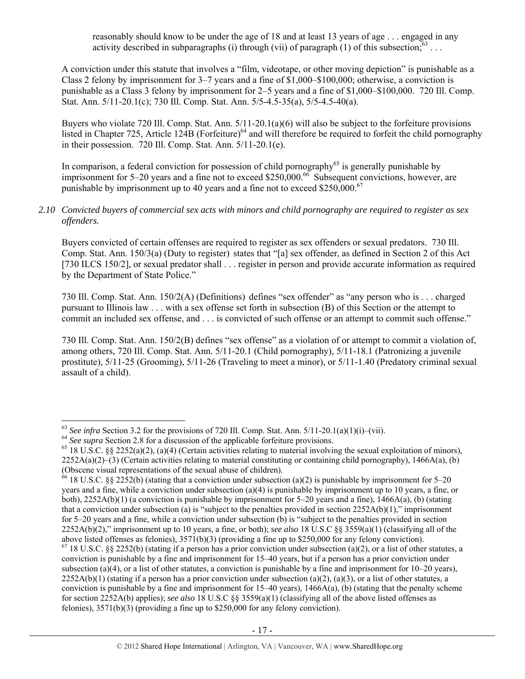reasonably should know to be under the age of 18 and at least 13 years of age . . . engaged in any activity described in subparagraphs (i) through (vii) of paragraph (1) of this subsection;  $63 \ldots$ 

A conviction under this statute that involves a "film, videotape, or other moving depiction" is punishable as a Class 2 felony by imprisonment for 3–7 years and a fine of \$1,000–\$100,000; otherwise, a conviction is punishable as a Class 3 felony by imprisonment for 2–5 years and a fine of \$1,000–\$100,000. 720 Ill. Comp. Stat. Ann. 5/11-20.1(c); 730 Ill. Comp. Stat. Ann. 5/5-4.5-35(a), 5/5-4.5-40(a).

Buyers who violate 720 Ill. Comp. Stat. Ann. 5/11-20.1(a)(6) will also be subject to the forfeiture provisions listed in Chapter 725, Article 124B (Forfeiture)<sup>64</sup> and will therefore be required to forfeit the child pornography in their possession. 720 Ill. Comp. Stat. Ann. 5/11-20.1(e).

In comparison, a federal conviction for possession of child pornography<sup>65</sup> is generally punishable by imprisonment for 5–20 years and a fine not to exceed \$250,000.<sup>66</sup> Subsequent convictions, however, are punishable by imprisonment up to 40 years and a fine not to exceed \$250,000. $^{67}$ 

## *2.10 Convicted buyers of commercial sex acts with minors and child pornography are required to register as sex offenders.*

Buyers convicted of certain offenses are required to register as sex offenders or sexual predators. 730 Ill. Comp. Stat. Ann. 150/3(a) (Duty to register) states that "[a] sex offender, as defined in Section 2 of this Act [730 ILCS 150/2], or sexual predator shall . . . register in person and provide accurate information as required by the Department of State Police."

730 Ill. Comp. Stat. Ann. 150/2(A) (Definitions) defines "sex offender" as "any person who is . . . charged pursuant to Illinois law . . . with a sex offense set forth in subsection (B) of this Section or the attempt to commit an included sex offense, and . . . is convicted of such offense or an attempt to commit such offense."

730 Ill. Comp. Stat. Ann. 150/2(B) defines "sex offense" as a violation of or attempt to commit a violation of, among others, 720 Ill. Comp. Stat. Ann. 5/11-20.1 (Child pornography), 5/11-18.1 (Patronizing a juvenile prostitute), 5/11-25 (Grooming), 5/11-26 (Traveling to meet a minor), or 5/11-1.40 (Predatory criminal sexual assault of a child).

<sup>&</sup>lt;sup>63</sup> See infra Section 3.2 for the provisions of 720 Ill. Comp. Stat. Ann.  $5/11-20.1(a)(1)(i) - (vii)$ .

<sup>&</sup>lt;sup>64</sup> See supra Section 2.8 for a discussion of the applicable forfeiture provisions.<br><sup>65</sup> 18 U.S.C. §§ 2252(a)(2), (a)(4) (Certain activities relating to material involving the sexual exploitation of minors),  $2252A(a)(2)$ –(3) (Certain activities relating to material constituting or containing child pornography), 1466A(a), (b) (Obscene visual representations of the sexual abuse of children).

<sup>&</sup>lt;sup>66</sup> 18 U.S.C. §§ 2252(b) (stating that a conviction under subsection (a)(2) is punishable by imprisonment for 5–20 years and a fine, while a conviction under subsection (a)(4) is punishable by imprisonment up to 10 years, a fine, or both), 2252A(b)(1) (a conviction is punishable by imprisonment for 5–20 years and a fine), 1466A(a), (b) (stating that a conviction under subsection (a) is "subject to the penalties provided in section  $2252A(b)(1)$ ," imprisonment for 5–20 years and a fine, while a conviction under subsection (b) is "subject to the penalties provided in section 2252A(b)(2)," imprisonment up to 10 years, a fine, or both); *see also* 18 U.S.C §§ 3559(a)(1) (classifying all of the above listed offenses as felonies), 3571(b)(3) (providing a fine up to \$250,000 for any felony conviction).  $67$  18 U.S.C. §§ 2252(b) (stating if a person has a prior conviction under subsection (a)(2), or a list of other statutes, a conviction is punishable by a fine and imprisonment for 15–40 years, but if a person has a prior conviction under subsection (a)(4), or a list of other statutes, a conviction is punishable by a fine and imprisonment for  $10-20$  years),  $2252A(b)(1)$  (stating if a person has a prior conviction under subsection (a)(2), (a)(3), or a list of other statutes, a conviction is punishable by a fine and imprisonment for  $15-40$  years),  $1466A(a)$ , (b) (stating that the penalty scheme for section 2252A(b) applies); *see also* 18 U.S.C §§ 3559(a)(1) (classifying all of the above listed offenses as felonies), 3571(b)(3) (providing a fine up to \$250,000 for any felony conviction).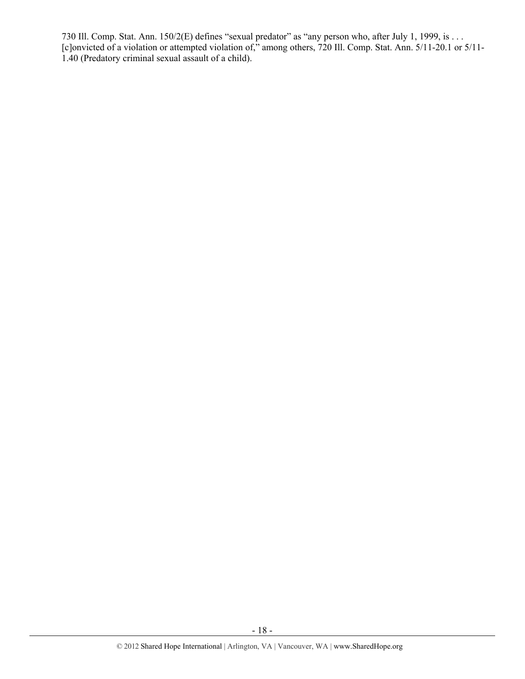730 Ill. Comp. Stat. Ann. 150/2(E) defines "sexual predator" as "any person who, after July 1, 1999, is . . . [c]onvicted of a violation or attempted violation of," among others, 720 Ill. Comp. Stat. Ann. 5/11-20.1 or 5/11- 1.40 (Predatory criminal sexual assault of a child).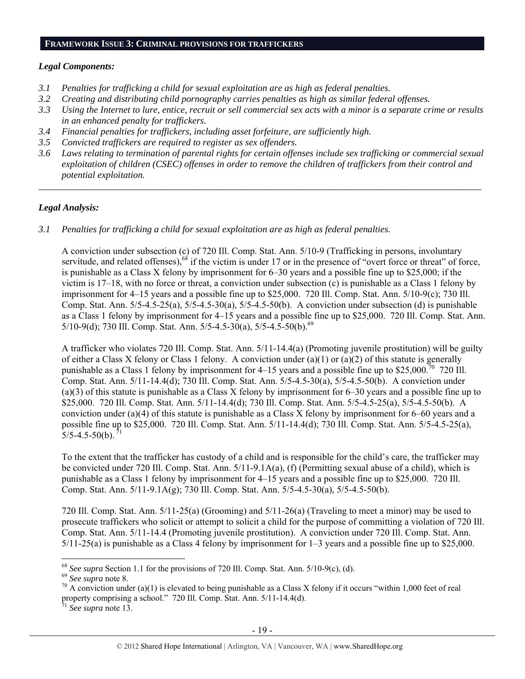#### **FRAMEWORK ISSUE 3: CRIMINAL PROVISIONS FOR TRAFFICKERS**

## *Legal Components:*

- *3.1 Penalties for trafficking a child for sexual exploitation are as high as federal penalties.*
- *3.2 Creating and distributing child pornography carries penalties as high as similar federal offenses.*
- *3.3 Using the Internet to lure, entice, recruit or sell commercial sex acts with a minor is a separate crime or results in an enhanced penalty for traffickers.*
- *3.4 Financial penalties for traffickers, including asset forfeiture, are sufficiently high.*
- *3.5 Convicted traffickers are required to register as sex offenders.*
- *3.6 Laws relating to termination of parental rights for certain offenses include sex trafficking or commercial sexual exploitation of children (CSEC) offenses in order to remove the children of traffickers from their control and potential exploitation.*

*\_\_\_\_\_\_\_\_\_\_\_\_\_\_\_\_\_\_\_\_\_\_\_\_\_\_\_\_\_\_\_\_\_\_\_\_\_\_\_\_\_\_\_\_\_\_\_\_\_\_\_\_\_\_\_\_\_\_\_\_\_\_\_\_\_\_\_\_\_\_\_\_\_\_\_\_\_\_\_\_\_\_\_\_\_\_\_\_\_\_\_\_\_\_* 

# *Legal Analysis:*

*3.1 Penalties for trafficking a child for sexual exploitation are as high as federal penalties.* 

A conviction under subsection (c) of 720 Ill. Comp. Stat. Ann. 5/10-9 (Trafficking in persons, involuntary servitude, and related offenses), $68$  if the victim is under 17 or in the presence of "overt force or threat" of force, is punishable as a Class X felony by imprisonment for 6–30 years and a possible fine up to \$25,000; if the victim is 17–18, with no force or threat, a conviction under subsection (c) is punishable as a Class 1 felony by imprisonment for 4–15 years and a possible fine up to \$25,000. 720 Ill. Comp. Stat. Ann. 5/10-9(c); 730 Ill. Comp. Stat. Ann.  $5/5-4.5-25(a)$ ,  $5/5-4.5-30(a)$ ,  $5/5-4.5-50(b)$ . A conviction under subsection (d) is punishable as a Class 1 felony by imprisonment for 4–15 years and a possible fine up to \$25,000. 720 Ill. Comp. Stat. Ann. 5/10-9(d); 730 Ill. Comp. Stat. Ann. 5/5-4.5-30(a), 5/5-4.5-50(b).<sup>69</sup>

A trafficker who violates 720 Ill. Comp. Stat. Ann. 5/11-14.4(a) (Promoting juvenile prostitution) will be guilty of either a Class X felony or Class 1 felony. A conviction under (a)(1) or (a)(2) of this statute is generally punishable as a Class 1 felony by imprisonment for  $4-15$  years and a possible fine up to \$25,000.<sup>70</sup> 720 Ill. Comp. Stat. Ann. 5/11-14.4(d); 730 Ill. Comp. Stat. Ann. 5/5-4.5-30(a), 5/5-4.5-50(b). A conviction under (a)(3) of this statute is punishable as a Class X felony by imprisonment for 6–30 years and a possible fine up to \$25,000. 720 Ill. Comp. Stat. Ann. 5/11-14.4(d); 730 Ill. Comp. Stat. Ann. 5/5-4.5-25(a), 5/5-4.5-50(b). A conviction under (a)(4) of this statute is punishable as a Class X felony by imprisonment for 6–60 years and a possible fine up to \$25,000. 720 Ill. Comp. Stat. Ann. 5/11-14.4(d); 730 Ill. Comp. Stat. Ann. 5/5-4.5-25(a),  $5/5 - 4.5 - 50(b)$ .

To the extent that the trafficker has custody of a child and is responsible for the child's care, the trafficker may be convicted under 720 Ill. Comp. Stat. Ann. 5/11-9.1A(a), (f) (Permitting sexual abuse of a child), which is punishable as a Class 1 felony by imprisonment for 4–15 years and a possible fine up to \$25,000. 720 Ill. Comp. Stat. Ann. 5/11-9.1A(g); 730 Ill. Comp. Stat. Ann. 5/5-4.5-30(a), 5/5-4.5-50(b).

720 Ill. Comp. Stat. Ann. 5/11-25(a) (Grooming) and 5/11-26(a) (Traveling to meet a minor) may be used to prosecute traffickers who solicit or attempt to solicit a child for the purpose of committing a violation of 720 Ill. Comp. Stat. Ann. 5/11-14.4 (Promoting juvenile prostitution). A conviction under 720 Ill. Comp. Stat. Ann. 5/11-25(a) is punishable as a Class 4 felony by imprisonment for 1–3 years and a possible fine up to \$25,000.

<sup>&</sup>lt;sup>68</sup> See supra Section 1.1 for the provisions of 720 Ill. Comp. Stat. Ann. 5/10-9(c), (d).<br><sup>69</sup> See supra note 8.<br><sup>70</sup> A conviction under (a)(1) is elevated to being punishable as a Class X felony if it occurs "within 1,0 property comprising a school." 720 Ill. Comp. Stat. Ann.  $5/11-14.4(d)$ .

See supra note 13.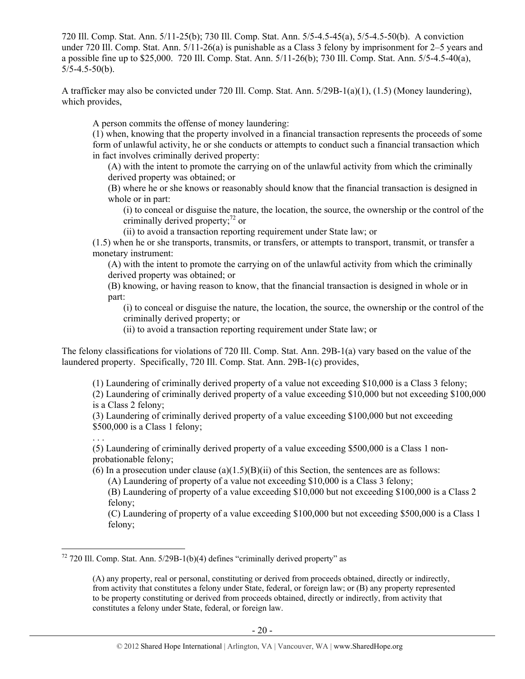720 Ill. Comp. Stat. Ann. 5/11-25(b); 730 Ill. Comp. Stat. Ann. 5/5-4.5-45(a), 5/5-4.5-50(b). A conviction under 720 Ill. Comp. Stat. Ann. 5/11-26(a) is punishable as a Class 3 felony by imprisonment for 2–5 years and a possible fine up to \$25,000. 720 Ill. Comp. Stat. Ann. 5/11-26(b); 730 Ill. Comp. Stat. Ann. 5/5-4.5-40(a),  $5/5 - 4.5 - 50(b)$ .

A trafficker may also be convicted under 720 Ill. Comp. Stat. Ann. 5/29B-1(a)(1), (1.5) (Money laundering), which provides,

A person commits the offense of money laundering:

(1) when, knowing that the property involved in a financial transaction represents the proceeds of some form of unlawful activity, he or she conducts or attempts to conduct such a financial transaction which in fact involves criminally derived property:

(A) with the intent to promote the carrying on of the unlawful activity from which the criminally derived property was obtained; or

(B) where he or she knows or reasonably should know that the financial transaction is designed in whole or in part:

(i) to conceal or disguise the nature, the location, the source, the ownership or the control of the criminally derived property; $^{72}$  or

(ii) to avoid a transaction reporting requirement under State law; or

(1.5) when he or she transports, transmits, or transfers, or attempts to transport, transmit, or transfer a monetary instrument:

(A) with the intent to promote the carrying on of the unlawful activity from which the criminally derived property was obtained; or

(B) knowing, or having reason to know, that the financial transaction is designed in whole or in part:

(i) to conceal or disguise the nature, the location, the source, the ownership or the control of the criminally derived property; or

(ii) to avoid a transaction reporting requirement under State law; or

The felony classifications for violations of 720 Ill. Comp. Stat. Ann. 29B-1(a) vary based on the value of the laundered property. Specifically, 720 Ill. Comp. Stat. Ann. 29B-1(c) provides,

(1) Laundering of criminally derived property of a value not exceeding \$10,000 is a Class 3 felony;

(2) Laundering of criminally derived property of a value exceeding \$10,000 but not exceeding \$100,000 is a Class 2 felony;

(3) Laundering of criminally derived property of a value exceeding \$100,000 but not exceeding \$500,000 is a Class 1 felony;

. . . (5) Laundering of criminally derived property of a value exceeding \$500,000 is a Class 1 nonprobationable felony;

(6) In a prosecution under clause (a) $(1.5)$ (B)(ii) of this Section, the sentences are as follows:

(A) Laundering of property of a value not exceeding \$10,000 is a Class 3 felony;

(B) Laundering of property of a value exceeding \$10,000 but not exceeding \$100,000 is a Class 2 felony;

(C) Laundering of property of a value exceeding \$100,000 but not exceeding \$500,000 is a Class 1 felony;

 $72$  720 Ill. Comp. Stat. Ann. 5/29B-1(b)(4) defines "criminally derived property" as

<sup>(</sup>A) any property, real or personal, constituting or derived from proceeds obtained, directly or indirectly, from activity that constitutes a felony under State, federal, or foreign law; or (B) any property represented to be property constituting or derived from proceeds obtained, directly or indirectly, from activity that constitutes a felony under State, federal, or foreign law.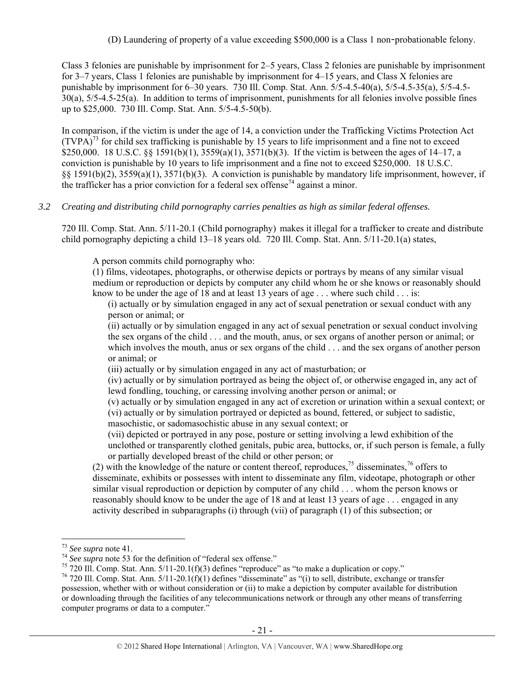(D) Laundering of property of a value exceeding \$500,000 is a Class 1 non-probationable felony.

Class 3 felonies are punishable by imprisonment for 2–5 years, Class 2 felonies are punishable by imprisonment for 3–7 years, Class 1 felonies are punishable by imprisonment for 4–15 years, and Class X felonies are punishable by imprisonment for 6–30 years. 730 Ill. Comp. Stat. Ann. 5/5-4.5-40(a), 5/5-4.5-35(a), 5/5-4.5- 30(a), 5/5-4.5-25(a). In addition to terms of imprisonment, punishments for all felonies involve possible fines up to \$25,000. 730 Ill. Comp. Stat. Ann. 5/5-4.5-50(b).

In comparison, if the victim is under the age of 14, a conviction under the Trafficking Victims Protection Act  $(TVPA)<sup>73</sup>$  for child sex trafficking is punishable by 15 years to life imprisonment and a fine not to exceed \$250,000. 18 U.S.C. §§ 1591(b)(1), 3559(a)(1), 3571(b)(3). If the victim is between the ages of 14–17, a conviction is punishable by 10 years to life imprisonment and a fine not to exceed \$250,000. 18 U.S.C. §§ 1591(b)(2), 3559(a)(1), 3571(b)(3). A conviction is punishable by mandatory life imprisonment, however, if the trafficker has a prior conviction for a federal sex offense<sup> $74$ </sup> against a minor.

## *3.2 Creating and distributing child pornography carries penalties as high as similar federal offenses.*

720 Ill. Comp. Stat. Ann. 5/11-20.1 (Child pornography) makes it illegal for a trafficker to create and distribute child pornography depicting a child 13–18 years old. 720 Ill. Comp. Stat. Ann. 5/11-20.1(a) states,

A person commits child pornography who:

(1) films, videotapes, photographs, or otherwise depicts or portrays by means of any similar visual medium or reproduction or depicts by computer any child whom he or she knows or reasonably should know to be under the age of 18 and at least 13 years of age . . . where such child . . . is:

(i) actually or by simulation engaged in any act of sexual penetration or sexual conduct with any person or animal; or

(ii) actually or by simulation engaged in any act of sexual penetration or sexual conduct involving the sex organs of the child . . . and the mouth, anus, or sex organs of another person or animal; or which involves the mouth, anus or sex organs of the child . . . and the sex organs of another person or animal; or

(iii) actually or by simulation engaged in any act of masturbation; or

(iv) actually or by simulation portrayed as being the object of, or otherwise engaged in, any act of lewd fondling, touching, or caressing involving another person or animal; or

(v) actually or by simulation engaged in any act of excretion or urination within a sexual context; or (vi) actually or by simulation portrayed or depicted as bound, fettered, or subject to sadistic, masochistic, or sadomasochistic abuse in any sexual context; or

(vii) depicted or portrayed in any pose, posture or setting involving a lewd exhibition of the unclothed or transparently clothed genitals, pubic area, buttocks, or, if such person is female, a fully or partially developed breast of the child or other person; or

(2) with the knowledge of the nature or content thereof, reproduces,<sup>75</sup> disseminates,<sup>76</sup> offers to disseminate, exhibits or possesses with intent to disseminate any film, videotape, photograph or other similar visual reproduction or depiction by computer of any child . . . whom the person knows or reasonably should know to be under the age of 18 and at least 13 years of age . . . engaged in any activity described in subparagraphs (i) through (vii) of paragraph (1) of this subsection; or

<sup>&</sup>lt;sup>73</sup> See supra note 41.<br><sup>74</sup> See supra note 53 for the definition of "federal sex offense."<br><sup>75</sup> 720 III. Comp. Stat. Ann. 5/11-20.1(f)(3) defines "reproduce" as "to make a duplication or copy."<br><sup>75</sup> 720 III. Comp. Stat.

possession, whether with or without consideration or (ii) to make a depiction by computer available for distribution or downloading through the facilities of any telecommunications network or through any other means of transferring computer programs or data to a computer."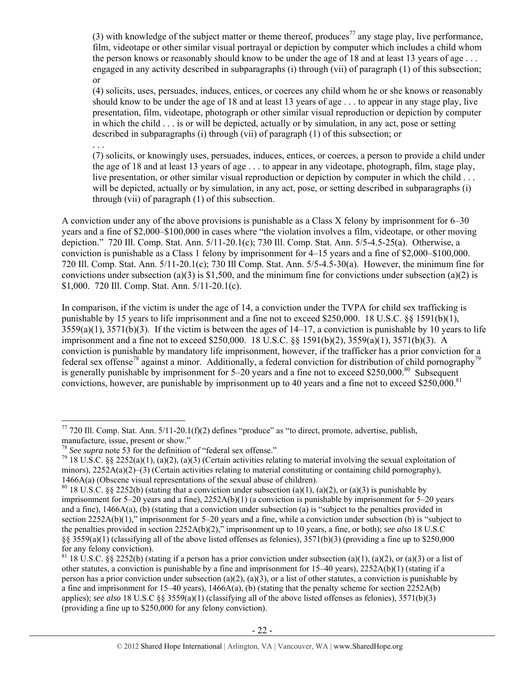(3) with knowledge of the subject matter or theme thereof, produces<sup>77</sup> any stage play, live performance, film, videotape or other similar visual portrayal or depiction by computer which includes a child whom the person knows or reasonably should know to be under the age of 18 and at least 13 years of age . . . engaged in any activity described in subparagraphs (i) through (vii) of paragraph (1) of this subsection; or

(4) solicits, uses, persuades, induces, entices, or coerces any child whom he or she knows or reasonably should know to be under the age of 18 and at least 13 years of age . . . to appear in any stage play, live presentation, film, videotape, photograph or other similar visual reproduction or depiction by computer in which the child . . . is or will be depicted, actually or by simulation, in any act, pose or setting described in subparagraphs (i) through (vii) of paragraph (1) of this subsection; or

(7) solicits, or knowingly uses, persuades, induces, entices, or coerces, a person to provide a child under the age of 18 and at least 13 years of age . . . to appear in any videotape, photograph, film, stage play, live presentation, or other similar visual reproduction or depiction by computer in which the child . . . will be depicted, actually or by simulation, in any act, pose, or setting described in subparagraphs (i) through (vii) of paragraph (1) of this subsection.

A conviction under any of the above provisions is punishable as a Class X felony by imprisonment for 6–30 years and a fine of \$2,000–\$100,000 in cases where "the violation involves a film, videotape, or other moving depiction." 720 Ill. Comp. Stat. Ann. 5/11-20.1(c); 730 Ill. Comp. Stat. Ann. 5/5-4.5-25(a). Otherwise, a conviction is punishable as a Class 1 felony by imprisonment for 4–15 years and a fine of \$2,000–\$100,000. 720 Ill. Comp. Stat. Ann. 5/11-20.1(c); 730 Ill Comp. Stat. Ann. 5/5-4.5-30(a). However, the minimum fine for convictions under subsection (a)(3) is \$1,500, and the minimum fine for convictions under subsection (a)(2) is \$1,000. 720 Ill. Comp. Stat. Ann. 5/11-20.1(c).

In comparison, if the victim is under the age of 14, a conviction under the TVPA for child sex trafficking is punishable by 15 years to life imprisonment and a fine not to exceed \$250,000. 18 U.S.C. §§ 1591(b)(1),  $3559(a)(1)$ ,  $3571(b)(3)$ . If the victim is between the ages of  $14-17$ , a conviction is punishable by 10 years to life imprisonment and a fine not to exceed \$250,000. 18 U.S.C. §§ 1591(b)(2), 3559(a)(1), 3571(b)(3). A conviction is punishable by mandatory life imprisonment, however, if the trafficker has a prior conviction for a federal sex offense<sup>78</sup> against a minor. Additionally, a federal conviction for distribution of child pornography<sup>79</sup> is generally punishable by imprisonment for  $5-20$  years and a fine not to exceed \$250,000.<sup>80</sup> Subsequent convictions, however, are punishable by imprisonment up to 40 years and a fine not to exceed \$250,000.<sup>81</sup>

. . .

 $\overline{a}$  $^{77}$  720 Ill. Comp. Stat. Ann.  $5/11$ -20.1(f)(2) defines "produce" as "to direct, promote, advertise, publish, manufacture, issue, present or show."<br><sup>78</sup> See supra note 53 for the definition of "federal sex offense."

<sup>&</sup>lt;sup>79</sup> 18 U.S.C. §§ 2252(a)(1), (a)(2), (a)(3) (Certain activities relating to material involving the sexual exploitation of minors),  $2252A(a)(2)$ –(3) (Certain activities relating to material constituting or containing child pornography), 1466A(a) (Obscene visual representations of the sexual abuse of children).<br><sup>80</sup> 18 U.S.C. §§ 2252(b) (stating that a conviction under subsection (a)(1), (a)(2), or (a)(3) is punishable by

imprisonment for 5–20 years and a fine), 2252A(b)(1) (a conviction is punishable by imprisonment for 5–20 years and a fine), 1466A(a), (b) (stating that a conviction under subsection (a) is "subject to the penalties provided in section 2252A(b)(1)," imprisonment for 5–20 years and a fine, while a conviction under subsection (b) is "subject to the penalties provided in section 2252A(b)(2)," imprisonment up to 10 years, a fine, or both); *see also* 18 U.S.C §§ 3559(a)(1) (classifying all of the above listed offenses as felonies),  $3571(b)(3)$  (providing a fine up to \$250,000 for any felony conviction).

<sup>&</sup>lt;sup>81</sup> 18 U.S.C. §§ 2252(b) (stating if a person has a prior conviction under subsection (a)(1), (a)(2), or (a)(3) or a list of other statutes, a conviction is punishable by a fine and imprisonment for  $15-40$  years),  $2252A(b)(1)$  (stating if a person has a prior conviction under subsection (a)(2), (a)(3), or a list of other statutes, a conviction is punishable by a fine and imprisonment for 15–40 years), 1466A(a), (b) (stating that the penalty scheme for section 2252A(b) applies); *see also* 18 U.S.C §§ 3559(a)(1) (classifying all of the above listed offenses as felonies), 3571(b)(3) (providing a fine up to \$250,000 for any felony conviction).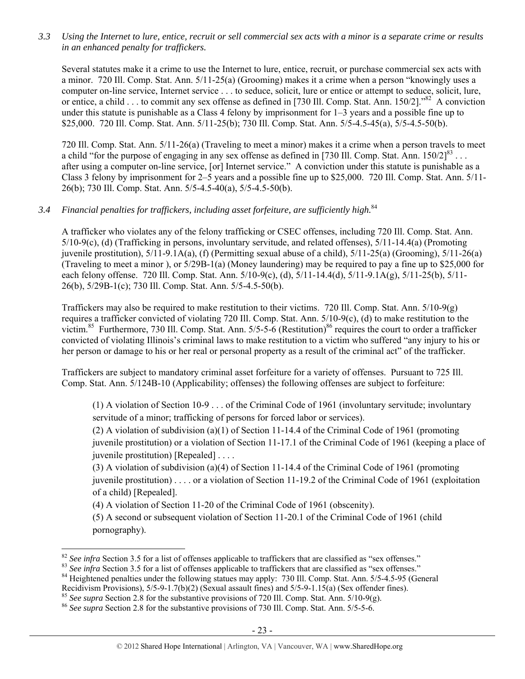*3.3 Using the Internet to lure, entice, recruit or sell commercial sex acts with a minor is a separate crime or results in an enhanced penalty for traffickers.* 

Several statutes make it a crime to use the Internet to lure, entice, recruit, or purchase commercial sex acts with a minor. 720 Ill. Comp. Stat. Ann. 5/11-25(a) (Grooming) makes it a crime when a person "knowingly uses a computer on-line service, Internet service . . . to seduce, solicit, lure or entice or attempt to seduce, solicit, lure, or entice, a child . . . to commit any sex offense as defined in [730 Ill. Comp. Stat. Ann. 150/2]."<sup>82</sup> A conviction under this statute is punishable as a Class 4 felony by imprisonment for 1–3 years and a possible fine up to \$25,000. 720 Ill. Comp. Stat. Ann. 5/11-25(b); 730 Ill. Comp. Stat. Ann. 5/5-4.5-45(a), 5/5-4.5-50(b).

720 Ill. Comp. Stat. Ann. 5/11-26(a) (Traveling to meet a minor) makes it a crime when a person travels to meet a child "for the purpose of engaging in any sex offense as defined in [730 Ill. Comp. Stat. Ann.  $150/2$ ]<sup>83</sup> ... after using a computer on-line service, [or] Internet service." A conviction under this statute is punishable as a Class 3 felony by imprisonment for 2–5 years and a possible fine up to \$25,000. 720 Ill. Comp. Stat. Ann. 5/11- 26(b); 730 Ill. Comp. Stat. Ann. 5/5-4.5-40(a), 5/5-4.5-50(b).

# *3.4 Financial penalties for traffickers, including asset forfeiture, are sufficiently high.*<sup>84</sup>

A trafficker who violates any of the felony trafficking or CSEC offenses, including 720 Ill. Comp. Stat. Ann. 5/10-9(c), (d) (Trafficking in persons, involuntary servitude, and related offenses), 5/11-14.4(a) (Promoting juvenile prostitution),  $5/11-9.1A(a)$ , (f) (Permitting sexual abuse of a child),  $5/11-25(a)$  (Grooming),  $5/11-26(a)$ (Traveling to meet a minor ), or 5/29B-1(a) (Money laundering) may be required to pay a fine up to \$25,000 for each felony offense. 720 Ill. Comp. Stat. Ann. 5/10-9(c), (d), 5/11-14.4(d), 5/11-9.1A(g), 5/11-25(b), 5/11- 26(b), 5/29B-1(c); 730 Ill. Comp. Stat. Ann. 5/5-4.5-50(b).

Traffickers may also be required to make restitution to their victims. 720 Ill. Comp. Stat. Ann. 5/10-9(g) requires a trafficker convicted of violating 720 Ill. Comp. Stat. Ann. 5/10-9(c), (d) to make restitution to the victim.<sup>85</sup> Furthermore, 730 Ill. Comp. Stat. Ann.  $5/5$ -5-6 (Restitution)<sup>86</sup> requires the court to order a trafficker convicted of violating Illinois's criminal laws to make restitution to a victim who suffered "any injury to his or her person or damage to his or her real or personal property as a result of the criminal act" of the trafficker.

Traffickers are subject to mandatory criminal asset forfeiture for a variety of offenses. Pursuant to 725 Ill. Comp. Stat. Ann. 5/124B-10 (Applicability; offenses) the following offenses are subject to forfeiture:

(1) A violation of Section 10-9 . . . of the Criminal Code of 1961 (involuntary servitude; involuntary servitude of a minor; trafficking of persons for forced labor or services).

(2) A violation of subdivision (a)(1) of Section 11-14.4 of the Criminal Code of 1961 (promoting juvenile prostitution) or a violation of Section 11-17.1 of the Criminal Code of 1961 (keeping a place of juvenile prostitution) [Repealed] . . . .

(3) A violation of subdivision (a)(4) of Section 11-14.4 of the Criminal Code of 1961 (promoting juvenile prostitution) . . . . or a violation of Section 11-19.2 of the Criminal Code of 1961 (exploitation of a child) [Repealed].

(4) A violation of Section 11-20 of the Criminal Code of 1961 (obscenity).

(5) A second or subsequent violation of Section 11-20.1 of the Criminal Code of 1961 (child pornography).

 $\overline{a}$ <sup>82</sup> See infra Section 3.5 for a list of offenses applicable to traffickers that are classified as "sex offenses."<br><sup>83</sup> See infra Section 3.5 for a list of offenses applicable to traffickers that are classified as "sex of

Recidivism Provisions), 5/5-9-1.7(b)(2) (Sexual assault fines) and 5/5-9-1.15(a) (Sex offender fines).

<sup>&</sup>lt;sup>85</sup> *See supra* Section 2.8 for the substantive provisions of 720 Ill. Comp. Stat. Ann. 5/10-9(g). <sup>86</sup> *See supra* Section 2.8 for the substantive provisions of 730 Ill. Comp. Stat. Ann. 5/5-5-6.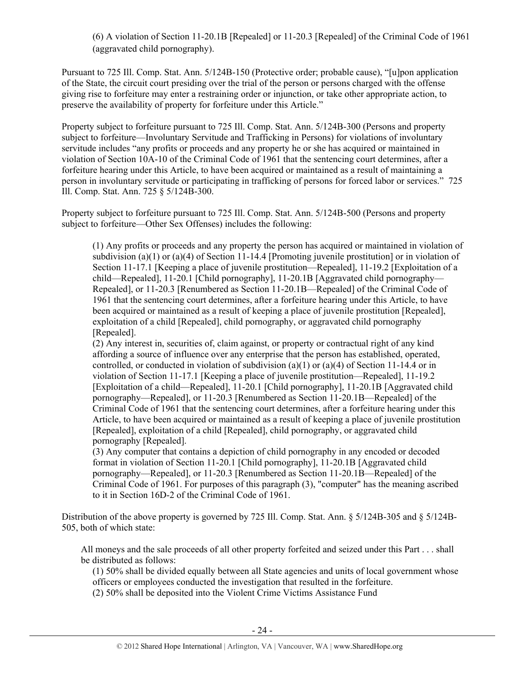(6) A violation of Section 11-20.1B [Repealed] or 11-20.3 [Repealed] of the Criminal Code of 1961 (aggravated child pornography).

Pursuant to 725 Ill. Comp. Stat. Ann. 5/124B-150 (Protective order; probable cause), "[u]pon application of the State, the circuit court presiding over the trial of the person or persons charged with the offense giving rise to forfeiture may enter a restraining order or injunction, or take other appropriate action, to preserve the availability of property for forfeiture under this Article."

Property subject to forfeiture pursuant to 725 Ill. Comp. Stat. Ann. 5/124B-300 (Persons and property subject to forfeiture—Involuntary Servitude and Trafficking in Persons) for violations of involuntary servitude includes "any profits or proceeds and any property he or she has acquired or maintained in violation of Section 10A-10 of the Criminal Code of 1961 that the sentencing court determines, after a forfeiture hearing under this Article, to have been acquired or maintained as a result of maintaining a person in involuntary servitude or participating in trafficking of persons for forced labor or services." 725 Ill. Comp. Stat. Ann. 725 § 5/124B-300.

Property subject to forfeiture pursuant to 725 Ill. Comp. Stat. Ann. 5/124B-500 (Persons and property subject to forfeiture—Other Sex Offenses) includes the following:

(1) Any profits or proceeds and any property the person has acquired or maintained in violation of subdivision (a)(1) or (a)(4) of Section 11-14.4 [Promoting juvenile prostitution] or in violation of Section 11-17.1 [Keeping a place of juvenile prostitution—Repealed], 11-19.2 [Exploitation of a child—Repealed], 11-20.1 [Child pornography], 11-20.1B [Aggravated child pornography— Repealed], or 11-20.3 [Renumbered as Section 11-20.1B—Repealed] of the Criminal Code of 1961 that the sentencing court determines, after a forfeiture hearing under this Article, to have been acquired or maintained as a result of keeping a place of juvenile prostitution [Repealed], exploitation of a child [Repealed], child pornography, or aggravated child pornography [Repealed].

(2) Any interest in, securities of, claim against, or property or contractual right of any kind affording a source of influence over any enterprise that the person has established, operated, controlled, or conducted in violation of subdivision (a)(1) or (a)(4) of Section 11-14.4 or in violation of Section 11-17.1 [Keeping a place of juvenile prostitution—Repealed], 11-19.2 [Exploitation of a child—Repealed], 11-20.1 [Child pornography], 11-20.1B [Aggravated child pornography—Repealed], or 11-20.3 [Renumbered as Section 11-20.1B—Repealed] of the Criminal Code of 1961 that the sentencing court determines, after a forfeiture hearing under this Article, to have been acquired or maintained as a result of keeping a place of juvenile prostitution [Repealed], exploitation of a child [Repealed], child pornography, or aggravated child pornography [Repealed].

(3) Any computer that contains a depiction of child pornography in any encoded or decoded format in violation of Section 11-20.1 [Child pornography], 11-20.1B [Aggravated child pornography—Repealed], or 11-20.3 [Renumbered as Section 11-20.1B—Repealed] of the Criminal Code of 1961. For purposes of this paragraph (3), "computer" has the meaning ascribed to it in Section 16D-2 of the Criminal Code of 1961.

Distribution of the above property is governed by 725 Ill. Comp. Stat. Ann. § 5/124B-305 and § 5/124B-505, both of which state:

All moneys and the sale proceeds of all other property forfeited and seized under this Part . . . shall be distributed as follows:

(1) 50% shall be divided equally between all State agencies and units of local government whose officers or employees conducted the investigation that resulted in the forfeiture.

(2) 50% shall be deposited into the Violent Crime Victims Assistance Fund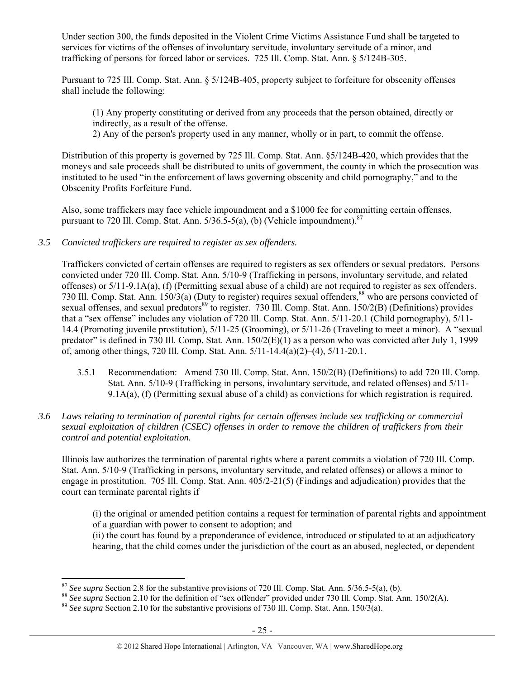Under section 300, the funds deposited in the Violent Crime Victims Assistance Fund shall be targeted to services for victims of the offenses of involuntary servitude, involuntary servitude of a minor, and trafficking of persons for forced labor or services. 725 Ill. Comp. Stat. Ann. § 5/124B-305.

Pursuant to 725 Ill. Comp. Stat. Ann. § 5/124B-405, property subject to forfeiture for obscenity offenses shall include the following:

(1) Any property constituting or derived from any proceeds that the person obtained, directly or indirectly, as a result of the offense.

2) Any of the person's property used in any manner, wholly or in part, to commit the offense.

Distribution of this property is governed by 725 Ill. Comp. Stat. Ann. §5/124B-420, which provides that the moneys and sale proceeds shall be distributed to units of government, the county in which the prosecution was instituted to be used "in the enforcement of laws governing obscenity and child pornography," and to the Obscenity Profits Forfeiture Fund.

Also, some traffickers may face vehicle impoundment and a \$1000 fee for committing certain offenses, pursuant to 720 Ill. Comp. Stat. Ann.  $5/36.5-5(a)$ , (b) (Vehicle impoundment).<sup>87</sup>

*3.5 Convicted traffickers are required to register as sex offenders.* 

Traffickers convicted of certain offenses are required to registers as sex offenders or sexual predators. Persons convicted under 720 Ill. Comp. Stat. Ann. 5/10-9 (Trafficking in persons, involuntary servitude, and related offenses) or 5/11-9.1A(a), (f) (Permitting sexual abuse of a child) are not required to register as sex offenders. 730 Ill. Comp. Stat. Ann. 150/3(a) (Duty to register) requires sexual offenders,  $88$  who are persons convicted of sexual offenses, and sexual predators<sup>89</sup> to register. 730 Ill. Comp. Stat. Ann. 150/2(B) (Definitions) provides that a "sex offense" includes any violation of 720 Ill. Comp. Stat. Ann. 5/11-20.1 (Child pornography), 5/11- 14.4 (Promoting juvenile prostitution), 5/11-25 (Grooming), or 5/11-26 (Traveling to meet a minor). A "sexual predator" is defined in 730 Ill. Comp. Stat. Ann. 150/2(E)(1) as a person who was convicted after July 1, 1999 of, among other things, 720 Ill. Comp. Stat. Ann. 5/11-14.4(a)(2)–(4), 5/11-20.1.

- 3.5.1 Recommendation: Amend 730 Ill. Comp. Stat. Ann. 150/2(B) (Definitions) to add 720 Ill. Comp. Stat. Ann. 5/10-9 (Trafficking in persons, involuntary servitude, and related offenses) and 5/11- 9.1A(a), (f) (Permitting sexual abuse of a child) as convictions for which registration is required.
- *3.6 Laws relating to termination of parental rights for certain offenses include sex trafficking or commercial sexual exploitation of children (CSEC) offenses in order to remove the children of traffickers from their control and potential exploitation.*

Illinois law authorizes the termination of parental rights where a parent commits a violation of 720 Ill. Comp. Stat. Ann. 5/10-9 (Trafficking in persons, involuntary servitude, and related offenses) or allows a minor to engage in prostitution. 705 Ill. Comp. Stat. Ann. 405/2-21(5) (Findings and adjudication) provides that the court can terminate parental rights if

(i) the original or amended petition contains a request for termination of parental rights and appointment of a guardian with power to consent to adoption; and

(ii) the court has found by a preponderance of evidence, introduced or stipulated to at an adjudicatory hearing, that the child comes under the jurisdiction of the court as an abused, neglected, or dependent

 $87$  See supra Section 2.8 for the substantive provisions of 720 Ill. Comp. Stat. Ann. 5/36.5-5(a), (b).

<sup>&</sup>lt;sup>88</sup> See supra Section 2.10 for the definition of "sex offender" provided under 730 Ill. Comp. Stat. Ann. 150/2(A).<br><sup>89</sup> See supra Section 2.10 for the substantive provisions of 730 Ill. Comp. Stat. Ann. 150/3(a).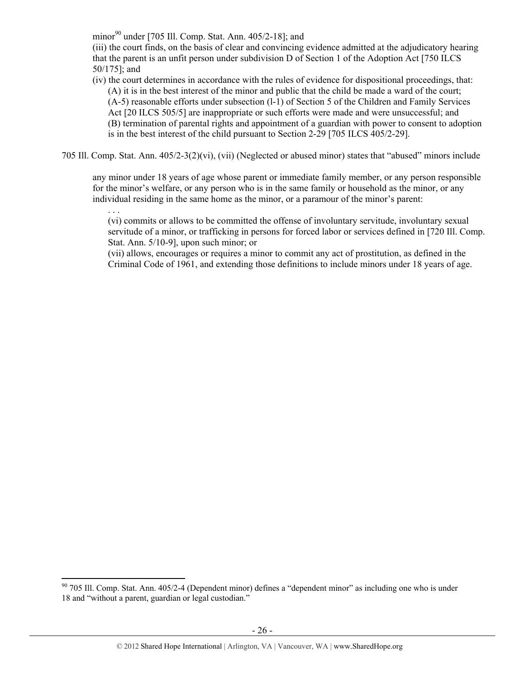minor $90$  under [705 Ill. Comp. Stat. Ann. 405/2-18]; and

(iii) the court finds, on the basis of clear and convincing evidence admitted at the adjudicatory hearing that the parent is an unfit person under subdivision D of Section 1 of the Adoption Act [750 ILCS 50/175]; and

(iv) the court determines in accordance with the rules of evidence for dispositional proceedings, that: (A) it is in the best interest of the minor and public that the child be made a ward of the court; (A-5) reasonable efforts under subsection (l-1) of Section 5 of the Children and Family Services Act [20 ILCS 505/5] are inappropriate or such efforts were made and were unsuccessful; and (B) termination of parental rights and appointment of a guardian with power to consent to adoption is in the best interest of the child pursuant to Section 2-29 [705 ILCS 405/2-29].

705 Ill. Comp. Stat. Ann. 405/2-3(2)(vi), (vii) (Neglected or abused minor) states that "abused" minors include

any minor under 18 years of age whose parent or immediate family member, or any person responsible for the minor's welfare, or any person who is in the same family or household as the minor, or any individual residing in the same home as the minor, or a paramour of the minor's parent:

. . . (vi) commits or allows to be committed the offense of involuntary servitude, involuntary sexual servitude of a minor, or trafficking in persons for forced labor or services defined in [720 Ill. Comp. Stat. Ann. 5/10-9], upon such minor; or

(vii) allows, encourages or requires a minor to commit any act of prostitution, as defined in the Criminal Code of 1961, and extending those definitions to include minors under 18 years of age.

 $90$  705 Ill. Comp. Stat. Ann. 405/2-4 (Dependent minor) defines a "dependent minor" as including one who is under 18 and "without a parent, guardian or legal custodian."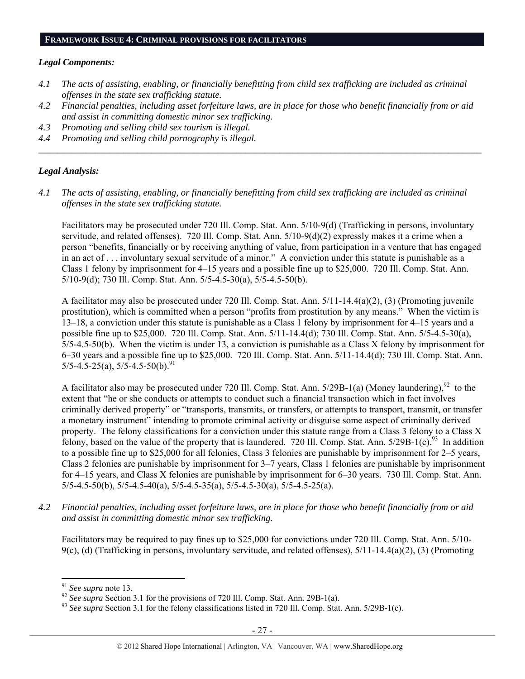#### *Legal Components:*

- *4.1 The acts of assisting, enabling, or financially benefitting from child sex trafficking are included as criminal offenses in the state sex trafficking statute.*
- *4.2 Financial penalties, including asset forfeiture laws, are in place for those who benefit financially from or aid and assist in committing domestic minor sex trafficking.*

*\_\_\_\_\_\_\_\_\_\_\_\_\_\_\_\_\_\_\_\_\_\_\_\_\_\_\_\_\_\_\_\_\_\_\_\_\_\_\_\_\_\_\_\_\_\_\_\_\_\_\_\_\_\_\_\_\_\_\_\_\_\_\_\_\_\_\_\_\_\_\_\_\_\_\_\_\_\_\_\_\_\_\_\_\_\_\_\_\_\_\_\_\_\_* 

- *4.3 Promoting and selling child sex tourism is illegal.*
- *4.4 Promoting and selling child pornography is illegal.*

#### *Legal Analysis:*

*4.1 The acts of assisting, enabling, or financially benefitting from child sex trafficking are included as criminal offenses in the state sex trafficking statute.* 

Facilitators may be prosecuted under 720 Ill. Comp. Stat. Ann. 5/10-9(d) (Trafficking in persons, involuntary servitude, and related offenses). 720 Ill. Comp. Stat. Ann. 5/10-9(d)(2) expressly makes it a crime when a person "benefits, financially or by receiving anything of value, from participation in a venture that has engaged in an act of . . . involuntary sexual servitude of a minor." A conviction under this statute is punishable as a Class 1 felony by imprisonment for 4–15 years and a possible fine up to \$25,000. 720 Ill. Comp. Stat. Ann. 5/10-9(d); 730 Ill. Comp. Stat. Ann. 5/5-4.5-30(a), 5/5-4.5-50(b).

A facilitator may also be prosecuted under 720 Ill. Comp. Stat. Ann. 5/11-14.4(a)(2), (3) (Promoting juvenile prostitution), which is committed when a person "profits from prostitution by any means." When the victim is 13–18, a conviction under this statute is punishable as a Class 1 felony by imprisonment for 4–15 years and a possible fine up to \$25,000. 720 Ill. Comp. Stat. Ann. 5/11-14.4(d); 730 Ill. Comp. Stat. Ann. 5/5-4.5-30(a),  $5/5-4.5-50(b)$ . When the victim is under 13, a conviction is punishable as a Class X felony by imprisonment for 6–30 years and a possible fine up to \$25,000. 720 Ill. Comp. Stat. Ann. 5/11-14.4(d); 730 Ill. Comp. Stat. Ann.  $5/5-4.5-25(a)$ ,  $5/5-4.5-50(b)$ .<sup>91</sup>

A facilitator also may be prosecuted under 720 Ill. Comp. Stat. Ann. 5/29B-1(a) (Money laundering),<sup>92</sup> to the extent that "he or she conducts or attempts to conduct such a financial transaction which in fact involves criminally derived property" or "transports, transmits, or transfers, or attempts to transport, transmit, or transfer a monetary instrument" intending to promote criminal activity or disguise some aspect of criminally derived property. The felony classifications for a conviction under this statute range from a Class 3 felony to a Class X felony, based on the value of the property that is laundered. 720 Ill. Comp. Stat. Ann.  $5/29B-1(c)$ .<sup>93</sup> In addition to a possible fine up to \$25,000 for all felonies, Class 3 felonies are punishable by imprisonment for 2–5 years, Class 2 felonies are punishable by imprisonment for 3–7 years, Class 1 felonies are punishable by imprisonment for 4–15 years, and Class X felonies are punishable by imprisonment for 6–30 years. 730 Ill. Comp. Stat. Ann.  $5/5-4.5-50(b)$ ,  $5/5-4.5-40(a)$ ,  $5/5-4.5-35(a)$ ,  $5/5-4.5-30(a)$ ,  $5/5-4.5-25(a)$ .

*4.2 Financial penalties, including asset forfeiture laws, are in place for those who benefit financially from or aid and assist in committing domestic minor sex trafficking.* 

Facilitators may be required to pay fines up to \$25,000 for convictions under 720 Ill. Comp. Stat. Ann. 5/10- 9(c), (d) (Trafficking in persons, involuntary servitude, and related offenses),  $5/11-14.4(a)(2)$ , (3) (Promoting

<sup>&</sup>lt;sup>91</sup> See supra note 13.<br><sup>92</sup> See supra Section 3.1 for the provisions of 720 Ill. Comp. Stat. Ann. 29B-1(a).<br><sup>93</sup> See supra Section 3.1 for the felony classifications listed in 720 Ill. Comp. Stat. Ann. 5/29B-1(c).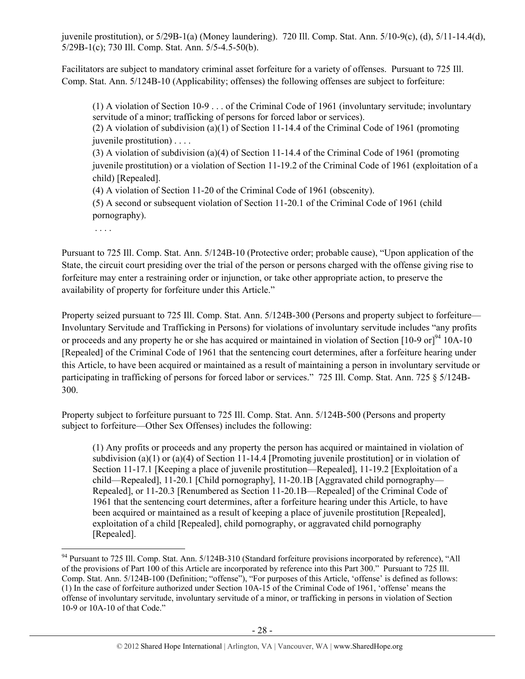juvenile prostitution), or 5/29B-1(a) (Money laundering). 720 Ill. Comp. Stat. Ann. 5/10-9(c), (d), 5/11-14.4(d), 5/29B-1(c); 730 Ill. Comp. Stat. Ann. 5/5-4.5-50(b).

Facilitators are subject to mandatory criminal asset forfeiture for a variety of offenses. Pursuant to 725 Ill. Comp. Stat. Ann. 5/124B-10 (Applicability; offenses) the following offenses are subject to forfeiture:

(1) A violation of Section 10-9 . . . of the Criminal Code of 1961 (involuntary servitude; involuntary servitude of a minor; trafficking of persons for forced labor or services).

(2) A violation of subdivision (a)(1) of Section 11-14.4 of the Criminal Code of 1961 (promoting juvenile prostitution) . . . .

(3) A violation of subdivision (a)(4) of Section 11-14.4 of the Criminal Code of 1961 (promoting juvenile prostitution) or a violation of Section 11-19.2 of the Criminal Code of 1961 (exploitation of a child) [Repealed].

(4) A violation of Section 11-20 of the Criminal Code of 1961 (obscenity).

(5) A second or subsequent violation of Section 11-20.1 of the Criminal Code of 1961 (child pornography).

. . . .

 $\overline{a}$ 

Pursuant to 725 Ill. Comp. Stat. Ann. 5/124B-10 (Protective order; probable cause), "Upon application of the State, the circuit court presiding over the trial of the person or persons charged with the offense giving rise to forfeiture may enter a restraining order or injunction, or take other appropriate action, to preserve the availability of property for forfeiture under this Article."

Property seized pursuant to 725 Ill. Comp. Stat. Ann. 5/124B-300 (Persons and property subject to forfeiture— Involuntary Servitude and Trafficking in Persons) for violations of involuntary servitude includes "any profits or proceeds and any property he or she has acquired or maintained in violation of Section  $[10-9 \text{ or}]^{94}$  10A-10 [Repealed] of the Criminal Code of 1961 that the sentencing court determines, after a forfeiture hearing under this Article, to have been acquired or maintained as a result of maintaining a person in involuntary servitude or participating in trafficking of persons for forced labor or services." 725 Ill. Comp. Stat. Ann. 725 § 5/124B-300.

Property subject to forfeiture pursuant to 725 Ill. Comp. Stat. Ann. 5/124B-500 (Persons and property subject to forfeiture—Other Sex Offenses) includes the following:

(1) Any profits or proceeds and any property the person has acquired or maintained in violation of subdivision (a)(1) or (a)(4) of Section 11-14.4 [Promoting juvenile prostitution] or in violation of Section 11-17.1 [Keeping a place of juvenile prostitution—Repealed], 11-19.2 [Exploitation of a child—Repealed], 11-20.1 [Child pornography], 11-20.1B [Aggravated child pornography— Repealed], or 11-20.3 [Renumbered as Section 11-20.1B—Repealed] of the Criminal Code of 1961 that the sentencing court determines, after a forfeiture hearing under this Article, to have been acquired or maintained as a result of keeping a place of juvenile prostitution [Repealed], exploitation of a child [Repealed], child pornography, or aggravated child pornography [Repealed].

<sup>&</sup>lt;sup>94</sup> Pursuant to 725 Ill. Comp. Stat. Ann. 5/124B-310 (Standard forfeiture provisions incorporated by reference), "All of the provisions of Part 100 of this Article are incorporated by reference into this Part 300." Pursuant to 725 Ill. Comp. Stat. Ann. 5/124B-100 (Definition; "offense"), "For purposes of this Article, 'offense' is defined as follows: (1) In the case of forfeiture authorized under Section 10A-15 of the Criminal Code of 1961, 'offense' means the offense of involuntary servitude, involuntary servitude of a minor, or trafficking in persons in violation of Section 10-9 or 10A-10 of that Code."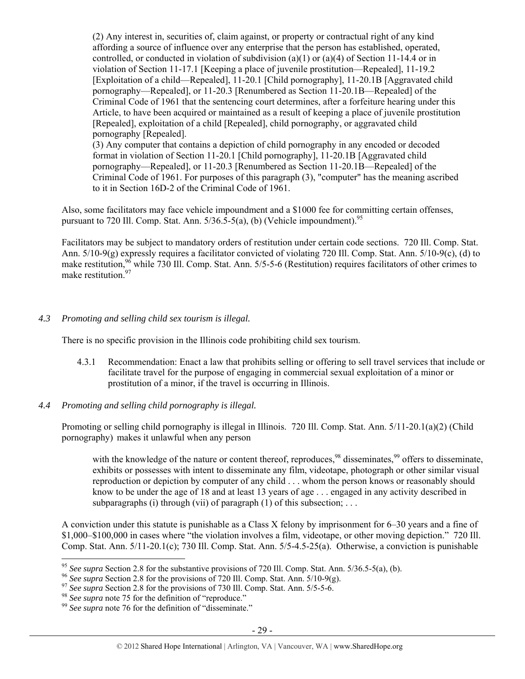(2) Any interest in, securities of, claim against, or property or contractual right of any kind affording a source of influence over any enterprise that the person has established, operated, controlled, or conducted in violation of subdivision (a)(1) or (a)(4) of Section 11-14.4 or in violation of Section 11-17.1 [Keeping a place of juvenile prostitution—Repealed], 11-19.2 [Exploitation of a child—Repealed], 11-20.1 [Child pornography], 11-20.1B [Aggravated child pornography—Repealed], or 11-20.3 [Renumbered as Section 11-20.1B—Repealed] of the Criminal Code of 1961 that the sentencing court determines, after a forfeiture hearing under this Article, to have been acquired or maintained as a result of keeping a place of juvenile prostitution [Repealed], exploitation of a child [Repealed], child pornography, or aggravated child pornography [Repealed].

(3) Any computer that contains a depiction of child pornography in any encoded or decoded format in violation of Section 11-20.1 [Child pornography], 11-20.1B [Aggravated child pornography—Repealed], or 11-20.3 [Renumbered as Section 11-20.1B—Repealed] of the Criminal Code of 1961. For purposes of this paragraph (3), "computer" has the meaning ascribed to it in Section 16D-2 of the Criminal Code of 1961.

Also, some facilitators may face vehicle impoundment and a \$1000 fee for committing certain offenses, pursuant to 720 Ill. Comp. Stat. Ann.  $5/36.5-5(a)$ , (b) (Vehicle impoundment).<sup>95</sup>

Facilitators may be subject to mandatory orders of restitution under certain code sections. 720 Ill. Comp. Stat. Ann. 5/10-9(g) expressly requires a facilitator convicted of violating 720 Ill. Comp. Stat. Ann. 5/10-9(c), (d) to make restitution,<sup>96</sup> while 730 Ill. Comp. Stat. Ann. 5/5-5-6 (Restitution) requires facilitators of other crimes to make restitution.<sup>97</sup>

# *4.3 Promoting and selling child sex tourism is illegal.*

There is no specific provision in the Illinois code prohibiting child sex tourism.

- 4.3.1 Recommendation: Enact a law that prohibits selling or offering to sell travel services that include or facilitate travel for the purpose of engaging in commercial sexual exploitation of a minor or prostitution of a minor, if the travel is occurring in Illinois.
- *4.4 Promoting and selling child pornography is illegal.*

Promoting or selling child pornography is illegal in Illinois. 720 Ill. Comp. Stat. Ann. 5/11-20.1(a)(2) (Child pornography) makes it unlawful when any person

with the knowledge of the nature or content thereof, reproduces,<sup>98</sup> disseminates,<sup>99</sup> offers to disseminate, exhibits or possesses with intent to disseminate any film, videotape, photograph or other similar visual reproduction or depiction by computer of any child . . . whom the person knows or reasonably should know to be under the age of 18 and at least 13 years of age . . . engaged in any activity described in subparagraphs (i) through (vii) of paragraph (1) of this subsection; ...

A conviction under this statute is punishable as a Class X felony by imprisonment for 6–30 years and a fine of \$1,000–\$100,000 in cases where "the violation involves a film, videotape, or other moving depiction." 720 Ill. Comp. Stat. Ann. 5/11-20.1(c); 730 Ill. Comp. Stat. Ann. 5/5-4.5-25(a). Otherwise, a conviction is punishable

<sup>&</sup>lt;sup>95</sup> See supra Section 2.8 for the substantive provisions of 720 Ill. Comp. Stat. Ann.  $5/36.5-5(a)$ , (b).

<sup>&</sup>lt;sup>96</sup> See supra Section 2.8 for the provisions of 720 III. Comp. Stat. Ann. 5/10-9(g).<br><sup>97</sup> See supra Section 2.8 for the provisions of 730 III. Comp. Stat. Ann. 5/5-5-6.<br><sup>98</sup> See supra note 75 for the definition of "repro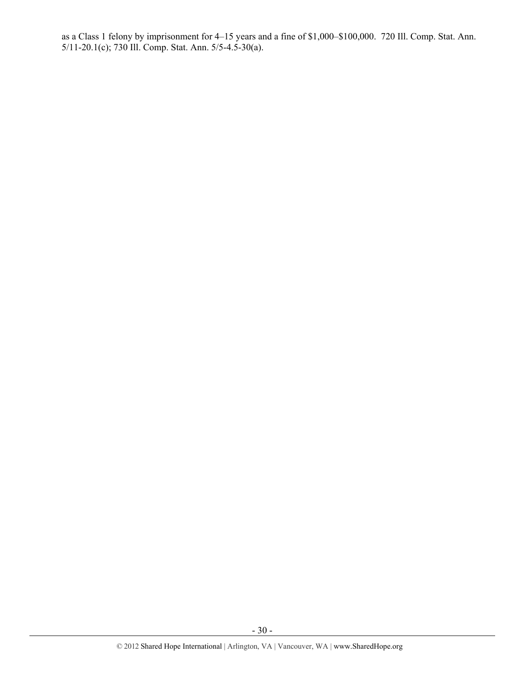as a Class 1 felony by imprisonment for 4–15 years and a fine of \$1,000–\$100,000. 720 Ill. Comp. Stat. Ann. 5/11-20.1(c); 730 Ill. Comp. Stat. Ann. 5/5-4.5-30(a).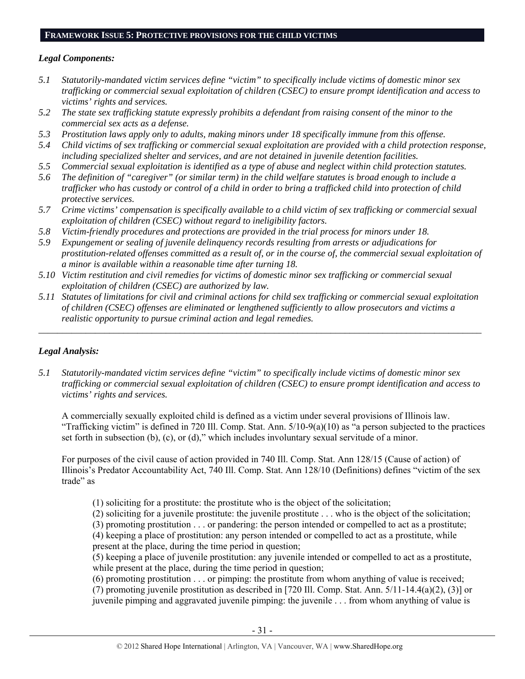#### **FRAMEWORK ISSUE 5: PROTECTIVE PROVISIONS FOR THE CHILD VICTIMS**

## *Legal Components:*

- *5.1 Statutorily-mandated victim services define "victim" to specifically include victims of domestic minor sex trafficking or commercial sexual exploitation of children (CSEC) to ensure prompt identification and access to victims' rights and services.*
- *5.2 The state sex trafficking statute expressly prohibits a defendant from raising consent of the minor to the commercial sex acts as a defense.*
- *5.3 Prostitution laws apply only to adults, making minors under 18 specifically immune from this offense.*
- *5.4 Child victims of sex trafficking or commercial sexual exploitation are provided with a child protection response, including specialized shelter and services, and are not detained in juvenile detention facilities.*
- *5.5 Commercial sexual exploitation is identified as a type of abuse and neglect within child protection statutes.*
- *5.6 The definition of "caregiver" (or similar term) in the child welfare statutes is broad enough to include a trafficker who has custody or control of a child in order to bring a trafficked child into protection of child protective services.*
- *5.7 Crime victims' compensation is specifically available to a child victim of sex trafficking or commercial sexual exploitation of children (CSEC) without regard to ineligibility factors.*
- *5.8 Victim-friendly procedures and protections are provided in the trial process for minors under 18.*
- *5.9 Expungement or sealing of juvenile delinquency records resulting from arrests or adjudications for prostitution-related offenses committed as a result of, or in the course of, the commercial sexual exploitation of a minor is available within a reasonable time after turning 18.*
- *5.10 Victim restitution and civil remedies for victims of domestic minor sex trafficking or commercial sexual exploitation of children (CSEC) are authorized by law.*
- *5.11 Statutes of limitations for civil and criminal actions for child sex trafficking or commercial sexual exploitation of children (CSEC) offenses are eliminated or lengthened sufficiently to allow prosecutors and victims a realistic opportunity to pursue criminal action and legal remedies.*

*\_\_\_\_\_\_\_\_\_\_\_\_\_\_\_\_\_\_\_\_\_\_\_\_\_\_\_\_\_\_\_\_\_\_\_\_\_\_\_\_\_\_\_\_\_\_\_\_\_\_\_\_\_\_\_\_\_\_\_\_\_\_\_\_\_\_\_\_\_\_\_\_\_\_\_\_\_\_\_\_\_\_\_\_\_\_\_\_\_\_\_\_\_\_* 

# *Legal Analysis:*

*5.1 Statutorily-mandated victim services define "victim" to specifically include victims of domestic minor sex trafficking or commercial sexual exploitation of children (CSEC) to ensure prompt identification and access to victims' rights and services.* 

A commercially sexually exploited child is defined as a victim under several provisions of Illinois law. "Trafficking victim" is defined in 720 Ill. Comp. Stat. Ann.  $5/10-9(a)(10)$  as "a person subjected to the practices set forth in subsection (b), (c), or (d)," which includes involuntary sexual servitude of a minor.

For purposes of the civil cause of action provided in 740 Ill. Comp. Stat. Ann 128/15 (Cause of action) of Illinois's Predator Accountability Act, 740 Ill. Comp. Stat. Ann 128/10 (Definitions) defines "victim of the sex trade" as

(1) soliciting for a prostitute: the prostitute who is the object of the solicitation;

(2) soliciting for a juvenile prostitute: the juvenile prostitute . . . who is the object of the solicitation;

(3) promoting prostitution . . . or pandering: the person intended or compelled to act as a prostitute;

(4) keeping a place of prostitution: any person intended or compelled to act as a prostitute, while present at the place, during the time period in question;

(5) keeping a place of juvenile prostitution: any juvenile intended or compelled to act as a prostitute, while present at the place, during the time period in question;

(6) promoting prostitution . . . or pimping: the prostitute from whom anything of value is received;

(7) promoting juvenile prostitution as described in [720 Ill. Comp. Stat. Ann. 5/11-14.4(a)(2), (3)] or juvenile pimping and aggravated juvenile pimping: the juvenile . . . from whom anything of value is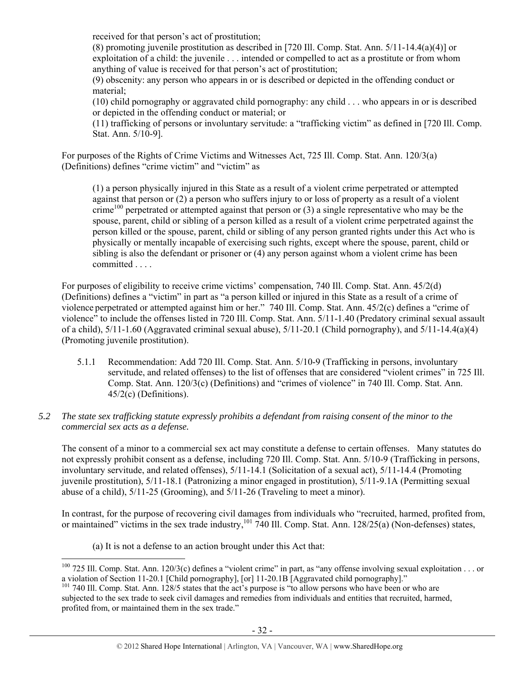received for that person's act of prostitution;

(8) promoting juvenile prostitution as described in [720 Ill. Comp. Stat. Ann. 5/11-14.4(a)(4)] or exploitation of a child: the juvenile . . . intended or compelled to act as a prostitute or from whom anything of value is received for that person's act of prostitution;

(9) obscenity: any person who appears in or is described or depicted in the offending conduct or material;

(10) child pornography or aggravated child pornography: any child . . . who appears in or is described or depicted in the offending conduct or material; or

(11) trafficking of persons or involuntary servitude: a "trafficking victim" as defined in [720 Ill. Comp. Stat. Ann. 5/10-9].

For purposes of the Rights of Crime Victims and Witnesses Act, 725 Ill. Comp. Stat. Ann. 120/3(a) (Definitions) defines "crime victim" and "victim" as

(1) a person physically injured in this State as a result of a violent crime perpetrated or attempted against that person or (2) a person who suffers injury to or loss of property as a result of a violent crime<sup>100</sup> perpetrated or attempted against that person or  $(3)$  a single representative who may be the spouse, parent, child or sibling of a person killed as a result of a violent crime perpetrated against the person killed or the spouse, parent, child or sibling of any person granted rights under this Act who is physically or mentally incapable of exercising such rights, except where the spouse, parent, child or sibling is also the defendant or prisoner or (4) any person against whom a violent crime has been committed . . . .

For purposes of eligibility to receive crime victims' compensation, 740 Ill. Comp. Stat. Ann. 45/2(d) (Definitions) defines a "victim" in part as "a person killed or injured in this State as a result of a crime of violence perpetrated or attempted against him or her." 740 Ill. Comp. Stat. Ann. 45/2(c) defines a "crime of violence" to include the offenses listed in 720 Ill. Comp. Stat. Ann. 5/11-1.40 (Predatory criminal sexual assault of a child),  $5/11-1.60$  (Aggravated criminal sexual abuse),  $5/11-20.1$  (Child pornography), and  $5/11-14.4(a)(4)$ (Promoting juvenile prostitution).

5.1.1 Recommendation: Add 720 Ill. Comp. Stat. Ann. 5/10-9 (Trafficking in persons, involuntary servitude, and related offenses) to the list of offenses that are considered "violent crimes" in 725 Ill. Comp. Stat. Ann. 120/3(c) (Definitions) and "crimes of violence" in 740 Ill. Comp. Stat. Ann. 45/2(c) (Definitions).

## *5.2 The state sex trafficking statute expressly prohibits a defendant from raising consent of the minor to the commercial sex acts as a defense.*

The consent of a minor to a commercial sex act may constitute a defense to certain offenses. Many statutes do not expressly prohibit consent as a defense, including 720 Ill. Comp. Stat. Ann. 5/10-9 (Trafficking in persons, involuntary servitude, and related offenses), 5/11-14.1 (Solicitation of a sexual act), 5/11-14.4 (Promoting juvenile prostitution), 5/11-18.1 (Patronizing a minor engaged in prostitution), 5/11-9.1A (Permitting sexual abuse of a child), 5/11-25 (Grooming), and 5/11-26 (Traveling to meet a minor).

In contrast, for the purpose of recovering civil damages from individuals who "recruited, harmed, profited from, or maintained" victims in the sex trade industry,<sup>101</sup> 740 Ill. Comp. Stat. Ann. 128/25(a) (Non-defenses) states,

(a) It is not a defense to an action brought under this Act that:

<sup>&</sup>lt;sup>100</sup> 725 Ill. Comp. Stat. Ann. 120/3(c) defines a "violent crime" in part, as "any offense involving sexual exploitation . . . or a violation of Section 11-20.1 [Child pornography], [or] 11-20.1B [Aggravated child pornography]."

<sup>&</sup>lt;sup>101</sup> 740 Ill. Comp. Stat. Ann. 128/5 states that the act's purpose is "to allow persons who have been or who are subjected to the sex trade to seek civil damages and remedies from individuals and entities that recruited, harmed, profited from, or maintained them in the sex trade."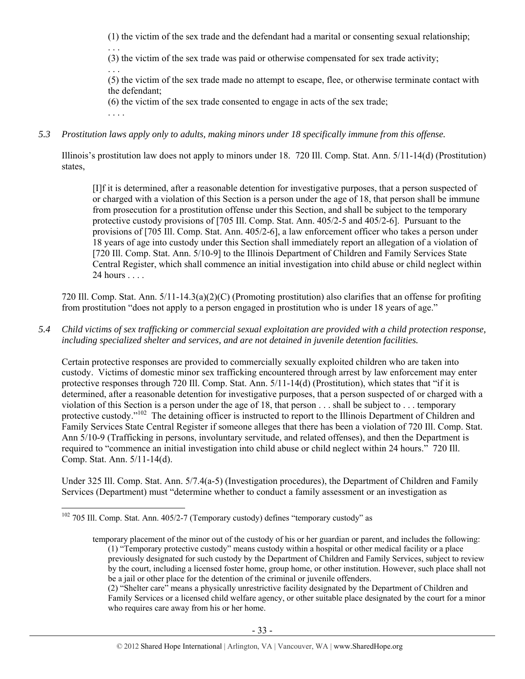(1) the victim of the sex trade and the defendant had a marital or consenting sexual relationship;

. . . (3) the victim of the sex trade was paid or otherwise compensated for sex trade activity;

. . . (5) the victim of the sex trade made no attempt to escape, flee, or otherwise terminate contact with the defendant;

(6) the victim of the sex trade consented to engage in acts of the sex trade;

. . . .

 $\overline{a}$ 

*5.3 Prostitution laws apply only to adults, making minors under 18 specifically immune from this offense.* 

Illinois's prostitution law does not apply to minors under 18. 720 Ill. Comp. Stat. Ann. 5/11-14(d) (Prostitution) states,

[I]f it is determined, after a reasonable detention for investigative purposes, that a person suspected of or charged with a violation of this Section is a person under the age of 18, that person shall be immune from prosecution for a prostitution offense under this Section, and shall be subject to the temporary protective custody provisions of [705 Ill. Comp. Stat. Ann. 405/2-5 and 405/2-6]. Pursuant to the provisions of [705 Ill. Comp. Stat. Ann. 405/2-6], a law enforcement officer who takes a person under 18 years of age into custody under this Section shall immediately report an allegation of a violation of [720 Ill. Comp. Stat. Ann. 5/10-9] to the Illinois Department of Children and Family Services State Central Register, which shall commence an initial investigation into child abuse or child neglect within 24 hours . . . .

720 Ill. Comp. Stat. Ann. 5/11-14.3(a)(2)(C) (Promoting prostitution) also clarifies that an offense for profiting from prostitution "does not apply to a person engaged in prostitution who is under 18 years of age."

*5.4 Child victims of sex trafficking or commercial sexual exploitation are provided with a child protection response, including specialized shelter and services, and are not detained in juvenile detention facilities.* 

Certain protective responses are provided to commercially sexually exploited children who are taken into custody. Victims of domestic minor sex trafficking encountered through arrest by law enforcement may enter protective responses through 720 Ill. Comp. Stat. Ann. 5/11-14(d) (Prostitution), which states that "if it is determined, after a reasonable detention for investigative purposes, that a person suspected of or charged with a violation of this Section is a person under the age of 18, that person . . . shall be subject to . . . temporary protective custody.<sup>"102</sup> The detaining officer is instructed to report to the Illinois Department of Children and Family Services State Central Register if someone alleges that there has been a violation of 720 Ill. Comp. Stat. Ann 5/10-9 (Trafficking in persons, involuntary servitude, and related offenses), and then the Department is required to "commence an initial investigation into child abuse or child neglect within 24 hours." 720 Ill. Comp. Stat. Ann. 5/11-14(d).

Under 325 Ill. Comp. Stat. Ann. 5/7.4(a-5) (Investigation procedures), the Department of Children and Family Services (Department) must "determine whether to conduct a family assessment or an investigation as

<sup>&</sup>lt;sup>102</sup> 705 Ill. Comp. Stat. Ann. 405/2-7 (Temporary custody) defines "temporary custody" as

temporary placement of the minor out of the custody of his or her guardian or parent, and includes the following: (1) "Temporary protective custody" means custody within a hospital or other medical facility or a place previously designated for such custody by the Department of Children and Family Services, subject to review by the court, including a licensed foster home, group home, or other institution. However, such place shall not be a jail or other place for the detention of the criminal or juvenile offenders.

<sup>(2) &</sup>quot;Shelter care" means a physically unrestrictive facility designated by the Department of Children and Family Services or a licensed child welfare agency, or other suitable place designated by the court for a minor who requires care away from his or her home.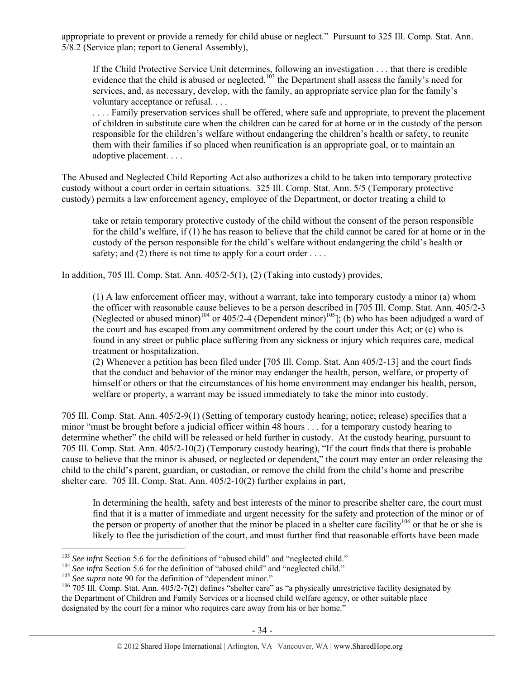appropriate to prevent or provide a remedy for child abuse or neglect." Pursuant to 325 Ill. Comp. Stat. Ann. 5/8.2 (Service plan; report to General Assembly),

If the Child Protective Service Unit determines, following an investigation . . . that there is credible evidence that the child is abused or neglected, $103$  the Department shall assess the family's need for services, and, as necessary, develop, with the family, an appropriate service plan for the family's voluntary acceptance or refusal. . . .

. . . . Family preservation services shall be offered, where safe and appropriate, to prevent the placement of children in substitute care when the children can be cared for at home or in the custody of the person responsible for the children's welfare without endangering the children's health or safety, to reunite them with their families if so placed when reunification is an appropriate goal, or to maintain an adoptive placement. . . .

The Abused and Neglected Child Reporting Act also authorizes a child to be taken into temporary protective custody without a court order in certain situations. 325 Ill. Comp. Stat. Ann. 5/5 (Temporary protective custody) permits a law enforcement agency, employee of the Department, or doctor treating a child to

take or retain temporary protective custody of the child without the consent of the person responsible for the child's welfare, if (1) he has reason to believe that the child cannot be cared for at home or in the custody of the person responsible for the child's welfare without endangering the child's health or safety; and  $(2)$  there is not time to apply for a court order ...

In addition, 705 Ill. Comp. Stat. Ann. 405/2-5(1), (2) (Taking into custody) provides,

(1) A law enforcement officer may, without a warrant, take into temporary custody a minor (a) whom the officer with reasonable cause believes to be a person described in [705 Ill. Comp. Stat. Ann. 405/2-3 (Neglected or abused minor)<sup>104</sup> or 405/2-4 (Dependent minor)<sup>105</sup>]; (b) who has been adjudged a ward of the court and has escaped from any commitment ordered by the court under this Act; or (c) who is found in any street or public place suffering from any sickness or injury which requires care, medical treatment or hospitalization.

(2) Whenever a petition has been filed under [705 Ill. Comp. Stat. Ann 405/2-13] and the court finds that the conduct and behavior of the minor may endanger the health, person, welfare, or property of himself or others or that the circumstances of his home environment may endanger his health, person, welfare or property, a warrant may be issued immediately to take the minor into custody.

705 Ill. Comp. Stat. Ann. 405/2-9(1) (Setting of temporary custody hearing; notice; release) specifies that a minor "must be brought before a judicial officer within 48 hours . . . for a temporary custody hearing to determine whether" the child will be released or held further in custody. At the custody hearing, pursuant to 705 Ill. Comp. Stat. Ann. 405/2-10(2) (Temporary custody hearing), "If the court finds that there is probable cause to believe that the minor is abused, or neglected or dependent," the court may enter an order releasing the child to the child's parent, guardian, or custodian, or remove the child from the child's home and prescribe shelter care. 705 Ill. Comp. Stat. Ann. 405/2-10(2) further explains in part,

In determining the health, safety and best interests of the minor to prescribe shelter care, the court must find that it is a matter of immediate and urgent necessity for the safety and protection of the minor or of the person or property of another that the minor be placed in a shelter care facility<sup>106</sup> or that he or she is likely to flee the jurisdiction of the court, and must further find that reasonable efforts have been made

<sup>&</sup>lt;sup>103</sup> See infra Section 5.6 for the definitions of "abused child" and "neglected child."

<sup>&</sup>lt;sup>104</sup> See infra Section 5.6 for the definition of "abused child" and "neglected child."<br><sup>105</sup> See supra note 90 for the definition of "dependent minor."<br><sup>105</sup> 705 Ill. Comp. Stat. Ann. 405/2-7(2) defines "shelter care" as the Department of Children and Family Services or a licensed child welfare agency, or other suitable place designated by the court for a minor who requires care away from his or her home."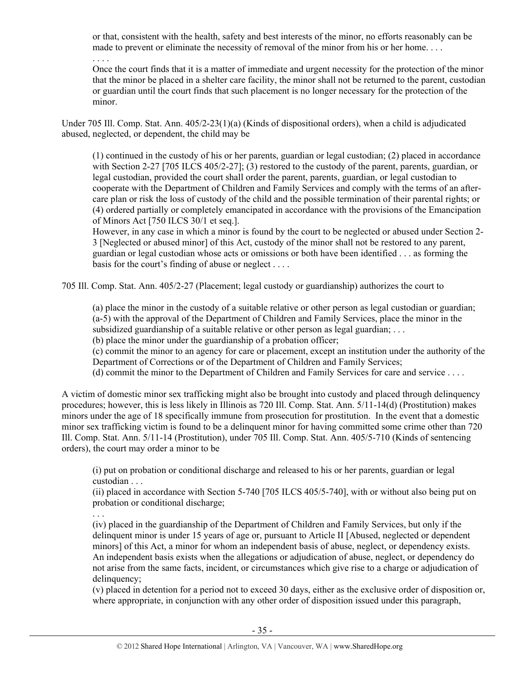or that, consistent with the health, safety and best interests of the minor, no efforts reasonably can be made to prevent or eliminate the necessity of removal of the minor from his or her home....

Once the court finds that it is a matter of immediate and urgent necessity for the protection of the minor that the minor be placed in a shelter care facility, the minor shall not be returned to the parent, custodian or guardian until the court finds that such placement is no longer necessary for the protection of the minor.

Under 705 Ill. Comp. Stat. Ann. 405/2-23(1)(a) (Kinds of dispositional orders), when a child is adjudicated abused, neglected, or dependent, the child may be

(1) continued in the custody of his or her parents, guardian or legal custodian; (2) placed in accordance with Section 2-27 [705 ILCS 405/2-27]; (3) restored to the custody of the parent, parents, guardian, or legal custodian, provided the court shall order the parent, parents, guardian, or legal custodian to cooperate with the Department of Children and Family Services and comply with the terms of an aftercare plan or risk the loss of custody of the child and the possible termination of their parental rights; or (4) ordered partially or completely emancipated in accordance with the provisions of the Emancipation of Minors Act [750 ILCS 30/1 et seq.].

However, in any case in which a minor is found by the court to be neglected or abused under Section 2- 3 [Neglected or abused minor] of this Act, custody of the minor shall not be restored to any parent, guardian or legal custodian whose acts or omissions or both have been identified . . . as forming the basis for the court's finding of abuse or neglect . . . .

705 Ill. Comp. Stat. Ann. 405/2-27 (Placement; legal custody or guardianship) authorizes the court to

(a) place the minor in the custody of a suitable relative or other person as legal custodian or guardian; (a-5) with the approval of the Department of Children and Family Services, place the minor in the subsidized guardianship of a suitable relative or other person as legal guardian; . . .

(b) place the minor under the guardianship of a probation officer;

. . . .

(c) commit the minor to an agency for care or placement, except an institution under the authority of the Department of Corrections or of the Department of Children and Family Services;

(d) commit the minor to the Department of Children and Family Services for care and service . . . .

A victim of domestic minor sex trafficking might also be brought into custody and placed through delinquency procedures; however, this is less likely in Illinois as 720 Ill. Comp. Stat. Ann. 5/11-14(d) (Prostitution) makes minors under the age of 18 specifically immune from prosecution for prostitution. In the event that a domestic minor sex trafficking victim is found to be a delinquent minor for having committed some crime other than 720 Ill. Comp. Stat. Ann. 5/11-14 (Prostitution), under 705 Ill. Comp. Stat. Ann. 405/5-710 (Kinds of sentencing orders), the court may order a minor to be

(i) put on probation or conditional discharge and released to his or her parents, guardian or legal custodian . . .

(ii) placed in accordance with Section 5-740 [705 ILCS 405/5-740], with or without also being put on probation or conditional discharge;

. . . (iv) placed in the guardianship of the Department of Children and Family Services, but only if the delinquent minor is under 15 years of age or, pursuant to Article II [Abused, neglected or dependent minors] of this Act, a minor for whom an independent basis of abuse, neglect, or dependency exists. An independent basis exists when the allegations or adjudication of abuse, neglect, or dependency do not arise from the same facts, incident, or circumstances which give rise to a charge or adjudication of delinquency;

(v) placed in detention for a period not to exceed 30 days, either as the exclusive order of disposition or, where appropriate, in conjunction with any other order of disposition issued under this paragraph,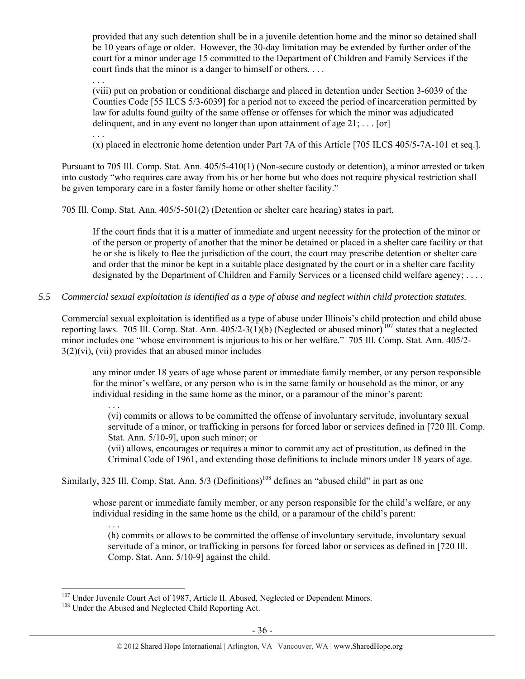provided that any such detention shall be in a juvenile detention home and the minor so detained shall be 10 years of age or older. However, the 30-day limitation may be extended by further order of the court for a minor under age 15 committed to the Department of Children and Family Services if the court finds that the minor is a danger to himself or others. . . .

. . .

(viii) put on probation or conditional discharge and placed in detention under Section 3-6039 of the Counties Code [55 ILCS 5/3-6039] for a period not to exceed the period of incarceration permitted by law for adults found guilty of the same offense or offenses for which the minor was adjudicated delinquent, and in any event no longer than upon attainment of age  $21$ ; ... [or]

. . .

. . .

 $\overline{a}$ 

(x) placed in electronic home detention under Part 7A of this Article [705 ILCS 405/5-7A-101 et seq.].

Pursuant to 705 Ill. Comp. Stat. Ann. 405/5-410(1) (Non-secure custody or detention), a minor arrested or taken into custody "who requires care away from his or her home but who does not require physical restriction shall be given temporary care in a foster family home or other shelter facility."

705 Ill. Comp. Stat. Ann. 405/5-501(2) (Detention or shelter care hearing) states in part,

If the court finds that it is a matter of immediate and urgent necessity for the protection of the minor or of the person or property of another that the minor be detained or placed in a shelter care facility or that he or she is likely to flee the jurisdiction of the court, the court may prescribe detention or shelter care and order that the minor be kept in a suitable place designated by the court or in a shelter care facility designated by the Department of Children and Family Services or a licensed child welfare agency; ....

#### *5.5 Commercial sexual exploitation is identified as a type of abuse and neglect within child protection statutes.*

Commercial sexual exploitation is identified as a type of abuse under Illinois's child protection and child abuse reporting laws. 705 Ill. Comp. Stat. Ann.  $405/2-3(1)(b)$  (Neglected or abused minor)<sup>107</sup> states that a neglected minor includes one "whose environment is injurious to his or her welfare." 705 Ill. Comp. Stat. Ann. 405/2-  $3(2)$ (vi), (vii) provides that an abused minor includes

any minor under 18 years of age whose parent or immediate family member, or any person responsible for the minor's welfare, or any person who is in the same family or household as the minor, or any individual residing in the same home as the minor, or a paramour of the minor's parent:

(vi) commits or allows to be committed the offense of involuntary servitude, involuntary sexual servitude of a minor, or trafficking in persons for forced labor or services defined in [720 Ill. Comp. Stat. Ann. 5/10-9], upon such minor; or

(vii) allows, encourages or requires a minor to commit any act of prostitution, as defined in the Criminal Code of 1961, and extending those definitions to include minors under 18 years of age.

Similarly, 325 Ill. Comp. Stat. Ann.  $5/3$  (Definitions)<sup>108</sup> defines an "abused child" in part as one

whose parent or immediate family member, or any person responsible for the child's welfare, or any individual residing in the same home as the child, or a paramour of the child's parent:

. . . (h) commits or allows to be committed the offense of involuntary servitude, involuntary sexual servitude of a minor, or trafficking in persons for forced labor or services as defined in [720 Ill. Comp. Stat. Ann. 5/10-9] against the child.

<sup>&</sup>lt;sup>107</sup> Under Juvenile Court Act of 1987, Article II. Abused, Neglected or Dependent Minors.<br><sup>108</sup> Under the Abused and Neglected Child Reporting Act.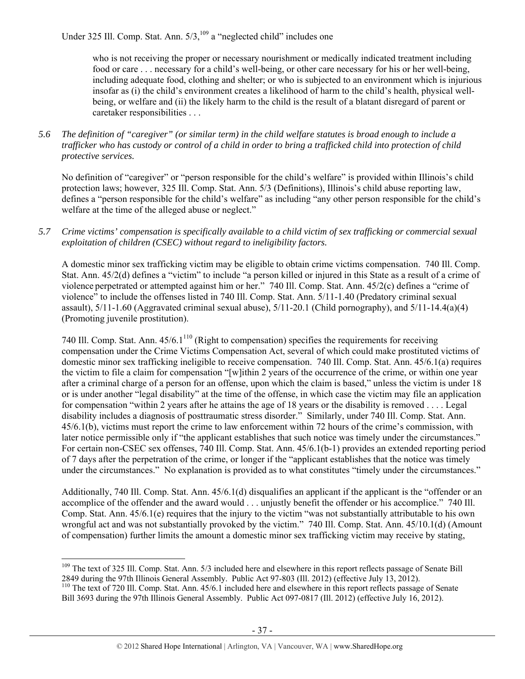Under 325 Ill. Comp. Stat. Ann. 5/3,<sup>109</sup> a "neglected child" includes one

who is not receiving the proper or necessary nourishment or medically indicated treatment including food or care . . . necessary for a child's well-being, or other care necessary for his or her well-being, including adequate food, clothing and shelter; or who is subjected to an environment which is injurious insofar as (i) the child's environment creates a likelihood of harm to the child's health, physical wellbeing, or welfare and (ii) the likely harm to the child is the result of a blatant disregard of parent or caretaker responsibilities . . .

*5.6 The definition of "caregiver" (or similar term) in the child welfare statutes is broad enough to include a trafficker who has custody or control of a child in order to bring a trafficked child into protection of child protective services.* 

No definition of "caregiver" or "person responsible for the child's welfare" is provided within Illinois's child protection laws; however, 325 Ill. Comp. Stat. Ann. 5/3 (Definitions), Illinois's child abuse reporting law, defines a "person responsible for the child's welfare" as including "any other person responsible for the child's welfare at the time of the alleged abuse or neglect."

*5.7 Crime victims' compensation is specifically available to a child victim of sex trafficking or commercial sexual exploitation of children (CSEC) without regard to ineligibility factors.* 

A domestic minor sex trafficking victim may be eligible to obtain crime victims compensation. 740 Ill. Comp. Stat. Ann. 45/2(d) defines a "victim" to include "a person killed or injured in this State as a result of a crime of violence perpetrated or attempted against him or her." 740 Ill. Comp. Stat. Ann. 45/2(c) defines a "crime of violence" to include the offenses listed in 740 Ill. Comp. Stat. Ann. 5/11-1.40 (Predatory criminal sexual assault),  $5/11-1.60$  (Aggravated criminal sexual abuse),  $5/11-20.1$  (Child pornography), and  $5/11-14.4(a)(4)$ (Promoting juvenile prostitution).

740 Ill. Comp. Stat. Ann.  $45/6.1^{110}$  (Right to compensation) specifies the requirements for receiving compensation under the Crime Victims Compensation Act, several of which could make prostituted victims of domestic minor sex trafficking ineligible to receive compensation. 740 Ill. Comp. Stat. Ann. 45/6.1(a) requires the victim to file a claim for compensation "[w]ithin 2 years of the occurrence of the crime, or within one year after a criminal charge of a person for an offense, upon which the claim is based," unless the victim is under 18 or is under another "legal disability" at the time of the offense, in which case the victim may file an application for compensation "within 2 years after he attains the age of 18 years or the disability is removed . . . . Legal disability includes a diagnosis of posttraumatic stress disorder." Similarly, under 740 Ill. Comp. Stat. Ann. 45/6.1(b), victims must report the crime to law enforcement within 72 hours of the crime's commission, with later notice permissible only if "the applicant establishes that such notice was timely under the circumstances." For certain non-CSEC sex offenses, 740 Ill. Comp. Stat. Ann. 45/6.1(b-1) provides an extended reporting period of 7 days after the perpetration of the crime, or longer if the "applicant establishes that the notice was timely under the circumstances." No explanation is provided as to what constitutes "timely under the circumstances."

Additionally, 740 Ill. Comp. Stat. Ann. 45/6.1(d) disqualifies an applicant if the applicant is the "offender or an accomplice of the offender and the award would . . . unjustly benefit the offender or his accomplice." 740 Ill. Comp. Stat. Ann. 45/6.1(e) requires that the injury to the victim "was not substantially attributable to his own wrongful act and was not substantially provoked by the victim." 740 Ill. Comp. Stat. Ann. 45/10.1(d) (Amount of compensation) further limits the amount a domestic minor sex trafficking victim may receive by stating,

<sup>&</sup>lt;sup>109</sup> The text of 325 Ill. Comp. Stat. Ann. 5/3 included here and elsewhere in this report reflects passage of Senate Bill

<sup>2849</sup> during the 97th Illinois General Assembly. Public Act 97-803 (Ill. 2012) (effective July 13, 2012). 110 The text of 720 Ill. Comp. Stat. Ann. 45/6.1 included here and elsewhere in this report reflects passage of Senate Bill 3693 during the 97th Illinois General Assembly. Public Act 097-0817 (Ill. 2012) (effective July 16, 2012).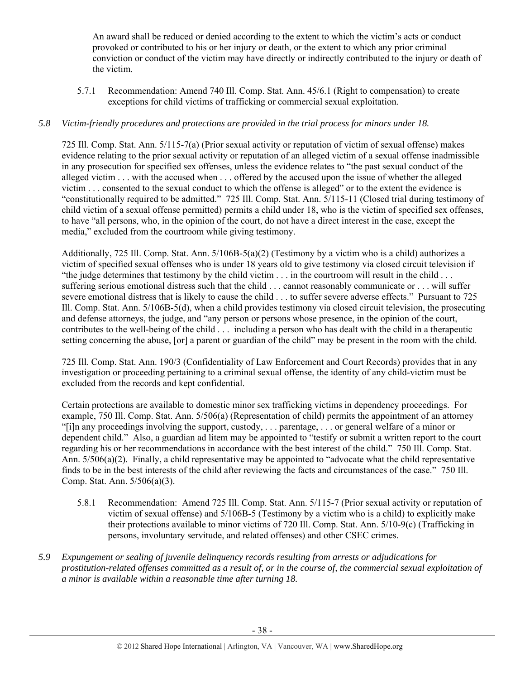An award shall be reduced or denied according to the extent to which the victim's acts or conduct provoked or contributed to his or her injury or death, or the extent to which any prior criminal conviction or conduct of the victim may have directly or indirectly contributed to the injury or death of the victim.

5.7.1 Recommendation: Amend 740 Ill. Comp. Stat. Ann. 45/6.1 (Right to compensation) to create exceptions for child victims of trafficking or commercial sexual exploitation.

# *5.8 Victim-friendly procedures and protections are provided in the trial process for minors under 18.*

725 Ill. Comp. Stat. Ann. 5/115-7(a) (Prior sexual activity or reputation of victim of sexual offense) makes evidence relating to the prior sexual activity or reputation of an alleged victim of a sexual offense inadmissible in any prosecution for specified sex offenses, unless the evidence relates to "the past sexual conduct of the alleged victim . . . with the accused when . . . offered by the accused upon the issue of whether the alleged victim . . . consented to the sexual conduct to which the offense is alleged" or to the extent the evidence is "constitutionally required to be admitted." 725 Ill. Comp. Stat. Ann. 5/115-11 (Closed trial during testimony of child victim of a sexual offense permitted) permits a child under 18, who is the victim of specified sex offenses, to have "all persons, who, in the opinion of the court, do not have a direct interest in the case, except the media," excluded from the courtroom while giving testimony.

Additionally, 725 Ill. Comp. Stat. Ann. 5/106B-5(a)(2) (Testimony by a victim who is a child) authorizes a victim of specified sexual offenses who is under 18 years old to give testimony via closed circuit television if "the judge determines that testimony by the child victim . . . in the courtroom will result in the child . . . suffering serious emotional distress such that the child . . . cannot reasonably communicate or . . . will suffer severe emotional distress that is likely to cause the child . . . to suffer severe adverse effects." Pursuant to 725 Ill. Comp. Stat. Ann. 5/106B-5(d), when a child provides testimony via closed circuit television, the prosecuting and defense attorneys, the judge, and "any person or persons whose presence, in the opinion of the court, contributes to the well-being of the child . . . including a person who has dealt with the child in a therapeutic setting concerning the abuse, [or] a parent or guardian of the child" may be present in the room with the child.

725 Ill. Comp. Stat. Ann. 190/3 (Confidentiality of Law Enforcement and Court Records) provides that in any investigation or proceeding pertaining to a criminal sexual offense, the identity of any child-victim must be excluded from the records and kept confidential.

Certain protections are available to domestic minor sex trafficking victims in dependency proceedings. For example, 750 Ill. Comp. Stat. Ann. 5/506(a) (Representation of child) permits the appointment of an attorney "[i]n any proceedings involving the support, custody, . . . parentage, . . . or general welfare of a minor or dependent child." Also, a guardian ad litem may be appointed to "testify or submit a written report to the court regarding his or her recommendations in accordance with the best interest of the child." 750 Ill. Comp. Stat. Ann. 5/506(a)(2). Finally, a child representative may be appointed to "advocate what the child representative finds to be in the best interests of the child after reviewing the facts and circumstances of the case." 750 Ill. Comp. Stat. Ann. 5/506(a)(3).

- 5.8.1 Recommendation: Amend 725 Ill. Comp. Stat. Ann. 5/115-7 (Prior sexual activity or reputation of victim of sexual offense) and 5/106B-5 (Testimony by a victim who is a child) to explicitly make their protections available to minor victims of 720 Ill. Comp. Stat. Ann. 5/10-9(c) (Trafficking in persons, involuntary servitude, and related offenses) and other CSEC crimes.
- *5.9 Expungement or sealing of juvenile delinquency records resulting from arrests or adjudications for prostitution-related offenses committed as a result of, or in the course of, the commercial sexual exploitation of a minor is available within a reasonable time after turning 18.*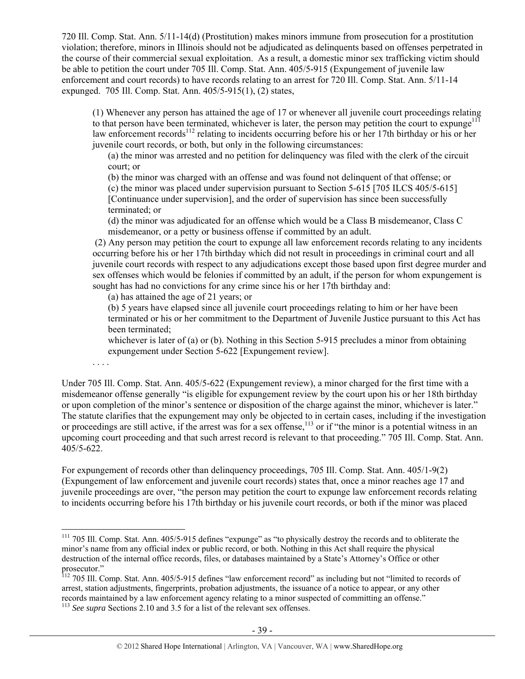720 Ill. Comp. Stat. Ann. 5/11-14(d) (Prostitution) makes minors immune from prosecution for a prostitution violation; therefore, minors in Illinois should not be adjudicated as delinquents based on offenses perpetrated in the course of their commercial sexual exploitation. As a result, a domestic minor sex trafficking victim should be able to petition the court under 705 Ill. Comp. Stat. Ann. 405/5-915 (Expungement of juvenile law enforcement and court records) to have records relating to an arrest for 720 Ill. Comp. Stat. Ann. 5/11-14 expunged. 705 Ill. Comp. Stat. Ann. 405/5-915(1), (2) states,

(1) Whenever any person has attained the age of 17 or whenever all juvenile court proceedings relating to that person have been terminated, whichever is later, the person may petition the court to expunge<sup>111</sup> law enforcement records<sup>112</sup> relating to incidents occurring before his or her 17th birthday or his or her juvenile court records, or both, but only in the following circumstances:

(a) the minor was arrested and no petition for delinquency was filed with the clerk of the circuit court; or

(b) the minor was charged with an offense and was found not delinquent of that offense; or

(c) the minor was placed under supervision pursuant to Section 5-615 [705 ILCS 405/5-615] [Continuance under supervision], and the order of supervision has since been successfully terminated; or

(d) the minor was adjudicated for an offense which would be a Class B misdemeanor, Class C misdemeanor, or a petty or business offense if committed by an adult.

 (2) Any person may petition the court to expunge all law enforcement records relating to any incidents occurring before his or her 17th birthday which did not result in proceedings in criminal court and all juvenile court records with respect to any adjudications except those based upon first degree murder and sex offenses which would be felonies if committed by an adult, if the person for whom expungement is sought has had no convictions for any crime since his or her 17th birthday and:

(a) has attained the age of 21 years; or

(b) 5 years have elapsed since all juvenile court proceedings relating to him or her have been terminated or his or her commitment to the Department of Juvenile Justice pursuant to this Act has been terminated;

whichever is later of (a) or (b). Nothing in this Section 5-915 precludes a minor from obtaining expungement under Section 5-622 [Expungement review].

. . . .

 $\overline{a}$ 

Under 705 Ill. Comp. Stat. Ann. 405/5-622 (Expungement review), a minor charged for the first time with a misdemeanor offense generally "is eligible for expungement review by the court upon his or her 18th birthday or upon completion of the minor's sentence or disposition of the charge against the minor, whichever is later." The statute clarifies that the expungement may only be objected to in certain cases, including if the investigation or proceedings are still active, if the arrest was for a sex offense,<sup>113</sup> or if "the minor is a potential witness in an upcoming court proceeding and that such arrest record is relevant to that proceeding." 705 Ill. Comp. Stat. Ann. 405/5-622.

For expungement of records other than delinquency proceedings, 705 Ill. Comp. Stat. Ann. 405/1-9(2) (Expungement of law enforcement and juvenile court records) states that, once a minor reaches age 17 and juvenile proceedings are over, "the person may petition the court to expunge law enforcement records relating to incidents occurring before his 17th birthday or his juvenile court records, or both if the minor was placed

<sup>&</sup>lt;sup>111</sup> 705 Ill. Comp. Stat. Ann. 405/5-915 defines "expunge" as "to physically destroy the records and to obliterate the minor's name from any official index or public record, or both. Nothing in this Act shall require the physical destruction of the internal office records, files, or databases maintained by a State's Attorney's Office or other prosecutor."

<sup>&</sup>lt;sup>112</sup> 705 Ill. Comp. Stat. Ann. 405/5-915 defines "law enforcement record" as including but not "limited to records of arrest, station adjustments, fingerprints, probation adjustments, the issuance of a notice to appear, or any other records maintained by a law enforcement agency relating to a minor suspected of committing an offense." 113 *See supra* Sections 2.10 and 3.5 for a list of the relevant sex offenses.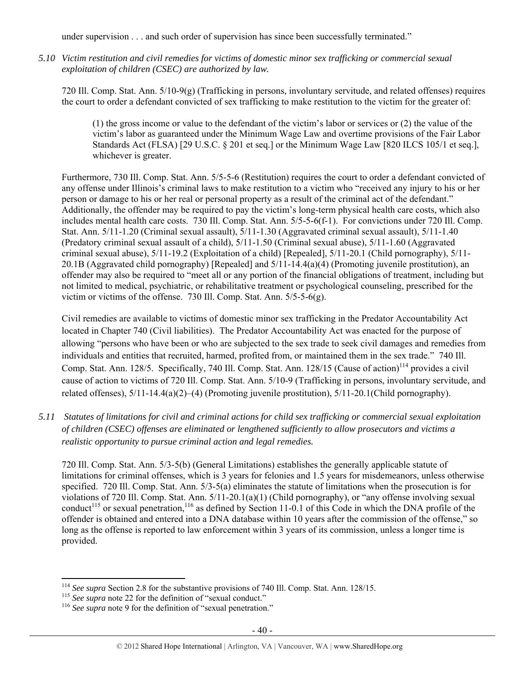under supervision . . . and such order of supervision has since been successfully terminated."

*5.10 Victim restitution and civil remedies for victims of domestic minor sex trafficking or commercial sexual exploitation of children (CSEC) are authorized by law.* 

720 Ill. Comp. Stat. Ann. 5/10-9(g) (Trafficking in persons, involuntary servitude, and related offenses) requires the court to order a defendant convicted of sex trafficking to make restitution to the victim for the greater of:

(1) the gross income or value to the defendant of the victim's labor or services or (2) the value of the victim's labor as guaranteed under the Minimum Wage Law and overtime provisions of the Fair Labor Standards Act (FLSA) [29 U.S.C. § 201 et seq.] or the Minimum Wage Law [820 ILCS 105/1 et seq.], whichever is greater.

Furthermore, 730 Ill. Comp. Stat. Ann. 5/5-5-6 (Restitution) requires the court to order a defendant convicted of any offense under Illinois's criminal laws to make restitution to a victim who "received any injury to his or her person or damage to his or her real or personal property as a result of the criminal act of the defendant." Additionally, the offender may be required to pay the victim's long-term physical health care costs, which also includes mental health care costs. 730 Ill. Comp. Stat. Ann. 5/5-5-6(f-1). For convictions under 720 Ill. Comp. Stat. Ann. 5/11-1.20 (Criminal sexual assault), 5/11-1.30 (Aggravated criminal sexual assault), 5/11-1.40 (Predatory criminal sexual assault of a child), 5/11-1.50 (Criminal sexual abuse), 5/11-1.60 (Aggravated criminal sexual abuse), 5/11-19.2 (Exploitation of a child) [Repealed], 5/11-20.1 (Child pornography), 5/11- 20.1B (Aggravated child pornography) [Repealed] and 5/11-14.4(a)(4) (Promoting juvenile prostitution), an offender may also be required to "meet all or any portion of the financial obligations of treatment, including but not limited to medical, psychiatric, or rehabilitative treatment or psychological counseling, prescribed for the victim or victims of the offense. 730 Ill. Comp. Stat. Ann. 5/5-5-6(g).

Civil remedies are available to victims of domestic minor sex trafficking in the Predator Accountability Act located in Chapter 740 (Civil liabilities). The Predator Accountability Act was enacted for the purpose of allowing "persons who have been or who are subjected to the sex trade to seek civil damages and remedies from individuals and entities that recruited, harmed, profited from, or maintained them in the sex trade." 740 Ill. Comp. Stat. Ann. 128/5. Specifically, 740 Ill. Comp. Stat. Ann. 128/15 (Cause of action)<sup>114</sup> provides a civil cause of action to victims of 720 Ill. Comp. Stat. Ann. 5/10-9 (Trafficking in persons, involuntary servitude, and related offenses), 5/11-14.4(a)(2)–(4) (Promoting juvenile prostitution), 5/11-20.1(Child pornography).

*5.11 Statutes of limitations for civil and criminal actions for child sex trafficking or commercial sexual exploitation of children (CSEC) offenses are eliminated or lengthened sufficiently to allow prosecutors and victims a realistic opportunity to pursue criminal action and legal remedies.* 

720 Ill. Comp. Stat. Ann. 5/3-5(b) (General Limitations) establishes the generally applicable statute of limitations for criminal offenses, which is 3 years for felonies and 1.5 years for misdemeanors, unless otherwise specified. 720 Ill. Comp. Stat. Ann. 5/3-5(a) eliminates the statute of limitations when the prosecution is for violations of 720 Ill. Comp. Stat. Ann. 5/11-20.1(a)(1) (Child pornography), or "any offense involving sexual conduct<sup>115</sup> or sexual penetration,<sup>116</sup> as defined by Section 11-0.1 of this Code in which the DNA profile of the offender is obtained and entered into a DNA database within 10 years after the commission of the offense," so long as the offense is reported to law enforcement within 3 years of its commission, unless a longer time is provided.

 $\overline{a}$ <sup>114</sup> See supra Section 2.8 for the substantive provisions of 740 Ill. Comp. Stat. Ann. 128/15.<br><sup>115</sup> See supra note 22 for the definition of "sexual conduct."<br><sup>116</sup> See supra note 9 for the definition of "sexual penetrat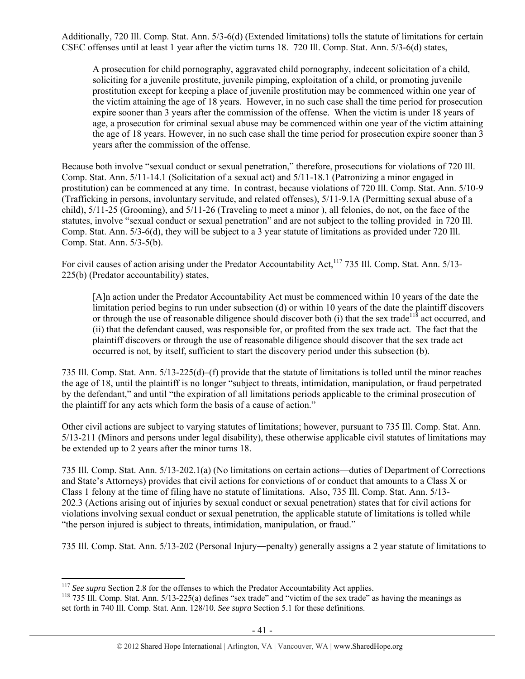Additionally, 720 Ill. Comp. Stat. Ann. 5/3-6(d) (Extended limitations) tolls the statute of limitations for certain CSEC offenses until at least 1 year after the victim turns 18. 720 Ill. Comp. Stat. Ann. 5/3-6(d) states,

A prosecution for child pornography, aggravated child pornography, indecent solicitation of a child, soliciting for a juvenile prostitute, juvenile pimping, exploitation of a child, or promoting juvenile prostitution except for keeping a place of juvenile prostitution may be commenced within one year of the victim attaining the age of 18 years. However, in no such case shall the time period for prosecution expire sooner than 3 years after the commission of the offense. When the victim is under 18 years of age, a prosecution for criminal sexual abuse may be commenced within one year of the victim attaining the age of 18 years. However, in no such case shall the time period for prosecution expire sooner than 3 years after the commission of the offense.

Because both involve "sexual conduct or sexual penetration," therefore, prosecutions for violations of 720 Ill. Comp. Stat. Ann. 5/11-14.1 (Solicitation of a sexual act) and 5/11-18.1 (Patronizing a minor engaged in prostitution) can be commenced at any time. In contrast, because violations of 720 Ill. Comp. Stat. Ann. 5/10-9 (Trafficking in persons, involuntary servitude, and related offenses), 5/11-9.1A (Permitting sexual abuse of a child), 5/11-25 (Grooming), and 5/11-26 (Traveling to meet a minor ), all felonies, do not, on the face of the statutes, involve "sexual conduct or sexual penetration" and are not subject to the tolling provided in 720 Ill. Comp. Stat. Ann. 5/3-6(d), they will be subject to a 3 year statute of limitations as provided under 720 Ill. Comp. Stat. Ann. 5/3-5(b).

For civil causes of action arising under the Predator Accountability Act,<sup>117</sup> 735 Ill. Comp. Stat. Ann. 5/13-225(b) (Predator accountability) states,

[A]n action under the Predator Accountability Act must be commenced within 10 years of the date the limitation period begins to run under subsection (d) or within 10 years of the date the plaintiff discovers or through the use of reasonable diligence should discover both (i) that the sex trade<sup>118</sup> act occurred, and (ii) that the defendant caused, was responsible for, or profited from the sex trade act. The fact that the plaintiff discovers or through the use of reasonable diligence should discover that the sex trade act occurred is not, by itself, sufficient to start the discovery period under this subsection (b).

735 Ill. Comp. Stat. Ann. 5/13-225(d)–(f) provide that the statute of limitations is tolled until the minor reaches the age of 18, until the plaintiff is no longer "subject to threats, intimidation, manipulation, or fraud perpetrated by the defendant," and until "the expiration of all limitations periods applicable to the criminal prosecution of the plaintiff for any acts which form the basis of a cause of action."

Other civil actions are subject to varying statutes of limitations; however, pursuant to 735 Ill. Comp. Stat. Ann. 5/13-211 (Minors and persons under legal disability), these otherwise applicable civil statutes of limitations may be extended up to 2 years after the minor turns 18.

735 Ill. Comp. Stat. Ann. 5/13-202.1(a) (No limitations on certain actions—duties of Department of Corrections and State's Attorneys) provides that civil actions for convictions of or conduct that amounts to a Class X or Class 1 felony at the time of filing have no statute of limitations. Also, 735 Ill. Comp. Stat. Ann. 5/13- 202.3 (Actions arising out of injuries by sexual conduct or sexual penetration) states that for civil actions for violations involving sexual conduct or sexual penetration, the applicable statute of limitations is tolled while "the person injured is subject to threats, intimidation, manipulation, or fraud."

735 Ill. Comp. Stat. Ann. 5/13-202 (Personal Injury―penalty) generally assigns a 2 year statute of limitations to

<sup>&</sup>lt;sup>117</sup> *See supra* Section 2.8 for the offenses to which the Predator Accountability Act applies.<br><sup>118</sup> 735 Ill. Comp. Stat. Ann. 5/13-225(a) defines "sex trade" and "victim of the sex trade" as having the meanings as set forth in 740 Ill. Comp. Stat. Ann. 128/10*. See supra* Section 5.1 for these definitions.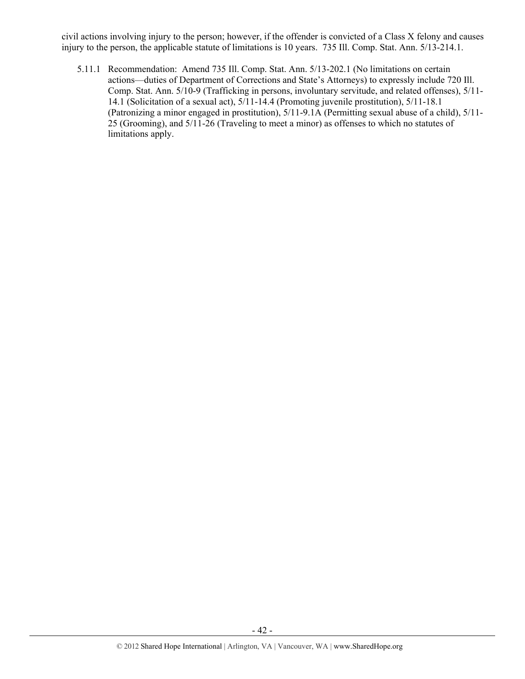civil actions involving injury to the person; however, if the offender is convicted of a Class X felony and causes injury to the person, the applicable statute of limitations is 10 years. 735 Ill. Comp. Stat. Ann. 5/13-214.1.

5.11.1 Recommendation: Amend 735 Ill. Comp. Stat. Ann. 5/13-202.1 (No limitations on certain actions—duties of Department of Corrections and State's Attorneys) to expressly include 720 Ill. Comp. Stat. Ann. 5/10-9 (Trafficking in persons, involuntary servitude, and related offenses), 5/11- 14.1 (Solicitation of a sexual act), 5/11-14.4 (Promoting juvenile prostitution), 5/11-18.1 (Patronizing a minor engaged in prostitution), 5/11-9.1A (Permitting sexual abuse of a child), 5/11- 25 (Grooming), and 5/11-26 (Traveling to meet a minor) as offenses to which no statutes of limitations apply.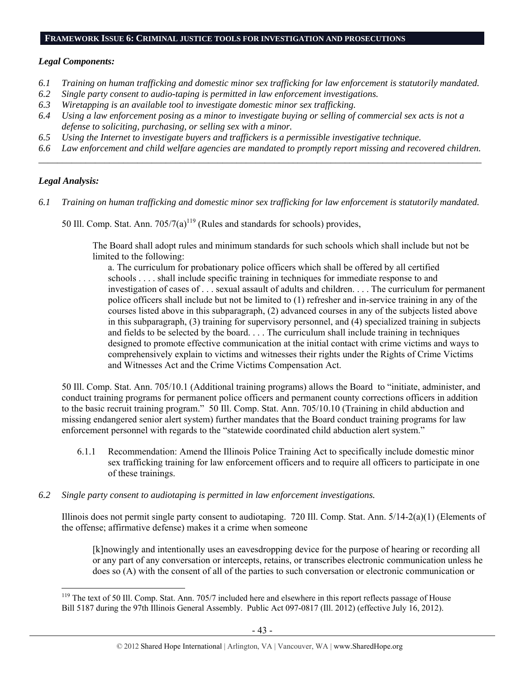#### **FRAMEWORK ISSUE 6: CRIMINAL JUSTICE TOOLS FOR INVESTIGATION AND PROSECUTIONS**

### *Legal Components:*

- *6.1 Training on human trafficking and domestic minor sex trafficking for law enforcement is statutorily mandated.*
- *6.2 Single party consent to audio-taping is permitted in law enforcement investigations.*
- *6.3 Wiretapping is an available tool to investigate domestic minor sex trafficking.*
- *6.4 Using a law enforcement posing as a minor to investigate buying or selling of commercial sex acts is not a defense to soliciting, purchasing, or selling sex with a minor.*
- *6.5 Using the Internet to investigate buyers and traffickers is a permissible investigative technique.*
- *6.6 Law enforcement and child welfare agencies are mandated to promptly report missing and recovered children. \_\_\_\_\_\_\_\_\_\_\_\_\_\_\_\_\_\_\_\_\_\_\_\_\_\_\_\_\_\_\_\_\_\_\_\_\_\_\_\_\_\_\_\_\_\_\_\_\_\_\_\_\_\_\_\_\_\_\_\_\_\_\_\_\_\_\_\_\_\_\_\_\_\_\_\_\_\_\_\_\_\_\_\_\_\_\_\_\_\_\_\_\_\_*

## *Legal Analysis:*

 $\overline{a}$ 

- *6.1 Training on human trafficking and domestic minor sex trafficking for law enforcement is statutorily mandated.* 
	- 50 Ill. Comp. Stat. Ann.  $705/7(a)^{119}$  (Rules and standards for schools) provides,

The Board shall adopt rules and minimum standards for such schools which shall include but not be limited to the following:

a. The curriculum for probationary police officers which shall be offered by all certified schools . . . . shall include specific training in techniques for immediate response to and investigation of cases of . . . sexual assault of adults and children. . . . The curriculum for permanent police officers shall include but not be limited to (1) refresher and in-service training in any of the courses listed above in this subparagraph, (2) advanced courses in any of the subjects listed above in this subparagraph, (3) training for supervisory personnel, and (4) specialized training in subjects and fields to be selected by the board. . . . The curriculum shall include training in techniques designed to promote effective communication at the initial contact with crime victims and ways to comprehensively explain to victims and witnesses their rights under the Rights of Crime Victims and Witnesses Act and the Crime Victims Compensation Act.

50 Ill. Comp. Stat. Ann. 705/10.1 (Additional training programs) allows the Board to "initiate, administer, and conduct training programs for permanent police officers and permanent county corrections officers in addition to the basic recruit training program." 50 Ill. Comp. Stat. Ann. 705/10.10 (Training in child abduction and missing endangered senior alert system) further mandates that the Board conduct training programs for law enforcement personnel with regards to the "statewide coordinated child abduction alert system."

- 6.1.1 Recommendation: Amend the Illinois Police Training Act to specifically include domestic minor sex trafficking training for law enforcement officers and to require all officers to participate in one of these trainings.
- *6.2 Single party consent to audiotaping is permitted in law enforcement investigations.*

Illinois does not permit single party consent to audiotaping. 720 Ill. Comp. Stat. Ann. 5/14-2(a)(1) (Elements of the offense; affirmative defense) makes it a crime when someone

[k]nowingly and intentionally uses an eavesdropping device for the purpose of hearing or recording all or any part of any conversation or intercepts, retains, or transcribes electronic communication unless he does so (A) with the consent of all of the parties to such conversation or electronic communication or

<sup>&</sup>lt;sup>119</sup> The text of 50 Ill. Comp. Stat. Ann. 705/7 included here and elsewhere in this report reflects passage of House Bill 5187 during the 97th Illinois General Assembly. Public Act 097-0817 (Ill. 2012) (effective July 16, 2012).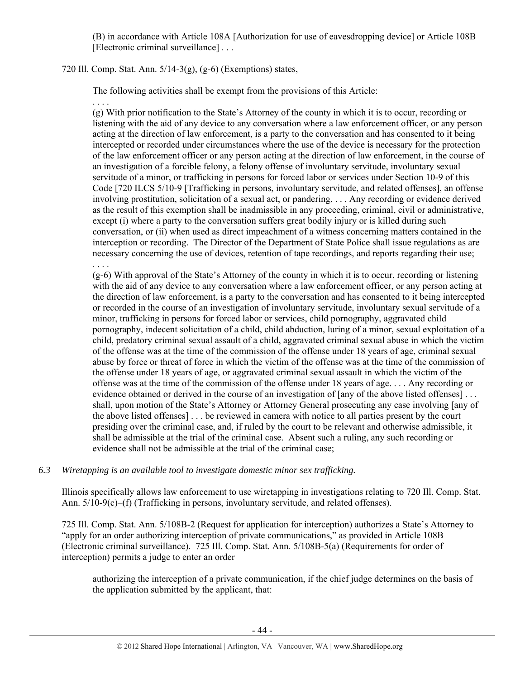(B) in accordance with Article 108A [Authorization for use of eavesdropping device] or Article 108B [Electronic criminal surveillance] . . .

## 720 Ill. Comp. Stat. Ann. 5/14-3(g), (g-6) (Exemptions) states,

. . . .

. . . .

The following activities shall be exempt from the provisions of this Article:

(g) With prior notification to the State's Attorney of the county in which it is to occur, recording or listening with the aid of any device to any conversation where a law enforcement officer, or any person acting at the direction of law enforcement, is a party to the conversation and has consented to it being intercepted or recorded under circumstances where the use of the device is necessary for the protection of the law enforcement officer or any person acting at the direction of law enforcement, in the course of an investigation of a forcible felony, a felony offense of involuntary servitude, involuntary sexual servitude of a minor, or trafficking in persons for forced labor or services under Section 10-9 of this Code [720 ILCS 5/10-9 [Trafficking in persons, involuntary servitude, and related offenses], an offense involving prostitution, solicitation of a sexual act, or pandering, . . . Any recording or evidence derived as the result of this exemption shall be inadmissible in any proceeding, criminal, civil or administrative, except (i) where a party to the conversation suffers great bodily injury or is killed during such conversation, or (ii) when used as direct impeachment of a witness concerning matters contained in the interception or recording. The Director of the Department of State Police shall issue regulations as are necessary concerning the use of devices, retention of tape recordings, and reports regarding their use;

(g-6) With approval of the State's Attorney of the county in which it is to occur, recording or listening with the aid of any device to any conversation where a law enforcement officer, or any person acting at the direction of law enforcement, is a party to the conversation and has consented to it being intercepted or recorded in the course of an investigation of involuntary servitude, involuntary sexual servitude of a minor, trafficking in persons for forced labor or services, child pornography, aggravated child pornography, indecent solicitation of a child, child abduction, luring of a minor, sexual exploitation of a child, predatory criminal sexual assault of a child, aggravated criminal sexual abuse in which the victim of the offense was at the time of the commission of the offense under 18 years of age, criminal sexual abuse by force or threat of force in which the victim of the offense was at the time of the commission of the offense under 18 years of age, or aggravated criminal sexual assault in which the victim of the offense was at the time of the commission of the offense under 18 years of age. . . . Any recording or evidence obtained or derived in the course of an investigation of [any of the above listed offenses]... shall, upon motion of the State's Attorney or Attorney General prosecuting any case involving [any of the above listed offenses] . . . be reviewed in camera with notice to all parties present by the court presiding over the criminal case, and, if ruled by the court to be relevant and otherwise admissible, it shall be admissible at the trial of the criminal case. Absent such a ruling, any such recording or evidence shall not be admissible at the trial of the criminal case;

# *6.3 Wiretapping is an available tool to investigate domestic minor sex trafficking.*

Illinois specifically allows law enforcement to use wiretapping in investigations relating to 720 Ill. Comp. Stat. Ann. 5/10-9(c)–(f) (Trafficking in persons, involuntary servitude, and related offenses).

725 Ill. Comp. Stat. Ann. 5/108B-2 (Request for application for interception) authorizes a State's Attorney to "apply for an order authorizing interception of private communications," as provided in Article 108B (Electronic criminal surveillance). 725 Ill. Comp. Stat. Ann. 5/108B-5(a) (Requirements for order of interception) permits a judge to enter an order

authorizing the interception of a private communication, if the chief judge determines on the basis of the application submitted by the applicant, that: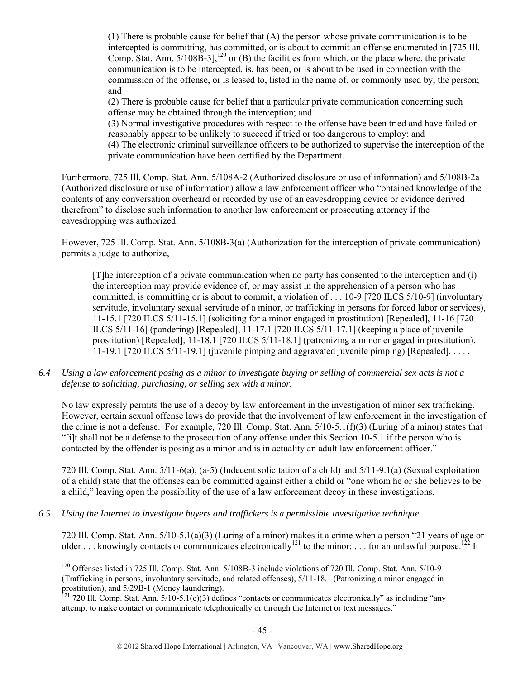(1) There is probable cause for belief that (A) the person whose private communication is to be intercepted is committing, has committed, or is about to commit an offense enumerated in [725 Ill. Comp. Stat. Ann.  $5/108\overline{B} - 3$ ,  $120$  or (B) the facilities from which, or the place where, the private communication is to be intercepted, is, has been, or is about to be used in connection with the commission of the offense, or is leased to, listed in the name of, or commonly used by, the person; and

(2) There is probable cause for belief that a particular private communication concerning such offense may be obtained through the interception; and

(3) Normal investigative procedures with respect to the offense have been tried and have failed or reasonably appear to be unlikely to succeed if tried or too dangerous to employ; and

(4) The electronic criminal surveillance officers to be authorized to supervise the interception of the private communication have been certified by the Department.

Furthermore, 725 Ill. Comp. Stat. Ann. 5/108A-2 (Authorized disclosure or use of information) and 5/108B-2a (Authorized disclosure or use of information) allow a law enforcement officer who "obtained knowledge of the contents of any conversation overheard or recorded by use of an eavesdropping device or evidence derived therefrom" to disclose such information to another law enforcement or prosecuting attorney if the eavesdropping was authorized.

However, 725 Ill. Comp. Stat. Ann. 5/108B-3(a) (Authorization for the interception of private communication) permits a judge to authorize,

[T]he interception of a private communication when no party has consented to the interception and (i) the interception may provide evidence of, or may assist in the apprehension of a person who has committed, is committing or is about to commit, a violation of . . . 10-9 [720 ILCS 5/10-9] (involuntary servitude, involuntary sexual servitude of a minor, or trafficking in persons for forced labor or services), 11-15.1 [720 ILCS 5/11-15.1] (soliciting for a minor engaged in prostitution) [Repealed], 11-16 [720 ILCS 5/11-16] (pandering) [Repealed], 11-17.1 [720 ILCS 5/11-17.1] (keeping a place of juvenile prostitution) [Repealed], 11-18.1 [720 ILCS 5/11-18.1] (patronizing a minor engaged in prostitution), 11-19.1 [720 ILCS 5/11-19.1] (juvenile pimping and aggravated juvenile pimping) [Repealed], . . . .

*6.4 Using a law enforcement posing as a minor to investigate buying or selling of commercial sex acts is not a defense to soliciting, purchasing, or selling sex with a minor.* 

No law expressly permits the use of a decoy by law enforcement in the investigation of minor sex trafficking. However, certain sexual offense laws do provide that the involvement of law enforcement in the investigation of the crime is not a defense. For example, 720 Ill. Comp. Stat. Ann. 5/10-5.1(f)(3) (Luring of a minor) states that "[i]t shall not be a defense to the prosecution of any offense under this Section 10-5.1 if the person who is contacted by the offender is posing as a minor and is in actuality an adult law enforcement officer."

720 Ill. Comp. Stat. Ann. 5/11-6(a), (a-5) (Indecent solicitation of a child) and 5/11-9.1(a) (Sexual exploitation of a child) state that the offenses can be committed against either a child or "one whom he or she believes to be a child," leaving open the possibility of the use of a law enforcement decoy in these investigations.

*6.5 Using the Internet to investigate buyers and traffickers is a permissible investigative technique.* 

 $\overline{a}$ 

720 Ill. Comp. Stat. Ann. 5/10-5.1(a)(3) (Luring of a minor) makes it a crime when a person "21 years of age or older ... knowingly contacts or communicates electronically<sup>121</sup> to the minor: ... for an unlawful purpose.<sup>122</sup> It

<sup>&</sup>lt;sup>120</sup> Offenses listed in 725 Ill. Comp. Stat. Ann. 5/108B-3 include violations of 720 Ill. Comp. Stat. Ann. 5/10-9 (Trafficking in persons, involuntary servitude, and related offenses), 5/11-18.1 (Patronizing a minor engaged in prostitution), and 5/29B-1 (Money laundering).

<sup>&</sup>lt;sup>121</sup> 720 Ill. Comp. Stat. Ann. 5/10-5.1(c)(3) defines "contacts or communicates electronically" as including "any attempt to make contact or communicate telephonically or through the Internet or text messages."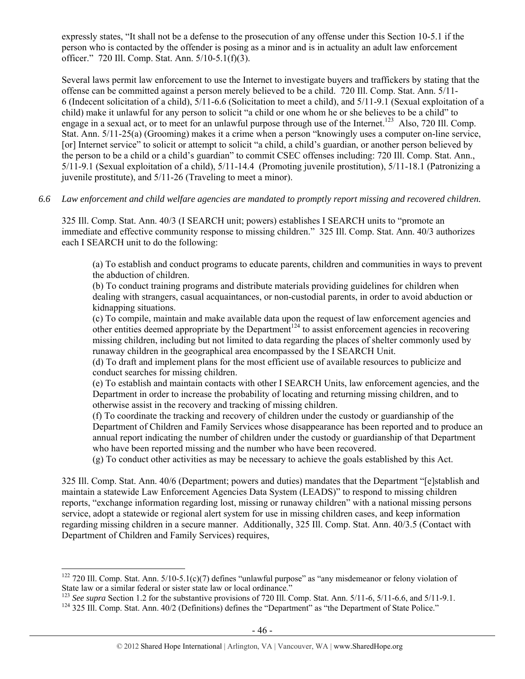expressly states, "It shall not be a defense to the prosecution of any offense under this Section 10-5.1 if the person who is contacted by the offender is posing as a minor and is in actuality an adult law enforcement officer." 720 Ill. Comp. Stat. Ann. 5/10-5.1(f)(3).

Several laws permit law enforcement to use the Internet to investigate buyers and traffickers by stating that the offense can be committed against a person merely believed to be a child. 720 Ill. Comp. Stat. Ann. 5/11- 6 (Indecent solicitation of a child), 5/11-6.6 (Solicitation to meet a child), and 5/11-9.1 (Sexual exploitation of a child) make it unlawful for any person to solicit "a child or one whom he or she believes to be a child" to engage in a sexual act, or to meet for an unlawful purpose through use of the Internet.<sup>123</sup> Also, 720 Ill. Comp. Stat. Ann. 5/11-25(a) (Grooming) makes it a crime when a person "knowingly uses a computer on-line service, [or] Internet service" to solicit or attempt to solicit "a child, a child's guardian, or another person believed by the person to be a child or a child's guardian" to commit CSEC offenses including: 720 Ill. Comp. Stat. Ann., 5/11-9.1 (Sexual exploitation of a child), 5/11-14.4 (Promoting juvenile prostitution), 5/11-18.1 (Patronizing a juvenile prostitute), and 5/11-26 (Traveling to meet a minor).

*6.6 Law enforcement and child welfare agencies are mandated to promptly report missing and recovered children.* 

325 Ill. Comp. Stat. Ann. 40/3 (I SEARCH unit; powers) establishes I SEARCH units to "promote an immediate and effective community response to missing children." 325 Ill. Comp. Stat. Ann. 40/3 authorizes each I SEARCH unit to do the following:

(a) To establish and conduct programs to educate parents, children and communities in ways to prevent the abduction of children.

(b) To conduct training programs and distribute materials providing guidelines for children when dealing with strangers, casual acquaintances, or non-custodial parents, in order to avoid abduction or kidnapping situations.

(c) To compile, maintain and make available data upon the request of law enforcement agencies and other entities deemed appropriate by the Department<sup>124</sup> to assist enforcement agencies in recovering missing children, including but not limited to data regarding the places of shelter commonly used by runaway children in the geographical area encompassed by the I SEARCH Unit.

(d) To draft and implement plans for the most efficient use of available resources to publicize and conduct searches for missing children.

(e) To establish and maintain contacts with other I SEARCH Units, law enforcement agencies, and the Department in order to increase the probability of locating and returning missing children, and to otherwise assist in the recovery and tracking of missing children.

(f) To coordinate the tracking and recovery of children under the custody or guardianship of the Department of Children and Family Services whose disappearance has been reported and to produce an annual report indicating the number of children under the custody or guardianship of that Department who have been reported missing and the number who have been recovered.

(g) To conduct other activities as may be necessary to achieve the goals established by this Act.

325 Ill. Comp. Stat. Ann. 40/6 (Department; powers and duties) mandates that the Department "[e]stablish and maintain a statewide Law Enforcement Agencies Data System (LEADS)" to respond to missing children reports, "exchange information regarding lost, missing or runaway children" with a national missing persons service, adopt a statewide or regional alert system for use in missing children cases, and keep information regarding missing children in a secure manner. Additionally, 325 Ill. Comp. Stat. Ann. 40/3.5 (Contact with Department of Children and Family Services) requires,

<sup>&</sup>lt;sup>122</sup> 720 Ill. Comp. Stat. Ann.  $5/10-5.1(c)(7)$  defines "unlawful purpose" as "any misdemeanor or felony violation of State law or a similar federal or sister state law or local ordinance."

<sup>&</sup>lt;sup>123</sup> See supra Section 1.2 for the substantive provisions of 720 Ill. Comp. Stat. Ann.  $5/11$ -6,  $5/11$ -6.6, and  $5/11$ -9.1.<br><sup>124</sup> 325 Ill. Comp. Stat. Ann. 40/2 (Definitions) defines the "Department" as "the Department